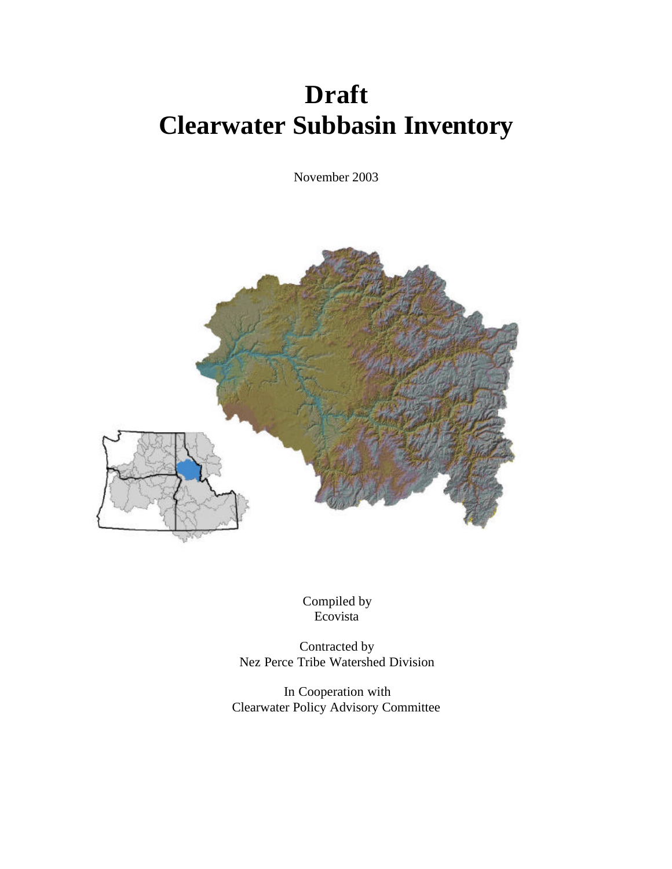# **Draft Clearwater Subbasin Inventory**

November 2003



Compiled by Ecovista

Contracted by Nez Perce Tribe Watershed Division

In Cooperation with Clearwater Policy Advisory Committee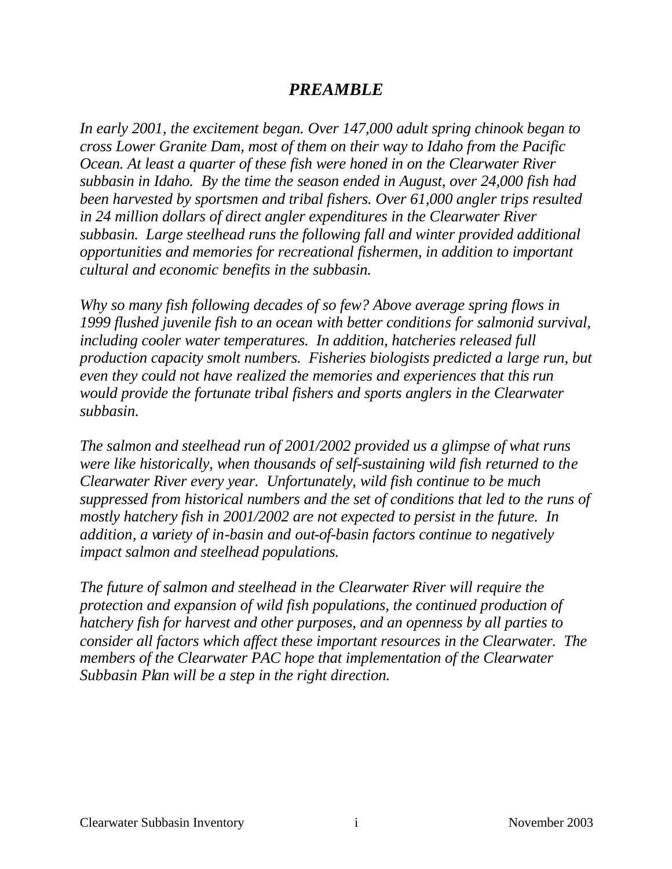# *PREAMBLE*

*In early 2001, the excitement began. Over 147,000 adult spring chinook began to cross Lower Granite Dam, most of them on their way to Idaho from the Pacific Ocean. At least a quarter of these fish were honed in on the Clearwater River subbasin in Idaho. By the time the season ended in August, over 24,000 fish had been harvested by sportsmen and tribal fishers. Over 61,000 angler trips resulted in 24 million dollars of direct angler expenditures in the Clearwater River subbasin. Large steelhead runs the following fall and winter provided additional opportunities and memories for recreational fishermen, in addition to important cultural and economic benefits in the subbasin.* 

*Why so many fish following decades of so few? Above average spring flows in 1999 flushed juvenile fish to an ocean with better conditions for salmonid survival, including cooler water temperatures. In addition, hatcheries released full production capacity smolt numbers. Fisheries biologists predicted a large run, but even they could not have realized the memories and experiences that this run would provide the fortunate tribal fishers and sports anglers in the Clearwater subbasin.*

*The salmon and steelhead run of 2001/2002 provided us a glimpse of what runs were like historically, when thousands of self-sustaining wild fish returned to the Clearwater River every year. Unfortunately, wild fish continue to be much suppressed from historical numbers and the set of conditions that led to the runs of mostly hatchery fish in 2001/2002 are not expected to persist in the future. In addition, a variety of in-basin and out-of-basin factors continue to negatively impact salmon and steelhead populations.*

*The future of salmon and steelhead in the Clearwater River will require the protection and expansion of wild fish populations, the continued production of hatchery fish for harvest and other purposes, and an openness by all parties to consider all factors which affect these important resources in the Clearwater. The members of the Clearwater PAC hope that implementation of the Clearwater Subbasin Plan will be a step in the right direction.*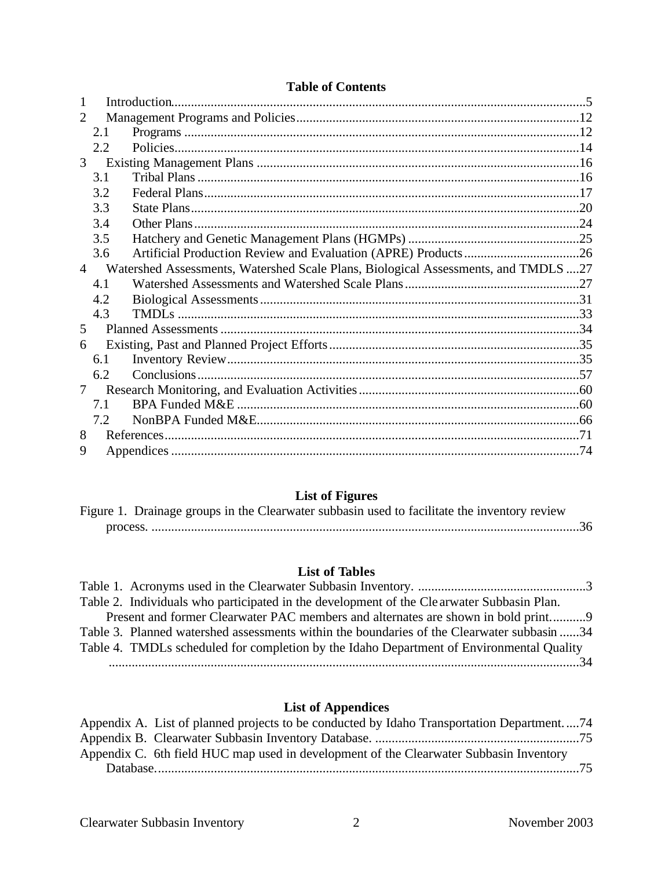| 2              |      |                                                                                    |  |  |
|----------------|------|------------------------------------------------------------------------------------|--|--|
|                | 2.1  |                                                                                    |  |  |
|                | 2.2. |                                                                                    |  |  |
| 3              |      |                                                                                    |  |  |
|                | 3.1  |                                                                                    |  |  |
|                | 3.2  |                                                                                    |  |  |
|                | 3.3  |                                                                                    |  |  |
|                | 3.4  |                                                                                    |  |  |
|                | 3.5  |                                                                                    |  |  |
|                | 3.6  |                                                                                    |  |  |
| $\overline{4}$ |      | Watershed Assessments, Watershed Scale Plans, Biological Assessments, and TMDLS 27 |  |  |
|                | 4.1  |                                                                                    |  |  |
|                | 4.2  |                                                                                    |  |  |
|                | 4.3  |                                                                                    |  |  |
| 5              |      |                                                                                    |  |  |
| 6              |      |                                                                                    |  |  |
|                | 6.1  |                                                                                    |  |  |
|                | 6.2  |                                                                                    |  |  |
| 7              |      |                                                                                    |  |  |
|                | 7.1  |                                                                                    |  |  |
|                | 7.2  |                                                                                    |  |  |
| 8              |      |                                                                                    |  |  |
| 9              |      |                                                                                    |  |  |

# **List of Figures**

|  |  |  | Figure 1. Drainage groups in the Clearwater subbasin used to facilitate the inventory review |  |
|--|--|--|----------------------------------------------------------------------------------------------|--|
|  |  |  |                                                                                              |  |

# **List of Tables**

| Table 2. Individuals who participated in the development of the Clearwater Subbasin Plan.  |  |
|--------------------------------------------------------------------------------------------|--|
| Present and former Clearwater PAC members and alternates are shown in bold print9          |  |
| Table 3. Planned watershed assessments within the boundaries of the Clearwater subbasin 34 |  |
| Table 4. TMDLs scheduled for completion by the Idaho Department of Environmental Quality   |  |
|                                                                                            |  |

# **List of Appendices**

| Appendix A. List of planned projects to be conducted by Idaho Transportation Department74 |
|-------------------------------------------------------------------------------------------|
|                                                                                           |
| Appendix C. 6th field HUC map used in development of the Clearwater Subbasin Inventory    |
|                                                                                           |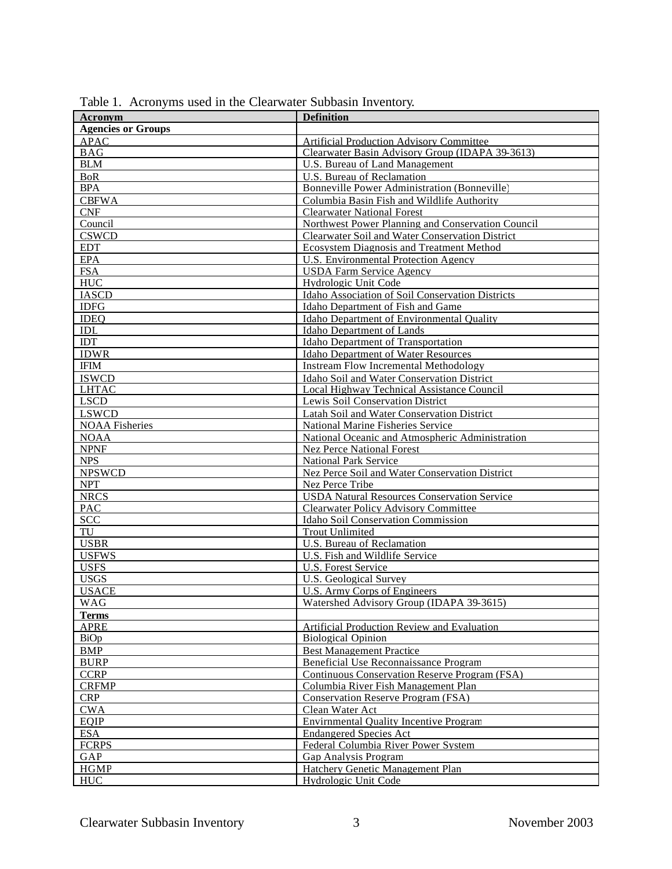| Acronym                   | <b>Definition</b>                                  |
|---------------------------|----------------------------------------------------|
| <b>Agencies or Groups</b> |                                                    |
| <b>APAC</b>               | <b>Artificial Production Advisory Committee</b>    |
| <b>BAG</b>                | Clearwater Basin Advisory Group (IDAPA 39-3613)    |
|                           |                                                    |
| <b>BLM</b>                | U.S. Bureau of Land Management                     |
| <b>BoR</b>                | U.S. Bureau of Reclamation                         |
| <b>BPA</b>                | Bonneville Power Administration (Bonneville)       |
| <b>CBFWA</b>              | Columbia Basin Fish and Wildlife Authority         |
| CNF                       | <b>Clearwater National Forest</b>                  |
| Council                   | Northwest Power Planning and Conservation Council  |
| <b>CSWCD</b>              | Clearwater Soil and Water Conservation District    |
| <b>EDT</b>                | Ecosystem Diagnosis and Treatment Method           |
| <b>EPA</b>                | U.S. Environmental Protection Agency               |
| <b>FSA</b>                | <b>USDA Farm Service Agency</b>                    |
| <b>HUC</b>                | Hydrologic Unit Code                               |
| <b>IASCD</b>              | Idaho Association of Soil Conservation Districts   |
| <b>IDFG</b>               | Idaho Department of Fish and Game                  |
| <b>IDEQ</b>               | Idaho Department of Environmental Quality          |
| <b>IDL</b>                | <b>Idaho Department of Lands</b>                   |
| IDT                       | Idaho Department of Transportation                 |
| <b>IDWR</b>               | <b>Idaho Department of Water Resources</b>         |
| <b>IFIM</b>               | <b>Instream Flow Incremental Methodology</b>       |
| <b>ISWCD</b>              | Idaho Soil and Water Conservation District         |
| <b>LHTAC</b>              | Local Highway Technical Assistance Council         |
| <b>LSCD</b>               | Lewis Soil Conservation District                   |
| <b>LSWCD</b>              | Latah Soil and Water Conservation District         |
| <b>NOAA</b> Fisheries     | National Marine Fisheries Service                  |
| <b>NOAA</b>               | National Oceanic and Atmospheric Administration    |
| <b>NPNF</b>               | <b>Nez Perce National Forest</b>                   |
| <b>NPS</b>                | <b>National Park Service</b>                       |
| <b>NPSWCD</b>             | Nez Perce Soil and Water Conservation District     |
| <b>NPT</b>                | Nez Perce Tribe                                    |
| <b>NRCS</b>               | <b>USDA Natural Resources Conservation Service</b> |
| <b>PAC</b>                | <b>Clearwater Policy Advisory Committee</b>        |
| <b>SCC</b>                | Idaho Soil Conservation Commission                 |
| TU                        | <b>Trout Unlimited</b>                             |
| <b>USBR</b>               | U.S. Bureau of Reclamation                         |
| <b>USFWS</b>              | U.S. Fish and Wildlife Service                     |
| <b>USFS</b>               | U.S. Forest Service                                |
| <b>USGS</b>               | <b>U.S. Geological Survey</b>                      |
| <b>USACE</b>              | U.S. Army Corps of Engineers                       |
| WAG                       | Watershed Advisory Group (IDAPA 39-3615)           |
| <b>Terms</b>              |                                                    |
| <b>APRE</b>               | Artificial Production Review and Evaluation        |
| BiOp                      | <b>Biological Opinion</b>                          |
| <b>BMP</b>                | <b>Best Management Practice</b>                    |
| <b>BURP</b>               | Beneficial Use Reconnaissance Program              |
| <b>CCRP</b>               | Continuous Conservation Reserve Program (FSA)      |
| <b>CRFMP</b>              | Columbia River Fish Management Plan                |
| <b>CRP</b>                | Conservation Reserve Program (FSA)                 |
| <b>CWA</b>                | Clean Water Act                                    |
| EQIP                      | <b>Envirnmental Quality Incentive Program</b>      |
| <b>ESA</b>                | <b>Endangered Species Act</b>                      |
| <b>FCRPS</b>              | Federal Columbia River Power System                |
| GAP                       | Gap Analysis Program                               |
| <b>HGMP</b>               | Hatchery Genetic Management Plan                   |
| <b>HUC</b>                | Hydrologic Unit Code                               |
|                           |                                                    |

Table 1. Acronyms used in the Clearwater Subbasin Inventory.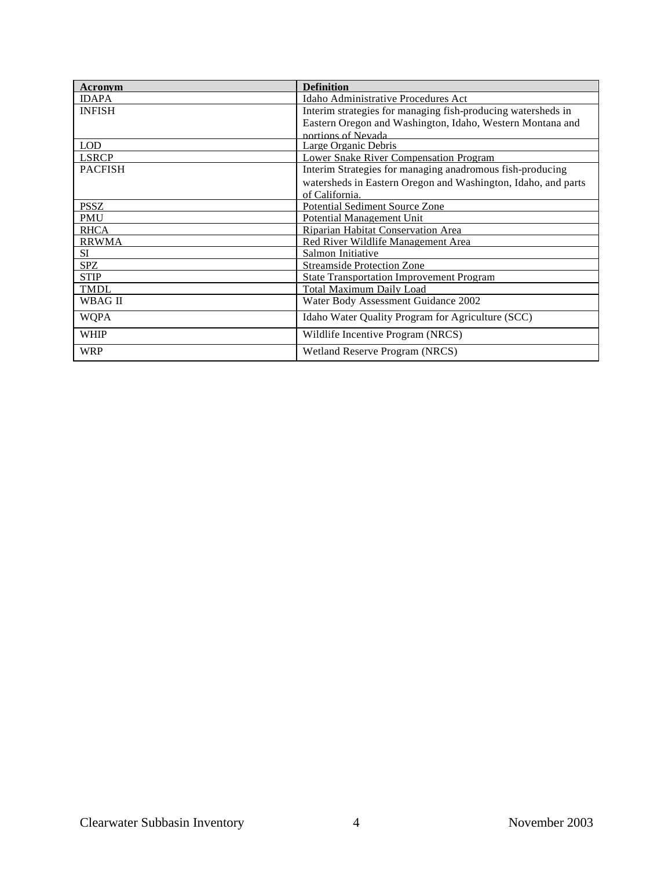| <b>Acronym</b> | <b>Definition</b>                                             |
|----------------|---------------------------------------------------------------|
| <b>IDAPA</b>   | Idaho Administrative Procedures Act                           |
| <b>INFISH</b>  | Interim strategies for managing fish-producing watersheds in  |
|                | Eastern Oregon and Washington, Idaho, Western Montana and     |
|                | portions of Nevada                                            |
| <b>LOD</b>     | Large Organic Debris                                          |
| <b>LSRCP</b>   | <b>Lower Snake River Compensation Program</b>                 |
| <b>PACFISH</b> | Interim Strategies for managing anadromous fish-producing     |
|                | watersheds in Eastern Oregon and Washington, Idaho, and parts |
|                | of California.                                                |
| <b>PSSZ</b>    | <b>Potential Sediment Source Zone</b>                         |
| <b>PMU</b>     | Potential Management Unit                                     |
| <b>RHCA</b>    | Riparian Habitat Conservation Area                            |
| <b>RRWMA</b>   | Red River Wildlife Management Area                            |
| SI.            | Salmon Initiative                                             |
| <b>SPZ</b>     | <b>Streamside Protection Zone</b>                             |
| <b>STIP</b>    | <b>State Transportation Improvement Program</b>               |
| <b>TMDL</b>    | <b>Total Maximum Daily Load</b>                               |
| WBAG II        | Water Body Assessment Guidance 2002                           |
| <b>WQPA</b>    | Idaho Water Quality Program for Agriculture (SCC)             |
| <b>WHIP</b>    | Wildlife Incentive Program (NRCS)                             |
| <b>WRP</b>     | Wetland Reserve Program (NRCS)                                |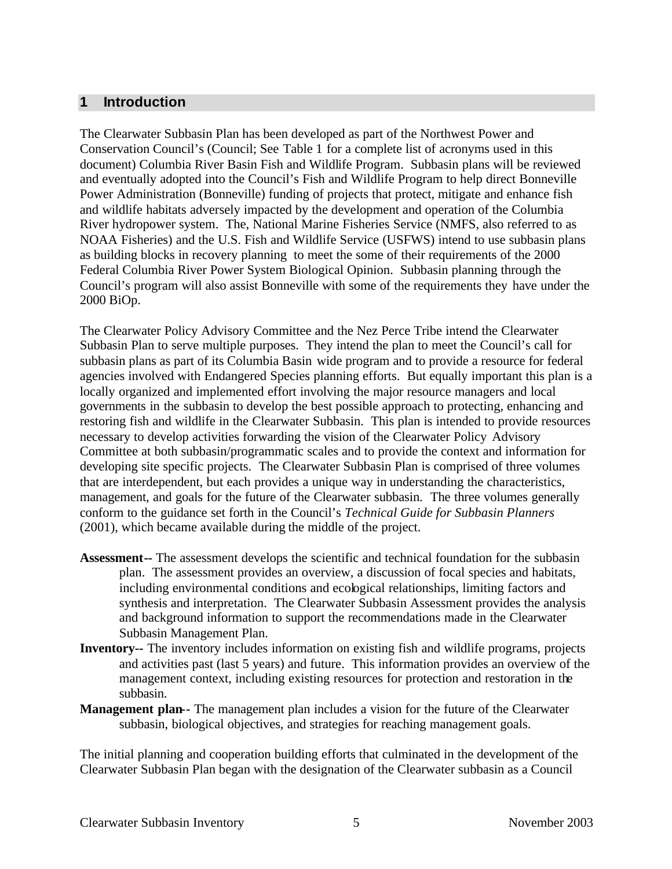#### **1 Introduction**

The Clearwater Subbasin Plan has been developed as part of the Northwest Power and Conservation Council's (Council; See Table 1 for a complete list of acronyms used in this document) Columbia River Basin Fish and Wildlife Program. Subbasin plans will be reviewed and eventually adopted into the Council's Fish and Wildlife Program to help direct Bonneville Power Administration (Bonneville) funding of projects that protect, mitigate and enhance fish and wildlife habitats adversely impacted by the development and operation of the Columbia River hydropower system. The, National Marine Fisheries Service (NMFS, also referred to as NOAA Fisheries) and the U.S. Fish and Wildlife Service (USFWS) intend to use subbasin plans as building blocks in recovery planning to meet the some of their requirements of the 2000 Federal Columbia River Power System Biological Opinion. Subbasin planning through the Council's program will also assist Bonneville with some of the requirements they have under the 2000 BiOp.

The Clearwater Policy Advisory Committee and the Nez Perce Tribe intend the Clearwater Subbasin Plan to serve multiple purposes. They intend the plan to meet the Council's call for subbasin plans as part of its Columbia Basin wide program and to provide a resource for federal agencies involved with Endangered Species planning efforts. But equally important this plan is a locally organized and implemented effort involving the major resource managers and local governments in the subbasin to develop the best possible approach to protecting, enhancing and restoring fish and wildlife in the Clearwater Subbasin. This plan is intended to provide resources necessary to develop activities forwarding the vision of the Clearwater Policy Advisory Committee at both subbasin/programmatic scales and to provide the context and information for developing site specific projects. The Clearwater Subbasin Plan is comprised of three volumes that are interdependent, but each provides a unique way in understanding the characteristics, management, and goals for the future of the Clearwater subbasin. The three volumes generally conform to the guidance set forth in the Council's *Technical Guide for Subbasin Planners* (2001), which became available during the middle of the project.

- **Assessment--** The assessment develops the scientific and technical foundation for the subbasin plan. The assessment provides an overview, a discussion of focal species and habitats, including environmental conditions and ecological relationships, limiting factors and synthesis and interpretation. The Clearwater Subbasin Assessment provides the analysis and background information to support the recommendations made in the Clearwater Subbasin Management Plan.
- **Inventory--** The inventory includes information on existing fish and wildlife programs, projects and activities past (last 5 years) and future. This information provides an overview of the management context, including existing resources for protection and restoration in the subbasin.
- **Management plan--** The management plan includes a vision for the future of the Clearwater subbasin, biological objectives, and strategies for reaching management goals.

The initial planning and cooperation building efforts that culminated in the development of the Clearwater Subbasin Plan began with the designation of the Clearwater subbasin as a Council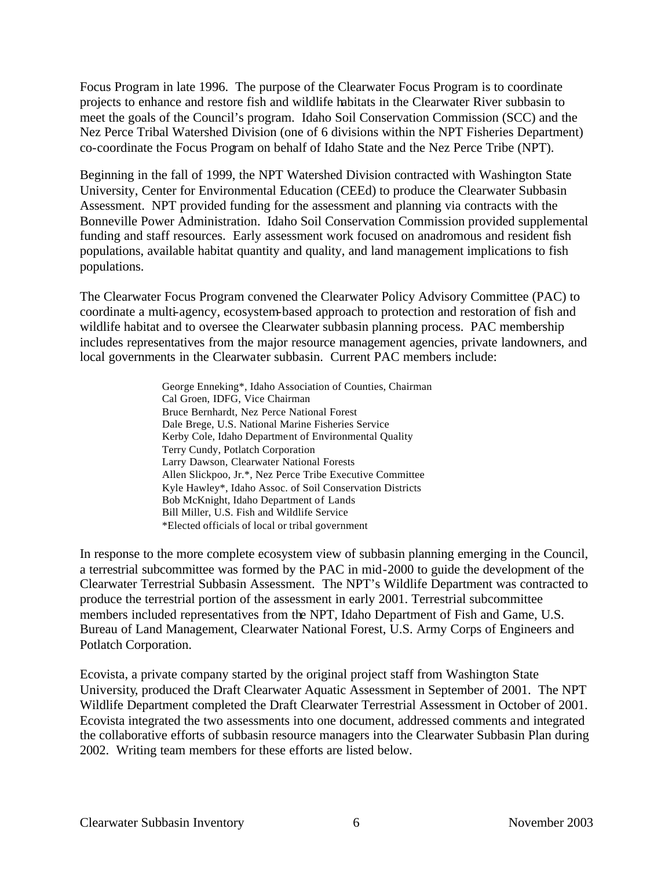Focus Program in late 1996. The purpose of the Clearwater Focus Program is to coordinate projects to enhance and restore fish and wildlife habitats in the Clearwater River subbasin to meet the goals of the Council's program. Idaho Soil Conservation Commission (SCC) and the Nez Perce Tribal Watershed Division (one of 6 divisions within the NPT Fisheries Department) co-coordinate the Focus Program on behalf of Idaho State and the Nez Perce Tribe (NPT).

Beginning in the fall of 1999, the NPT Watershed Division contracted with Washington State University, Center for Environmental Education (CEEd) to produce the Clearwater Subbasin Assessment. NPT provided funding for the assessment and planning via contracts with the Bonneville Power Administration. Idaho Soil Conservation Commission provided supplemental funding and staff resources. Early assessment work focused on anadromous and resident fish populations, available habitat quantity and quality, and land management implications to fish populations.

The Clearwater Focus Program convened the Clearwater Policy Advisory Committee (PAC) to coordinate a multi-agency, ecosystem-based approach to protection and restoration of fish and wildlife habitat and to oversee the Clearwater subbasin planning process. PAC membership includes representatives from the major resource management agencies, private landowners, and local governments in the Clearwater subbasin. Current PAC members include:

> George Enneking\*, Idaho Association of Counties, Chairman Cal Groen, IDFG, Vice Chairman Bruce Bernhardt, Nez Perce National Forest Dale Brege, U.S. National Marine Fisheries Service Kerby Cole, Idaho Department of Environmental Quality Terry Cundy, Potlatch Corporation Larry Dawson, Clearwater National Forests Allen Slickpoo, Jr.\*, Nez Perce Tribe Executive Committee Kyle Hawley\*, Idaho Assoc. of Soil Conservation Districts Bob McKnight, Idaho Department of Lands Bill Miller, U.S. Fish and Wildlife Service \*Elected officials of local or tribal government

In response to the more complete ecosystem view of subbasin planning emerging in the Council, a terrestrial subcommittee was formed by the PAC in mid-2000 to guide the development of the Clearwater Terrestrial Subbasin Assessment. The NPT's Wildlife Department was contracted to produce the terrestrial portion of the assessment in early 2001. Terrestrial subcommittee members included representatives from the NPT, Idaho Department of Fish and Game, U.S. Bureau of Land Management, Clearwater National Forest, U.S. Army Corps of Engineers and Potlatch Corporation.

Ecovista, a private company started by the original project staff from Washington State University, produced the Draft Clearwater Aquatic Assessment in September of 2001. The NPT Wildlife Department completed the Draft Clearwater Terrestrial Assessment in October of 2001. Ecovista integrated the two assessments into one document, addressed comments and integrated the collaborative efforts of subbasin resource managers into the Clearwater Subbasin Plan during 2002. Writing team members for these efforts are listed below.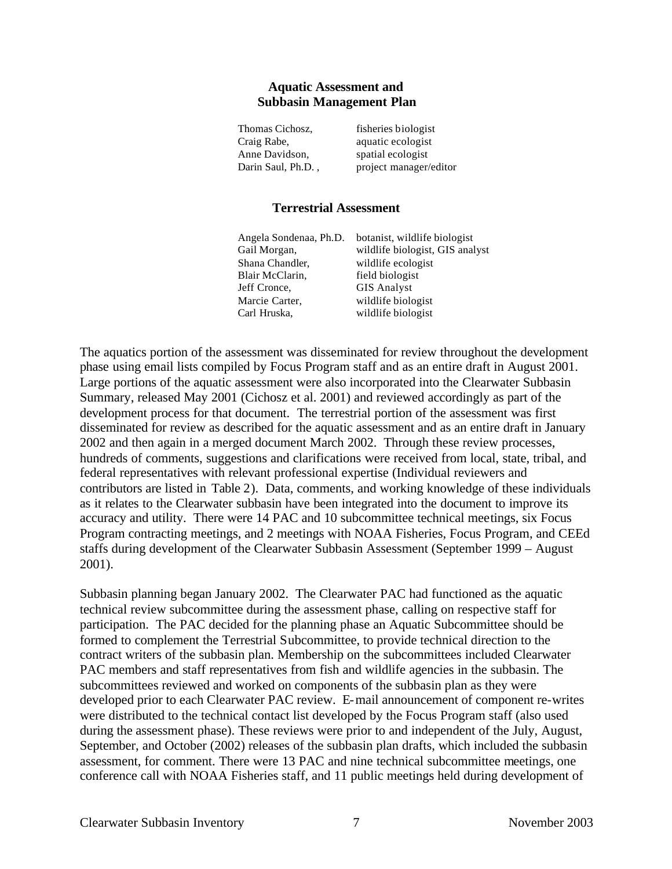#### **Aquatic Assessment and Subbasin Management Plan**

| fisheries biologist    |
|------------------------|
| aquatic ecologist      |
| spatial ecologist      |
| project manager/editor |
|                        |

#### **Terrestrial Assessment**

| Angela Sondenaa, Ph.D. | botanist, wildlife biologist    |
|------------------------|---------------------------------|
| Gail Morgan,           | wildlife biologist, GIS analyst |
| Shana Chandler,        | wildlife ecologist              |
| Blair McClarin,        | field biologist                 |
| Jeff Cronce,           | <b>GIS Analyst</b>              |
| Marcie Carter,         | wildlife biologist              |
| Carl Hruska,           | wildlife biologist              |

The aquatics portion of the assessment was disseminated for review throughout the development phase using email lists compiled by Focus Program staff and as an entire draft in August 2001. Large portions of the aquatic assessment were also incorporated into the Clearwater Subbasin Summary, released May 2001 (Cichosz et al. 2001) and reviewed accordingly as part of the development process for that document. The terrestrial portion of the assessment was first disseminated for review as described for the aquatic assessment and as an entire draft in January 2002 and then again in a merged document March 2002. Through these review processes, hundreds of comments, suggestions and clarifications were received from local, state, tribal, and federal representatives with relevant professional expertise (Individual reviewers and contributors are listed in Table 2). Data, comments, and working knowledge of these individuals as it relates to the Clearwater subbasin have been integrated into the document to improve its accuracy and utility. There were 14 PAC and 10 subcommittee technical meetings, six Focus Program contracting meetings, and 2 meetings with NOAA Fisheries, Focus Program, and CEEd staffs during development of the Clearwater Subbasin Assessment (September 1999 – August 2001).

Subbasin planning began January 2002. The Clearwater PAC had functioned as the aquatic technical review subcommittee during the assessment phase, calling on respective staff for participation. The PAC decided for the planning phase an Aquatic Subcommittee should be formed to complement the Terrestrial Subcommittee, to provide technical direction to the contract writers of the subbasin plan. Membership on the subcommittees included Clearwater PAC members and staff representatives from fish and wildlife agencies in the subbasin. The subcommittees reviewed and worked on components of the subbasin plan as they were developed prior to each Clearwater PAC review. E-mail announcement of component re-writes were distributed to the technical contact list developed by the Focus Program staff (also used during the assessment phase). These reviews were prior to and independent of the July, August, September, and October (2002) releases of the subbasin plan drafts, which included the subbasin assessment, for comment. There were 13 PAC and nine technical subcommittee meetings, one conference call with NOAA Fisheries staff, and 11 public meetings held during development of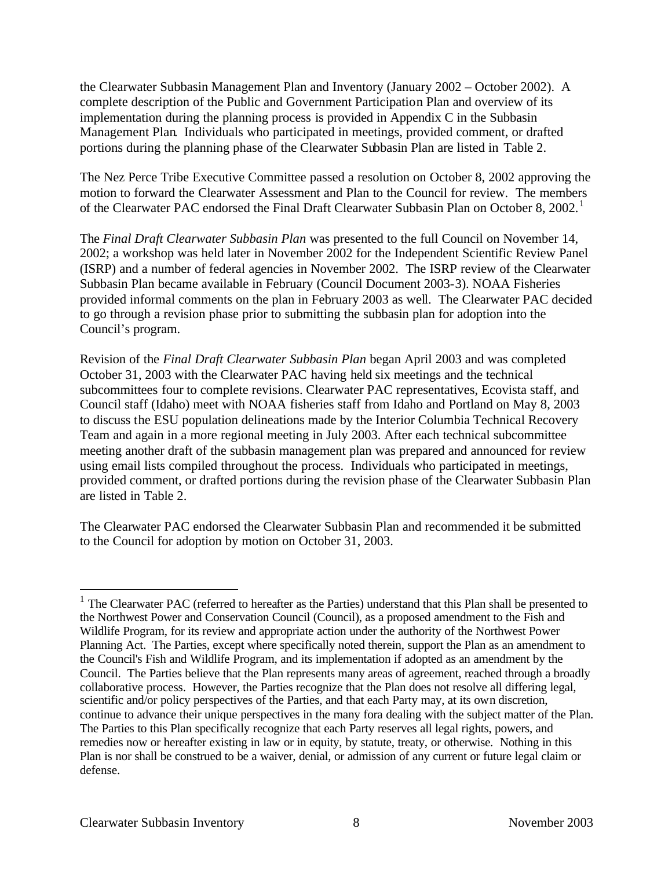the Clearwater Subbasin Management Plan and Inventory (January 2002 – October 2002). A complete description of the Public and Government Participation Plan and overview of its implementation during the planning process is provided in Appendix C in the Subbasin Management Plan. Individuals who participated in meetings, provided comment, or drafted portions during the planning phase of the Clearwater Subbasin Plan are listed in Table 2.

The Nez Perce Tribe Executive Committee passed a resolution on October 8, 2002 approving the motion to forward the Clearwater Assessment and Plan to the Council for review. The members of the Clearwater PAC endorsed the Final Draft Clearwater Subbasin Plan on October 8, 2002.<sup>1</sup>

The *Final Draft Clearwater Subbasin Plan* was presented to the full Council on November 14, 2002; a workshop was held later in November 2002 for the Independent Scientific Review Panel (ISRP) and a number of federal agencies in November 2002. The ISRP review of the Clearwater Subbasin Plan became available in February (Council Document 2003-3). NOAA Fisheries provided informal comments on the plan in February 2003 as well. The Clearwater PAC decided to go through a revision phase prior to submitting the subbasin plan for adoption into the Council's program.

Revision of the *Final Draft Clearwater Subbasin Plan* began April 2003 and was completed October 31, 2003 with the Clearwater PAC having held six meetings and the technical subcommittees four to complete revisions. Clearwater PAC representatives, Ecovista staff, and Council staff (Idaho) meet with NOAA fisheries staff from Idaho and Portland on May 8, 2003 to discuss the ESU population delineations made by the Interior Columbia Technical Recovery Team and again in a more regional meeting in July 2003. After each technical subcommittee meeting another draft of the subbasin management plan was prepared and announced for review using email lists compiled throughout the process. Individuals who participated in meetings, provided comment, or drafted portions during the revision phase of the Clearwater Subbasin Plan are listed in Table 2.

The Clearwater PAC endorsed the Clearwater Subbasin Plan and recommended it be submitted to the Council for adoption by motion on October 31, 2003.

 $\overline{a}$ 

<sup>&</sup>lt;sup>1</sup> The Clearwater PAC (referred to hereafter as the Parties) understand that this Plan shall be presented to the Northwest Power and Conservation Council (Council), as a proposed amendment to the Fish and Wildlife Program, for its review and appropriate action under the authority of the Northwest Power Planning Act. The Parties, except where specifically noted therein, support the Plan as an amendment to the Council's Fish and Wildlife Program, and its implementation if adopted as an amendment by the Council. The Parties believe that the Plan represents many areas of agreement, reached through a broadly collaborative process. However, the Parties recognize that the Plan does not resolve all differing legal, scientific and/or policy perspectives of the Parties, and that each Party may, at its own discretion, continue to advance their unique perspectives in the many fora dealing with the subject matter of the Plan. The Parties to this Plan specifically recognize that each Party reserves all legal rights, powers, and remedies now or hereafter existing in law or in equity, by statute, treaty, or otherwise. Nothing in this Plan is nor shall be construed to be a waiver, denial, or admission of any current or future legal claim or defense.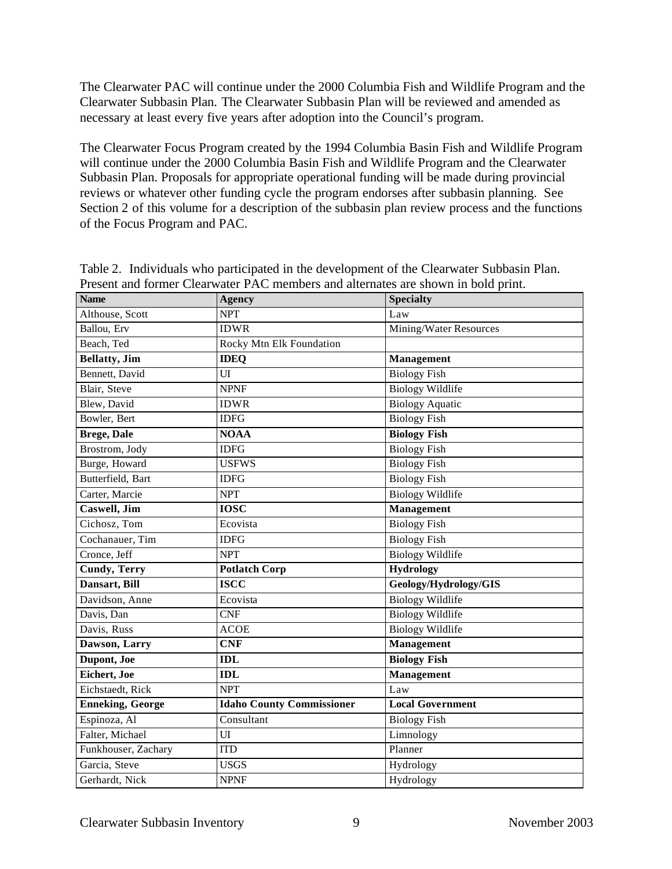The Clearwater PAC will continue under the 2000 Columbia Fish and Wildlife Program and the Clearwater Subbasin Plan. The Clearwater Subbasin Plan will be reviewed and amended as necessary at least every five years after adoption into the Council's program.

The Clearwater Focus Program created by the 1994 Columbia Basin Fish and Wildlife Program will continue under the 2000 Columbia Basin Fish and Wildlife Program and the Clearwater Subbasin Plan. Proposals for appropriate operational funding will be made during provincial reviews or whatever other funding cycle the program endorses after subbasin planning. See Section 2 of this volume for a description of the subbasin plan review process and the functions of the Focus Program and PAC.

| <b>Name</b>             | <b>Agency</b>                    | <b>Specialty</b>        |
|-------------------------|----------------------------------|-------------------------|
| Althouse, Scott         | <b>NPT</b>                       | Law                     |
| Ballou, Erv             | <b>IDWR</b>                      | Mining/Water Resources  |
| Beach, Ted              | Rocky Mtn Elk Foundation         |                         |
| <b>Bellatty</b> , Jim   | <b>IDEQ</b>                      | <b>Management</b>       |
| Bennett, David          | UI                               | <b>Biology Fish</b>     |
| Blair, Steve            | <b>NPNF</b>                      | <b>Biology Wildlife</b> |
| Blew, David             | <b>IDWR</b>                      | <b>Biology Aquatic</b>  |
| Bowler, Bert            | <b>IDFG</b>                      | <b>Biology Fish</b>     |
| <b>Brege, Dale</b>      | <b>NOAA</b>                      | <b>Biology Fish</b>     |
| Brostrom, Jody          | <b>IDFG</b>                      | <b>Biology Fish</b>     |
| Burge, Howard           | <b>USFWS</b>                     | <b>Biology Fish</b>     |
| Butterfield, Bart       | <b>IDFG</b>                      | <b>Biology Fish</b>     |
| Carter, Marcie          | <b>NPT</b>                       | <b>Biology Wildlife</b> |
| Caswell, Jim            | <b>IOSC</b>                      | <b>Management</b>       |
| Cichosz, Tom            | Ecovista                         | <b>Biology Fish</b>     |
| Cochanauer, Tim         | <b>IDFG</b>                      | <b>Biology Fish</b>     |
| Cronce, Jeff            | <b>NPT</b>                       | <b>Biology Wildlife</b> |
| <b>Cundy, Terry</b>     | <b>Potlatch Corp</b>             | <b>Hydrology</b>        |
| Dansart, Bill           | <b>ISCC</b>                      | Geology/Hydrology/GIS   |
| Davidson, Anne          | Ecovista                         | <b>Biology Wildlife</b> |
| Davis, Dan              | <b>CNF</b>                       | <b>Biology Wildlife</b> |
| Davis, Russ             | <b>ACOE</b>                      | <b>Biology Wildlife</b> |
| Dawson, Larry           | <b>CNF</b>                       | Management              |
| Dupont, Joe             | <b>IDL</b>                       | <b>Biology Fish</b>     |
| Eichert, Joe            | <b>IDL</b>                       | <b>Management</b>       |
| Eichstaedt, Rick        | <b>NPT</b>                       | Law                     |
| <b>Enneking, George</b> | <b>Idaho County Commissioner</b> | <b>Local Government</b> |
| Espinoza, Al            | Consultant                       | <b>Biology Fish</b>     |
| Falter, Michael         | UI                               | Limnology               |
| Funkhouser, Zachary     | <b>ITD</b>                       | Planner                 |
| Garcia, Steve           | <b>USGS</b>                      | Hydrology               |
| Gerhardt, Nick          | <b>NPNF</b>                      | Hydrology               |

Table 2. Individuals who participated in the development of the Clearwater Subbasin Plan. Present and former Clearwater PAC members and alternates are shown in bold print.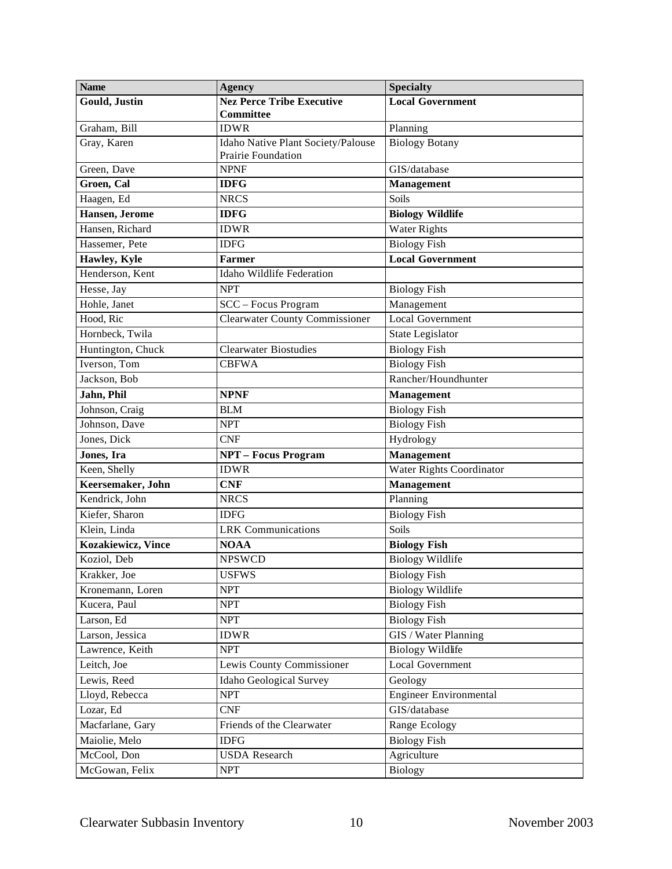| <b>Name</b>                | <b>Agency</b>                                            | <b>Specialty</b>              |
|----------------------------|----------------------------------------------------------|-------------------------------|
| <b>Gould, Justin</b>       | <b>Nez Perce Tribe Executive</b><br>Committee            | <b>Local Government</b>       |
| Graham, Bill               | <b>IDWR</b>                                              | Planning                      |
| Gray, Karen                | Idaho Native Plant Society/Palouse<br>Prairie Foundation | <b>Biology Botany</b>         |
| Green, Dave                | <b>NPNF</b>                                              | GIS/database                  |
| Groen, Cal                 | <b>IDFG</b>                                              | Management                    |
| Haagen, Ed                 | <b>NRCS</b>                                              | Soils                         |
| Hansen, Jerome             | <b>IDFG</b>                                              | <b>Biology Wildlife</b>       |
| Hansen, Richard            | <b>IDWR</b>                                              | <b>Water Rights</b>           |
| Hassemer, Pete             | <b>IDFG</b>                                              | <b>Biology Fish</b>           |
| Hawley, Kyle               | <b>Farmer</b>                                            | <b>Local Government</b>       |
| Henderson, Kent            | Idaho Wildlife Federation                                |                               |
| Hesse, Jay                 | <b>NPT</b>                                               | <b>Biology Fish</b>           |
| Hohle, Janet               | SCC - Focus Program                                      | Management                    |
| Hood, Ric                  | <b>Clearwater County Commissioner</b>                    | <b>Local Government</b>       |
| Hornbeck, Twila            |                                                          | State Legislator              |
| Huntington, Chuck          | <b>Clearwater Biostudies</b>                             | <b>Biology Fish</b>           |
| Iverson, Tom               | <b>CBFWA</b>                                             | <b>Biology Fish</b>           |
| Jackson, Bob               |                                                          | Rancher/Houndhunter           |
| Jahn, Phil                 | <b>NPNF</b>                                              | Management                    |
| Johnson, Craig             | <b>BLM</b>                                               | <b>Biology Fish</b>           |
| Johnson, Dave              | <b>NPT</b>                                               | <b>Biology Fish</b>           |
| Jones, Dick                | <b>CNF</b>                                               | Hydrology                     |
| Jones, Ira                 | <b>NPT - Focus Program</b>                               | <b>Management</b>             |
| Keen, Shelly               | <b>IDWR</b>                                              | Water Rights Coordinator      |
| Keersemaker, John          | <b>CNF</b>                                               | <b>Management</b>             |
| Kendrick, John             | <b>NRCS</b>                                              | Planning                      |
| Kiefer, Sharon             | <b>IDFG</b>                                              | <b>Biology Fish</b>           |
| Klein, Linda               | <b>LRK</b> Communications                                | Soils                         |
| <b>Kozakiewicz</b> , Vince | <b>NOAA</b>                                              | <b>Biology Fish</b>           |
| Koziol, Deb                | <b>NPSWCD</b>                                            | <b>Biology Wildlife</b>       |
| Krakker, Joe               | <b>USFWS</b>                                             | <b>Biology Fish</b>           |
| Kronemann, Loren           | <b>NPT</b>                                               | <b>Biology Wildlife</b>       |
| Kucera, Paul               | <b>NPT</b>                                               | <b>Biology Fish</b>           |
| Larson, Ed                 | <b>NPT</b>                                               | <b>Biology Fish</b>           |
| Larson, Jessica            | <b>IDWR</b>                                              | GIS / Water Planning          |
| Lawrence, Keith            | <b>NPT</b>                                               | <b>Biology Wildlife</b>       |
| Leitch, Joe                | Lewis County Commissioner                                | Local Government              |
| Lewis, Reed                | <b>Idaho Geological Survey</b>                           | Geology                       |
| Lloyd, Rebecca             | <b>NPT</b>                                               | <b>Engineer Environmental</b> |
| Lozar, Ed                  | <b>CNF</b>                                               | GIS/database                  |
| Macfarlane, Gary           | Friends of the Clearwater                                | Range Ecology                 |
| Maiolie, Melo              | <b>IDFG</b>                                              | <b>Biology Fish</b>           |
| McCool, Don                | <b>USDA</b> Research                                     | Agriculture                   |
| McGowan, Felix             | NPT                                                      | <b>Biology</b>                |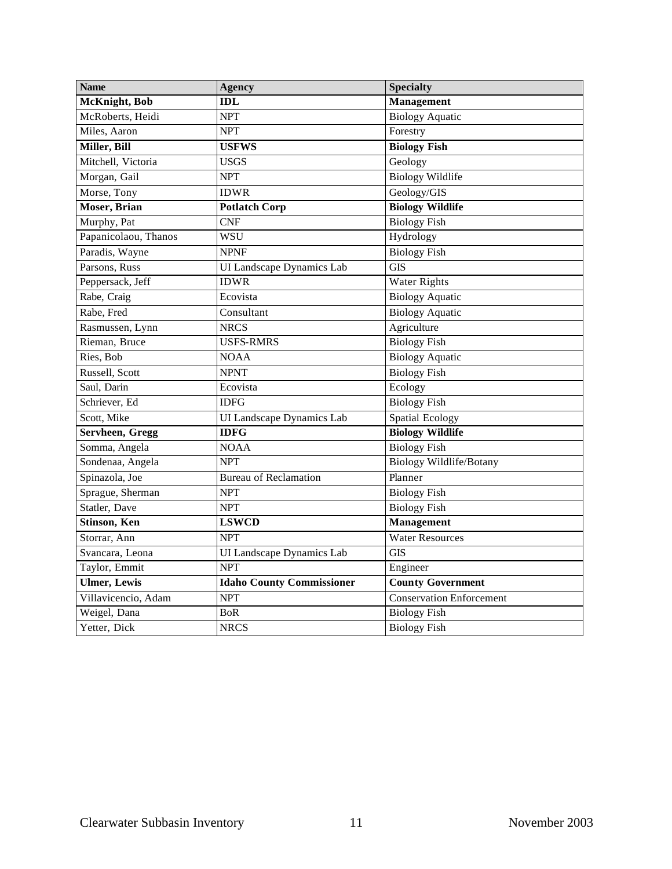| <b>Name</b>          | <b>Agency</b>                    | <b>Specialty</b>         |
|----------------------|----------------------------------|--------------------------|
| McKnight, Bob        | <b>IDL</b>                       | <b>Management</b>        |
| McRoberts, Heidi     | <b>NPT</b>                       | <b>Biology Aquatic</b>   |
| Miles, Aaron         | <b>NPT</b>                       | Forestry                 |
| Miller, Bill         | <b>USFWS</b>                     | <b>Biology Fish</b>      |
| Mitchell, Victoria   | <b>USGS</b>                      | Geology                  |
| Morgan, Gail         | <b>NPT</b>                       | <b>Biology Wildlife</b>  |
| Morse, Tony          | <b>IDWR</b>                      | Geology/GIS              |
| <b>Moser</b> , Brian | <b>Potlatch Corp</b>             | <b>Biology Wildlife</b>  |
| Murphy, Pat          | <b>CNF</b>                       | <b>Biology Fish</b>      |
| Papanicolaou, Thanos | <b>WSU</b>                       | Hydrology                |
| Paradis, Wayne       | <b>NPNF</b>                      | <b>Biology Fish</b>      |
| Parsons, Russ        | UI Landscape Dynamics Lab        | <b>GIS</b>               |
| Peppersack, Jeff     | <b>IDWR</b>                      | <b>Water Rights</b>      |
| Rabe, Craig          | Ecovista                         | <b>Biology Aquatic</b>   |
| Rabe, Fred           | Consultant                       | <b>Biology Aquatic</b>   |
| Rasmussen, Lynn      | <b>NRCS</b>                      | Agriculture              |
| Rieman, Bruce        | <b>USFS-RMRS</b>                 | <b>Biology Fish</b>      |
| Ries, Bob            | <b>NOAA</b>                      | <b>Biology</b> Aquatic   |
| Russell, Scott       | <b>NPNT</b>                      | <b>Biology Fish</b>      |
| Saul, Darin          | Ecovista                         | Ecology                  |
| Schriever, Ed        | <b>IDFG</b>                      | <b>Biology Fish</b>      |
| Scott, Mike          | UI Landscape Dynamics Lab        | Spatial Ecology          |
| Servheen, Gregg      | <b>IDFG</b>                      | <b>Biology Wildlife</b>  |
| Somma, Angela        | <b>NOAA</b>                      | <b>Biology Fish</b>      |
| Sondenaa, Angela     | <b>NPT</b>                       | Biology Wildlife/Botany  |
| Spinazola, Joe       | <b>Bureau of Reclamation</b>     | Planner                  |
| Sprague, Sherman     | <b>NPT</b>                       | <b>Biology Fish</b>      |
| Statler, Dave        | <b>NPT</b>                       | <b>Biology Fish</b>      |
| <b>Stinson</b> , Ken | <b>LSWCD</b>                     | <b>Management</b>        |
| Storrar, Ann         | <b>NPT</b>                       | Water Resources          |
| Svancara, Leona      | UI Landscape Dynamics Lab        | $\overline{GIS}$         |
| Taylor, Emmit        | <b>NPT</b>                       | Engineer                 |
| <b>Ulmer</b> , Lewis | <b>Idaho County Commissioner</b> | <b>County Government</b> |
| Villavicencio, Adam  | <b>NPT</b>                       | Conservation Enforcement |
| Weigel, Dana         | BoR                              | <b>Biology Fish</b>      |
| Yetter, Dick         | <b>NRCS</b>                      | <b>Biology Fish</b>      |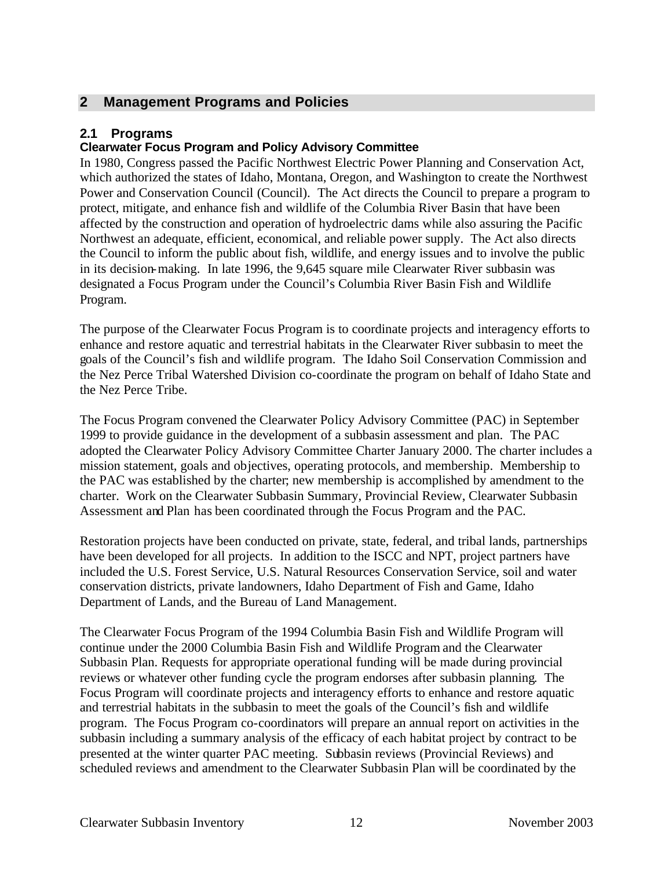# **2 Management Programs and Policies**

### **2.1 Programs**

#### **Clearwater Focus Program and Policy Advisory Committee**

In 1980, Congress passed the Pacific Northwest Electric Power Planning and Conservation Act, which authorized the states of Idaho, Montana, Oregon, and Washington to create the Northwest Power and Conservation Council (Council). The Act directs the Council to prepare a program to protect, mitigate, and enhance fish and wildlife of the Columbia River Basin that have been affected by the construction and operation of hydroelectric dams while also assuring the Pacific Northwest an adequate, efficient, economical, and reliable power supply. The Act also directs the Council to inform the public about fish, wildlife, and energy issues and to involve the public in its decision-making. In late 1996, the 9,645 square mile Clearwater River subbasin was designated a Focus Program under the Council's Columbia River Basin Fish and Wildlife Program.

The purpose of the Clearwater Focus Program is to coordinate projects and interagency efforts to enhance and restore aquatic and terrestrial habitats in the Clearwater River subbasin to meet the goals of the Council's fish and wildlife program. The Idaho Soil Conservation Commission and the Nez Perce Tribal Watershed Division co-coordinate the program on behalf of Idaho State and the Nez Perce Tribe.

The Focus Program convened the Clearwater Policy Advisory Committee (PAC) in September 1999 to provide guidance in the development of a subbasin assessment and plan. The PAC adopted the Clearwater Policy Advisory Committee Charter January 2000. The charter includes a mission statement, goals and objectives, operating protocols, and membership. Membership to the PAC was established by the charter; new membership is accomplished by amendment to the charter. Work on the Clearwater Subbasin Summary, Provincial Review, Clearwater Subbasin Assessment and Plan has been coordinated through the Focus Program and the PAC.

Restoration projects have been conducted on private, state, federal, and tribal lands, partnerships have been developed for all projects. In addition to the ISCC and NPT, project partners have included the U.S. Forest Service, U.S. Natural Resources Conservation Service, soil and water conservation districts, private landowners, Idaho Department of Fish and Game, Idaho Department of Lands, and the Bureau of Land Management.

The Clearwater Focus Program of the 1994 Columbia Basin Fish and Wildlife Program will continue under the 2000 Columbia Basin Fish and Wildlife Program and the Clearwater Subbasin Plan. Requests for appropriate operational funding will be made during provincial reviews or whatever other funding cycle the program endorses after subbasin planning. The Focus Program will coordinate projects and interagency efforts to enhance and restore aquatic and terrestrial habitats in the subbasin to meet the goals of the Council's fish and wildlife program. The Focus Program co-coordinators will prepare an annual report on activities in the subbasin including a summary analysis of the efficacy of each habitat project by contract to be presented at the winter quarter PAC meeting. Subbasin reviews (Provincial Reviews) and scheduled reviews and amendment to the Clearwater Subbasin Plan will be coordinated by the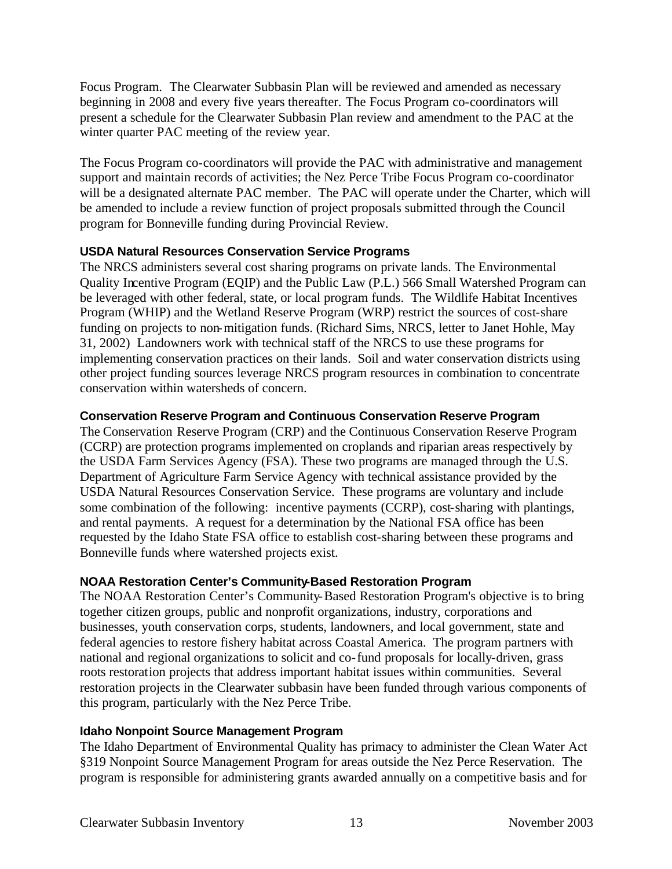Focus Program. The Clearwater Subbasin Plan will be reviewed and amended as necessary beginning in 2008 and every five years thereafter. The Focus Program co-coordinators will present a schedule for the Clearwater Subbasin Plan review and amendment to the PAC at the winter quarter PAC meeting of the review year.

The Focus Program co-coordinators will provide the PAC with administrative and management support and maintain records of activities; the Nez Perce Tribe Focus Program co-coordinator will be a designated alternate PAC member. The PAC will operate under the Charter, which will be amended to include a review function of project proposals submitted through the Council program for Bonneville funding during Provincial Review.

#### **USDA Natural Resources Conservation Service Programs**

The NRCS administers several cost sharing programs on private lands. The Environmental Quality Incentive Program (EQIP) and the Public Law (P.L.) 566 Small Watershed Program can be leveraged with other federal, state, or local program funds. The Wildlife Habitat Incentives Program (WHIP) and the Wetland Reserve Program (WRP) restrict the sources of cost-share funding on projects to non-mitigation funds. (Richard Sims, NRCS, letter to Janet Hohle, May 31, 2002) Landowners work with technical staff of the NRCS to use these programs for implementing conservation practices on their lands. Soil and water conservation districts using other project funding sources leverage NRCS program resources in combination to concentrate conservation within watersheds of concern.

#### **Conservation Reserve Program and Continuous Conservation Reserve Program**

The Conservation Reserve Program (CRP) and the Continuous Conservation Reserve Program (CCRP) are protection programs implemented on croplands and riparian areas respectively by the USDA Farm Services Agency (FSA). These two programs are managed through the U.S. Department of Agriculture Farm Service Agency with technical assistance provided by the USDA Natural Resources Conservation Service. These programs are voluntary and include some combination of the following: incentive payments (CCRP), cost-sharing with plantings, and rental payments. A request for a determination by the National FSA office has been requested by the Idaho State FSA office to establish cost-sharing between these programs and Bonneville funds where watershed projects exist.

#### **NOAA Restoration Center's Community-Based Restoration Program**

The NOAA Restoration Center's Community-Based Restoration Program's objective is to bring together citizen groups, public and nonprofit organizations, industry, corporations and businesses, youth conservation corps, students, landowners, and local government, state and federal agencies to restore fishery habitat across Coastal America. The program partners with national and regional organizations to solicit and co-fund proposals for locally-driven, grass roots restoration projects that address important habitat issues within communities. Several restoration projects in the Clearwater subbasin have been funded through various components of this program, particularly with the Nez Perce Tribe.

#### **Idaho Nonpoint Source Management Program**

The Idaho Department of Environmental Quality has primacy to administer the Clean Water Act §319 Nonpoint Source Management Program for areas outside the Nez Perce Reservation. The program is responsible for administering grants awarded annually on a competitive basis and for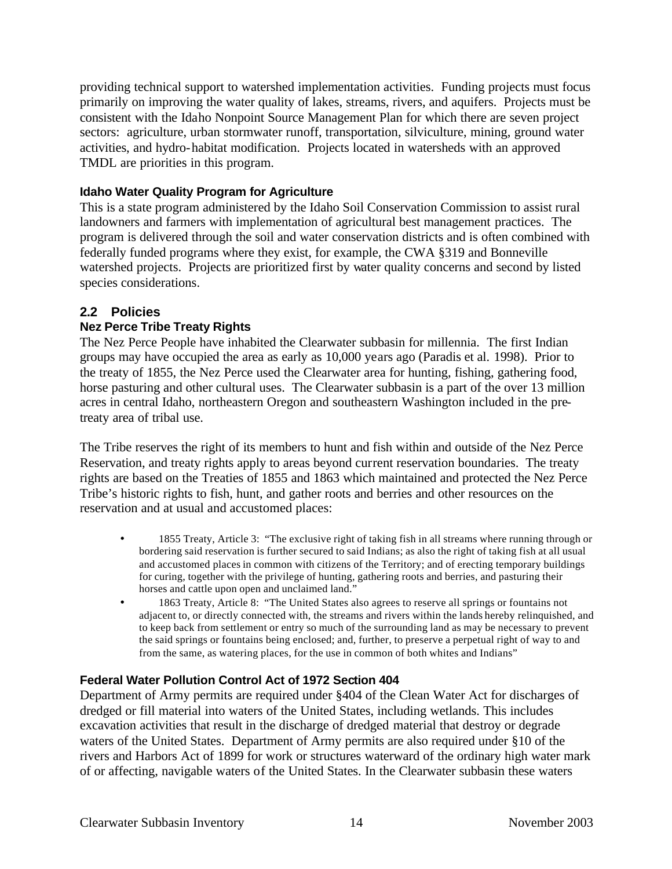providing technical support to watershed implementation activities. Funding projects must focus primarily on improving the water quality of lakes, streams, rivers, and aquifers. Projects must be consistent with the Idaho Nonpoint Source Management Plan for which there are seven project sectors: agriculture, urban stormwater runoff, transportation, silviculture, mining, ground water activities, and hydro-habitat modification. Projects located in watersheds with an approved TMDL are priorities in this program.

#### **Idaho Water Quality Program for Agriculture**

This is a state program administered by the Idaho Soil Conservation Commission to assist rural landowners and farmers with implementation of agricultural best management practices. The program is delivered through the soil and water conservation districts and is often combined with federally funded programs where they exist, for example, the CWA §319 and Bonneville watershed projects. Projects are prioritized first by water quality concerns and second by listed species considerations.

# **2.2 Policies**

#### **Nez Perce Tribe Treaty Rights**

The Nez Perce People have inhabited the Clearwater subbasin for millennia. The first Indian groups may have occupied the area as early as 10,000 years ago (Paradis et al. 1998). Prior to the treaty of 1855, the Nez Perce used the Clearwater area for hunting, fishing, gathering food, horse pasturing and other cultural uses. The Clearwater subbasin is a part of the over 13 million acres in central Idaho, northeastern Oregon and southeastern Washington included in the pretreaty area of tribal use.

The Tribe reserves the right of its members to hunt and fish within and outside of the Nez Perce Reservation, and treaty rights apply to areas beyond current reservation boundaries. The treaty rights are based on the Treaties of 1855 and 1863 which maintained and protected the Nez Perce Tribe's historic rights to fish, hunt, and gather roots and berries and other resources on the reservation and at usual and accustomed places:

- 1855 Treaty, Article 3: "The exclusive right of taking fish in all streams where running through or bordering said reservation is further secured to said Indians; as also the right of taking fish at all usual and accustomed places in common with citizens of the Territory; and of erecting temporary buildings for curing, together with the privilege of hunting, gathering roots and berries, and pasturing their horses and cattle upon open and unclaimed land."
- 1863 Treaty, Article 8: "The United States also agrees to reserve all springs or fountains not adjacent to, or directly connected with, the streams and rivers within the lands hereby relinquished, and to keep back from settlement or entry so much of the surrounding land as may be necessary to prevent the said springs or fountains being enclosed; and, further, to preserve a perpetual right of way to and from the same, as watering places, for the use in common of both whites and Indians"

#### **Federal Water Pollution Control Act of 1972 Section 404**

Department of Army permits are required under §404 of the Clean Water Act for discharges of dredged or fill material into waters of the United States, including wetlands. This includes excavation activities that result in the discharge of dredged material that destroy or degrade waters of the United States. Department of Army permits are also required under §10 of the rivers and Harbors Act of 1899 for work or structures waterward of the ordinary high water mark of or affecting, navigable waters of the United States. In the Clearwater subbasin these waters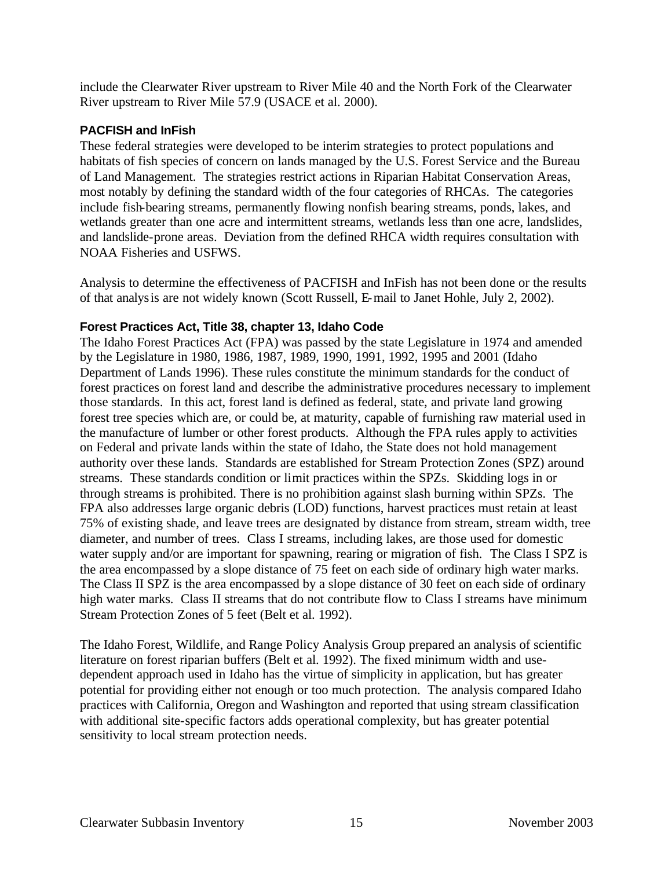include the Clearwater River upstream to River Mile 40 and the North Fork of the Clearwater River upstream to River Mile 57.9 (USACE et al. 2000).

#### **PACFISH and InFish**

These federal strategies were developed to be interim strategies to protect populations and habitats of fish species of concern on lands managed by the U.S. Forest Service and the Bureau of Land Management. The strategies restrict actions in Riparian Habitat Conservation Areas, most notably by defining the standard width of the four categories of RHCAs. The categories include fish-bearing streams, permanently flowing nonfish bearing streams, ponds, lakes, and wetlands greater than one acre and intermittent streams, wetlands less than one acre, landslides, and landslide-prone areas. Deviation from the defined RHCA width requires consultation with NOAA Fisheries and USFWS.

Analysis to determine the effectiveness of PACFISH and InFish has not been done or the results of that analysis are not widely known (Scott Russell, E-mail to Janet Hohle, July 2, 2002).

#### **Forest Practices Act, Title 38, chapter 13, Idaho Code**

The Idaho Forest Practices Act (FPA) was passed by the state Legislature in 1974 and amended by the Legislature in 1980, 1986, 1987, 1989, 1990, 1991, 1992, 1995 and 2001 (Idaho Department of Lands 1996). These rules constitute the minimum standards for the conduct of forest practices on forest land and describe the administrative procedures necessary to implement those standards. In this act, forest land is defined as federal, state, and private land growing forest tree species which are, or could be, at maturity, capable of furnishing raw material used in the manufacture of lumber or other forest products. Although the FPA rules apply to activities on Federal and private lands within the state of Idaho, the State does not hold management authority over these lands. Standards are established for Stream Protection Zones (SPZ) around streams. These standards condition or limit practices within the SPZs. Skidding logs in or through streams is prohibited. There is no prohibition against slash burning within SPZs. The FPA also addresses large organic debris (LOD) functions, harvest practices must retain at least 75% of existing shade, and leave trees are designated by distance from stream, stream width, tree diameter, and number of trees. Class I streams, including lakes, are those used for domestic water supply and/or are important for spawning, rearing or migration of fish. The Class I SPZ is the area encompassed by a slope distance of 75 feet on each side of ordinary high water marks. The Class II SPZ is the area encompassed by a slope distance of 30 feet on each side of ordinary high water marks. Class II streams that do not contribute flow to Class I streams have minimum Stream Protection Zones of 5 feet (Belt et al. 1992).

The Idaho Forest, Wildlife, and Range Policy Analysis Group prepared an analysis of scientific literature on forest riparian buffers (Belt et al. 1992). The fixed minimum width and usedependent approach used in Idaho has the virtue of simplicity in application, but has greater potential for providing either not enough or too much protection. The analysis compared Idaho practices with California, Oregon and Washington and reported that using stream classification with additional site-specific factors adds operational complexity, but has greater potential sensitivity to local stream protection needs.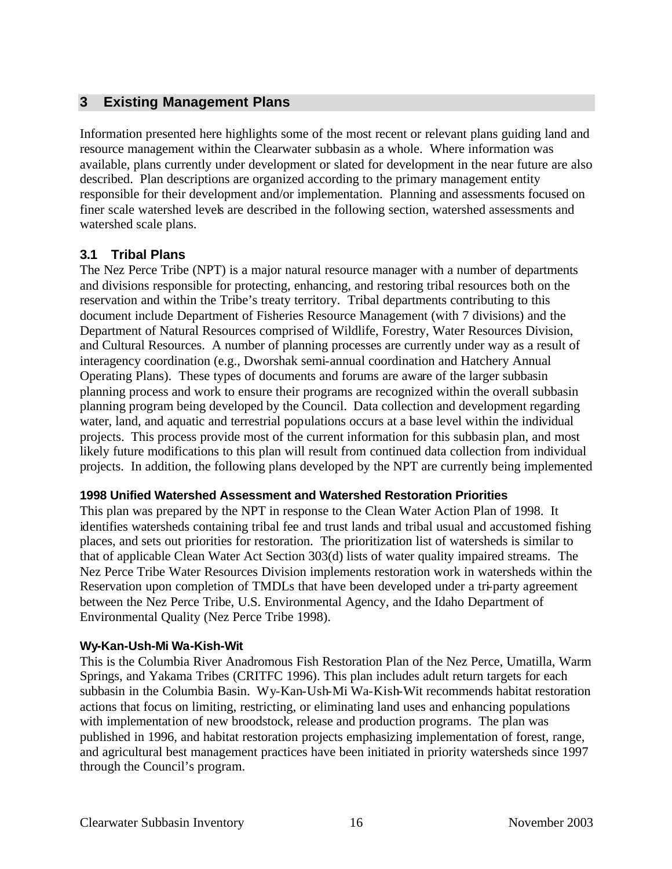# **3 Existing Management Plans**

Information presented here highlights some of the most recent or relevant plans guiding land and resource management within the Clearwater subbasin as a whole. Where information was available, plans currently under development or slated for development in the near future are also described. Plan descriptions are organized according to the primary management entity responsible for their development and/or implementation. Planning and assessments focused on finer scale watershed levels are described in the following section, watershed assessments and watershed scale plans.

#### **3.1 Tribal Plans**

The Nez Perce Tribe (NPT) is a major natural resource manager with a number of departments and divisions responsible for protecting, enhancing, and restoring tribal resources both on the reservation and within the Tribe's treaty territory. Tribal departments contributing to this document include Department of Fisheries Resource Management (with 7 divisions) and the Department of Natural Resources comprised of Wildlife, Forestry, Water Resources Division, and Cultural Resources. A number of planning processes are currently under way as a result of interagency coordination (e.g., Dworshak semi-annual coordination and Hatchery Annual Operating Plans). These types of documents and forums are aware of the larger subbasin planning process and work to ensure their programs are recognized within the overall subbasin planning program being developed by the Council. Data collection and development regarding water, land, and aquatic and terrestrial populations occurs at a base level within the individual projects. This process provide most of the current information for this subbasin plan, and most likely future modifications to this plan will result from continued data collection from individual projects. In addition, the following plans developed by the NPT are currently being implemented

#### **1998 Unified Watershed Assessment and Watershed Restoration Priorities**

This plan was prepared by the NPT in response to the Clean Water Action Plan of 1998. It identifies watersheds containing tribal fee and trust lands and tribal usual and accustomed fishing places, and sets out priorities for restoration. The prioritization list of watersheds is similar to that of applicable Clean Water Act Section 303(d) lists of water quality impaired streams. The Nez Perce Tribe Water Resources Division implements restoration work in watersheds within the Reservation upon completion of TMDLs that have been developed under a tri-party agreement between the Nez Perce Tribe, U.S. Environmental Agency, and the Idaho Department of Environmental Quality (Nez Perce Tribe 1998).

#### **Wy-Kan-Ush-Mi Wa-Kish-Wit**

This is the Columbia River Anadromous Fish Restoration Plan of the Nez Perce, Umatilla, Warm Springs, and Yakama Tribes (CRITFC 1996). This plan includes adult return targets for each subbasin in the Columbia Basin. Wy-Kan-Ush-Mi Wa-Kish-Wit recommends habitat restoration actions that focus on limiting, restricting, or eliminating land uses and enhancing populations with implementation of new broodstock, release and production programs. The plan was published in 1996, and habitat restoration projects emphasizing implementation of forest, range, and agricultural best management practices have been initiated in priority watersheds since 1997 through the Council's program.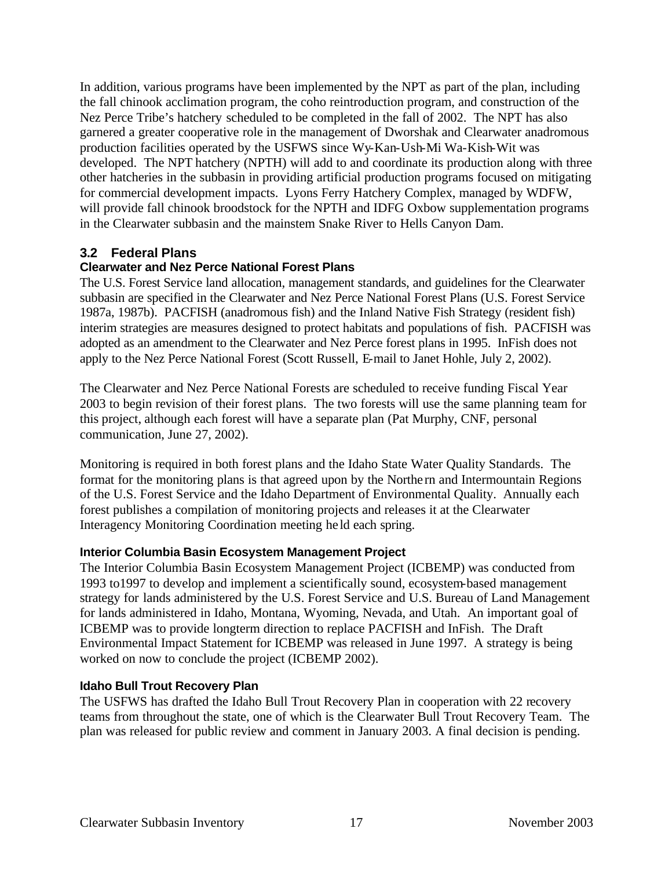In addition, various programs have been implemented by the NPT as part of the plan, including the fall chinook acclimation program, the coho reintroduction program, and construction of the Nez Perce Tribe's hatchery scheduled to be completed in the fall of 2002. The NPT has also garnered a greater cooperative role in the management of Dworshak and Clearwater anadromous production facilities operated by the USFWS since Wy-Kan-Ush-Mi Wa-Kish-Wit was developed. The NPT hatchery (NPTH) will add to and coordinate its production along with three other hatcheries in the subbasin in providing artificial production programs focused on mitigating for commercial development impacts. Lyons Ferry Hatchery Complex, managed by WDFW, will provide fall chinook broodstock for the NPTH and IDFG Oxbow supplementation programs in the Clearwater subbasin and the mainstem Snake River to Hells Canyon Dam.

# **3.2 Federal Plans**

# **Clearwater and Nez Perce National Forest Plans**

The U.S. Forest Service land allocation, management standards, and guidelines for the Clearwater subbasin are specified in the Clearwater and Nez Perce National Forest Plans (U.S. Forest Service 1987a, 1987b). PACFISH (anadromous fish) and the Inland Native Fish Strategy (resident fish) interim strategies are measures designed to protect habitats and populations of fish. PACFISH was adopted as an amendment to the Clearwater and Nez Perce forest plans in 1995. InFish does not apply to the Nez Perce National Forest (Scott Russell, E-mail to Janet Hohle, July 2, 2002).

The Clearwater and Nez Perce National Forests are scheduled to receive funding Fiscal Year 2003 to begin revision of their forest plans. The two forests will use the same planning team for this project, although each forest will have a separate plan (Pat Murphy, CNF, personal communication, June 27, 2002).

Monitoring is required in both forest plans and the Idaho State Water Quality Standards. The format for the monitoring plans is that agreed upon by the Northe rn and Intermountain Regions of the U.S. Forest Service and the Idaho Department of Environmental Quality. Annually each forest publishes a compilation of monitoring projects and releases it at the Clearwater Interagency Monitoring Coordination meeting he ld each spring.

#### **Interior Columbia Basin Ecosystem Management Project**

The Interior Columbia Basin Ecosystem Management Project (ICBEMP) was conducted from 1993 to1997 to develop and implement a scientifically sound, ecosystem-based management strategy for lands administered by the U.S. Forest Service and U.S. Bureau of Land Management for lands administered in Idaho, Montana, Wyoming, Nevada, and Utah. An important goal of ICBEMP was to provide longterm direction to replace PACFISH and InFish. The Draft Environmental Impact Statement for ICBEMP was released in June 1997. A strategy is being worked on now to conclude the project (ICBEMP 2002).

#### **Idaho Bull Trout Recovery Plan**

The USFWS has drafted the Idaho Bull Trout Recovery Plan in cooperation with 22 recovery teams from throughout the state, one of which is the Clearwater Bull Trout Recovery Team. The plan was released for public review and comment in January 2003. A final decision is pending.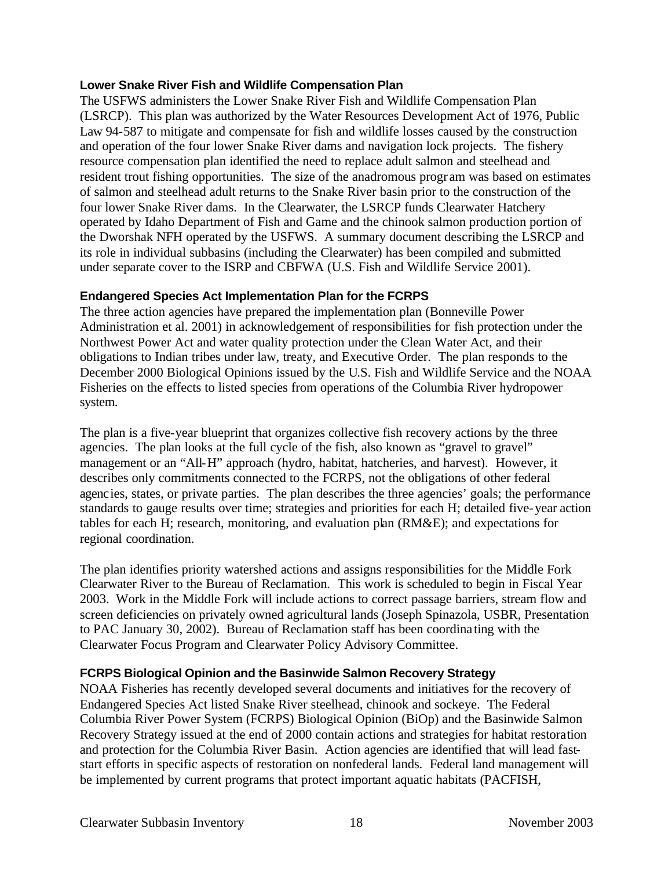#### **Lower Snake River Fish and Wildlife Compensation Plan**

The USFWS administers the Lower Snake River Fish and Wildlife Compensation Plan (LSRCP). This plan was authorized by the Water Resources Development Act of 1976, Public Law 94-587 to mitigate and compensate for fish and wildlife losses caused by the construction and operation of the four lower Snake River dams and navigation lock projects. The fishery resource compensation plan identified the need to replace adult salmon and steelhead and resident trout fishing opportunities. The size of the anadromous progr am was based on estimates of salmon and steelhead adult returns to the Snake River basin prior to the construction of the four lower Snake River dams. In the Clearwater, the LSRCP funds Clearwater Hatchery operated by Idaho Department of Fish and Game and the chinook salmon production portion of the Dworshak NFH operated by the USFWS. A summary document describing the LSRCP and its role in individual subbasins (including the Clearwater) has been compiled and submitted under separate cover to the ISRP and CBFWA (U.S. Fish and Wildlife Service 2001).

#### **Endangered Species Act Implementation Plan for the FCRPS**

The three action agencies have prepared the implementation plan (Bonneville Power Administration et al. 2001) in acknowledgement of responsibilities for fish protection under the Northwest Power Act and water quality protection under the Clean Water Act, and their obligations to Indian tribes under law, treaty, and Executive Order. The plan responds to the December 2000 Biological Opinions issued by the U.S. Fish and Wildlife Service and the NOAA Fisheries on the effects to listed species from operations of the Columbia River hydropower system.

The plan is a five-year blueprint that organizes collective fish recovery actions by the three agencies. The plan looks at the full cycle of the fish, also known as "gravel to gravel" management or an "All-H" approach (hydro, habitat, hatcheries, and harvest). However, it describes only commitments connected to the FCRPS, not the obligations of other federal agencies, states, or private parties. The plan describes the three agencies' goals; the performance standards to gauge results over time; strategies and priorities for each H; detailed five-year action tables for each H; research, monitoring, and evaluation plan (RM&E); and expectations for regional coordination.

The plan identifies priority watershed actions and assigns responsibilities for the Middle Fork Clearwater River to the Bureau of Reclamation. This work is scheduled to begin in Fiscal Year 2003. Work in the Middle Fork will include actions to correct passage barriers, stream flow and screen deficiencies on privately owned agricultural lands (Joseph Spinazola, USBR, Presentation to PAC January 30, 2002). Bureau of Reclamation staff has been coordina ting with the Clearwater Focus Program and Clearwater Policy Advisory Committee.

#### **FCRPS Biological Opinion and the Basinwide Salmon Recovery Strategy**

NOAA Fisheries has recently developed several documents and initiatives for the recovery of Endangered Species Act listed Snake River steelhead, chinook and sockeye. The Federal Columbia River Power System (FCRPS) Biological Opinion (BiOp) and the Basinwide Salmon Recovery Strategy issued at the end of 2000 contain actions and strategies for habitat restoration and protection for the Columbia River Basin. Action agencies are identified that will lead faststart efforts in specific aspects of restoration on nonfederal lands. Federal land management will be implemented by current programs that protect important aquatic habitats (PACFISH,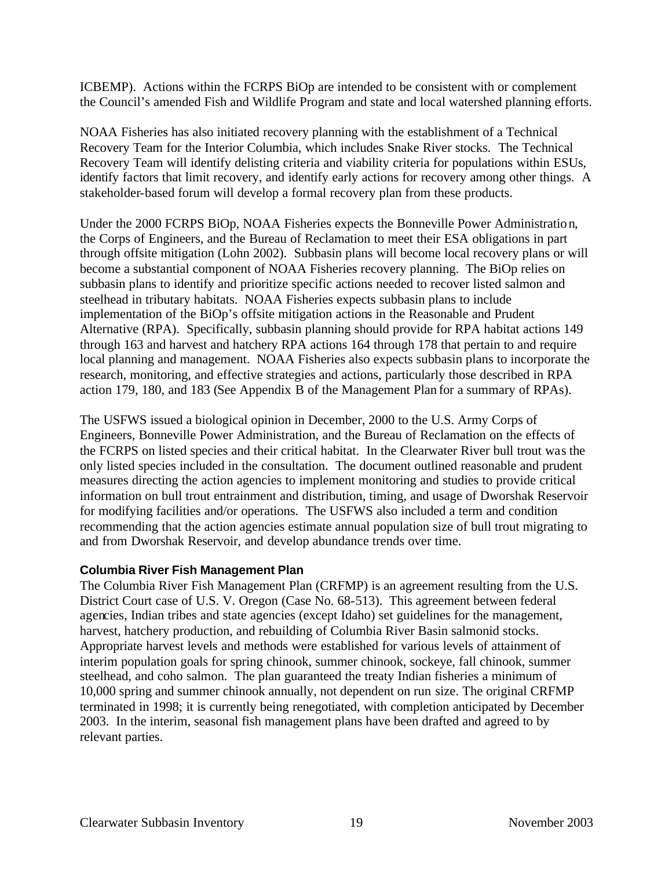ICBEMP). Actions within the FCRPS BiOp are intended to be consistent with or complement the Council's amended Fish and Wildlife Program and state and local watershed planning efforts.

NOAA Fisheries has also initiated recovery planning with the establishment of a Technical Recovery Team for the Interior Columbia, which includes Snake River stocks. The Technical Recovery Team will identify delisting criteria and viability criteria for populations within ESUs, identify factors that limit recovery, and identify early actions for recovery among other things. A stakeholder-based forum will develop a formal recovery plan from these products.

Under the 2000 FCRPS BiOp, NOAA Fisheries expects the Bonneville Power Administration, the Corps of Engineers, and the Bureau of Reclamation to meet their ESA obligations in part through offsite mitigation (Lohn 2002). Subbasin plans will become local recovery plans or will become a substantial component of NOAA Fisheries recovery planning. The BiOp relies on subbasin plans to identify and prioritize specific actions needed to recover listed salmon and steelhead in tributary habitats. NOAA Fisheries expects subbasin plans to include implementation of the BiOp's offsite mitigation actions in the Reasonable and Prudent Alternative (RPA). Specifically, subbasin planning should provide for RPA habitat actions 149 through 163 and harvest and hatchery RPA actions 164 through 178 that pertain to and require local planning and management. NOAA Fisheries also expects subbasin plans to incorporate the research, monitoring, and effective strategies and actions, particularly those described in RPA action 179, 180, and 183 (See Appendix B of the Management Plan for a summary of RPAs).

The USFWS issued a biological opinion in December, 2000 to the U.S. Army Corps of Engineers, Bonneville Power Administration, and the Bureau of Reclamation on the effects of the FCRPS on listed species and their critical habitat. In the Clearwater River bull trout was the only listed species included in the consultation. The document outlined reasonable and prudent measures directing the action agencies to implement monitoring and studies to provide critical information on bull trout entrainment and distribution, timing, and usage of Dworshak Reservoir for modifying facilities and/or operations. The USFWS also included a term and condition recommending that the action agencies estimate annual population size of bull trout migrating to and from Dworshak Reservoir, and develop abundance trends over time.

#### **Columbia River Fish Management Plan**

The Columbia River Fish Management Plan (CRFMP) is an agreement resulting from the U.S. District Court case of U.S. V. Oregon (Case No. 68-513). This agreement between federal agencies, Indian tribes and state agencies (except Idaho) set guidelines for the management, harvest, hatchery production, and rebuilding of Columbia River Basin salmonid stocks. Appropriate harvest levels and methods were established for various levels of attainment of interim population goals for spring chinook, summer chinook, sockeye, fall chinook, summer steelhead, and coho salmon. The plan guaranteed the treaty Indian fisheries a minimum of 10,000 spring and summer chinook annually, not dependent on run size. The original CRFMP terminated in 1998; it is currently being renegotiated, with completion anticipated by December 2003. In the interim, seasonal fish management plans have been drafted and agreed to by relevant parties.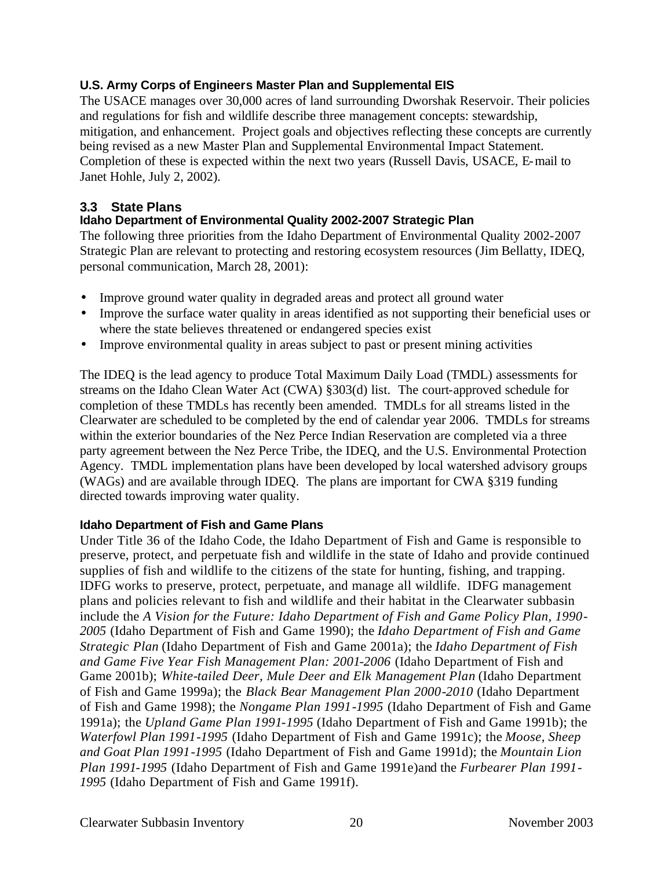# **U.S. Army Corps of Engineers Master Plan and Supplemental EIS**

The USACE manages over 30,000 acres of land surrounding Dworshak Reservoir. Their policies and regulations for fish and wildlife describe three management concepts: stewardship, mitigation, and enhancement. Project goals and objectives reflecting these concepts are currently being revised as a new Master Plan and Supplemental Environmental Impact Statement. Completion of these is expected within the next two years (Russell Davis, USACE, E-mail to Janet Hohle, July 2, 2002).

# **3.3 State Plans**

# **Idaho Department of Environmental Quality 2002-2007 Strategic Plan**

The following three priorities from the Idaho Department of Environmental Quality 2002-2007 Strategic Plan are relevant to protecting and restoring ecosystem resources (Jim Bellatty, IDEQ, personal communication, March 28, 2001):

- Improve ground water quality in degraded areas and protect all ground water
- Improve the surface water quality in areas identified as not supporting their beneficial uses or where the state believes threatened or endangered species exist
- Improve environmental quality in areas subject to past or present mining activities

The IDEQ is the lead agency to produce Total Maximum Daily Load (TMDL) assessments for streams on the Idaho Clean Water Act (CWA) §303(d) list. The court-approved schedule for completion of these TMDLs has recently been amended. TMDLs for all streams listed in the Clearwater are scheduled to be completed by the end of calendar year 2006. TMDLs for streams within the exterior boundaries of the Nez Perce Indian Reservation are completed via a three party agreement between the Nez Perce Tribe, the IDEQ, and the U.S. Environmental Protection Agency. TMDL implementation plans have been developed by local watershed advisory groups (WAGs) and are available through IDEQ. The plans are important for CWA §319 funding directed towards improving water quality.

# **Idaho Department of Fish and Game Plans**

Under Title 36 of the Idaho Code, the Idaho Department of Fish and Game is responsible to preserve, protect, and perpetuate fish and wildlife in the state of Idaho and provide continued supplies of fish and wildlife to the citizens of the state for hunting, fishing, and trapping. IDFG works to preserve, protect, perpetuate, and manage all wildlife. IDFG management plans and policies relevant to fish and wildlife and their habitat in the Clearwater subbasin include the *A Vision for the Future: Idaho Department of Fish and Game Policy Plan, 1990- 2005* (Idaho Department of Fish and Game 1990); the *Idaho Department of Fish and Game Strategic Plan* (Idaho Department of Fish and Game 2001a); the *Idaho Department of Fish and Game Five Year Fish Management Plan: 2001-2006* (Idaho Department of Fish and Game 2001b); *White-tailed Deer, Mule Deer and Elk Management Plan* (Idaho Department of Fish and Game 1999a); the *Black Bear Management Plan 2000-2010* (Idaho Department of Fish and Game 1998); the *Nongame Plan 1991-1995* (Idaho Department of Fish and Game 1991a); the *Upland Game Plan 1991-1995* (Idaho Department of Fish and Game 1991b); the *Waterfowl Plan 1991-1995* (Idaho Department of Fish and Game 1991c); the *Moose, Sheep and Goat Plan 1991-1995* (Idaho Department of Fish and Game 1991d); the *Mountain Lion Plan 1991-1995* (Idaho Department of Fish and Game 1991e)and the *Furbearer Plan 1991- 1995* (Idaho Department of Fish and Game 1991f).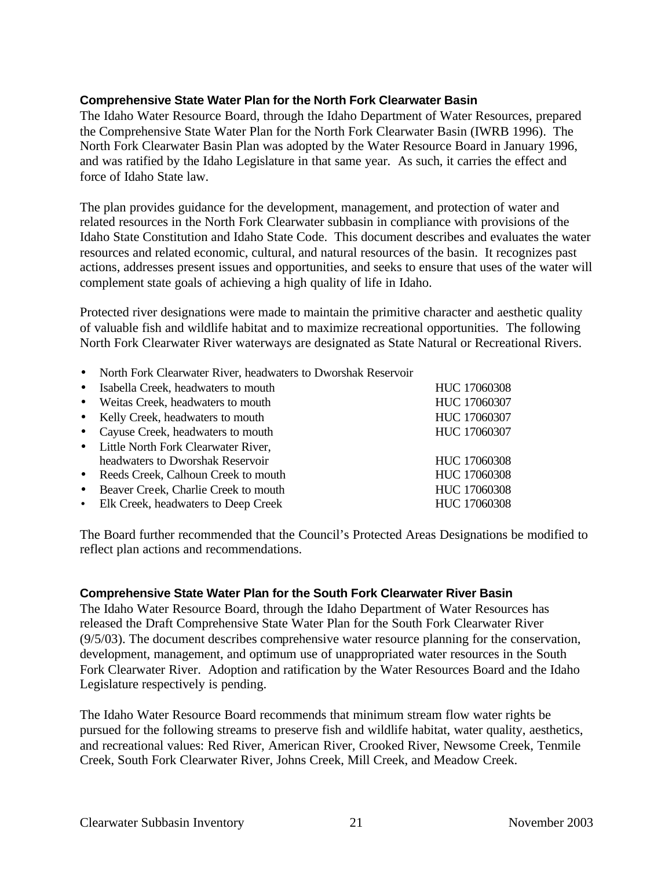#### **Comprehensive State Water Plan for the North Fork Clearwater Basin**

The Idaho Water Resource Board, through the Idaho Department of Water Resources, prepared the Comprehensive State Water Plan for the North Fork Clearwater Basin (IWRB 1996). The North Fork Clearwater Basin Plan was adopted by the Water Resource Board in January 1996, and was ratified by the Idaho Legislature in that same year. As such, it carries the effect and force of Idaho State law.

The plan provides guidance for the development, management, and protection of water and related resources in the North Fork Clearwater subbasin in compliance with provisions of the Idaho State Constitution and Idaho State Code. This document describes and evaluates the water resources and related economic, cultural, and natural resources of the basin. It recognizes past actions, addresses present issues and opportunities, and seeks to ensure that uses of the water will complement state goals of achieving a high quality of life in Idaho.

Protected river designations were made to maintain the primitive character and aesthetic quality of valuable fish and wildlife habitat and to maximize recreational opportunities. The following North Fork Clearwater River waterways are designated as State Natural or Recreational Rivers.

• North Fork Clearwater River, headwaters to Dworshak Reservoir

| HUC 17060308 |
|--------------|
| HUC 17060307 |
| HUC 17060307 |
| HUC 17060307 |
|              |
| HUC 17060308 |
| HUC 17060308 |
| HUC 17060308 |
| HUC 17060308 |
|              |

The Board further recommended that the Council's Protected Areas Designations be modified to reflect plan actions and recommendations.

#### **Comprehensive State Water Plan for the South Fork Clearwater River Basin**

The Idaho Water Resource Board, through the Idaho Department of Water Resources has released the Draft Comprehensive State Water Plan for the South Fork Clearwater River (9/5/03). The document describes comprehensive water resource planning for the conservation, development, management, and optimum use of unappropriated water resources in the South Fork Clearwater River. Adoption and ratification by the Water Resources Board and the Idaho Legislature respectively is pending.

The Idaho Water Resource Board recommends that minimum stream flow water rights be pursued for the following streams to preserve fish and wildlife habitat, water quality, aesthetics, and recreational values: Red River, American River, Crooked River, Newsome Creek, Tenmile Creek, South Fork Clearwater River, Johns Creek, Mill Creek, and Meadow Creek.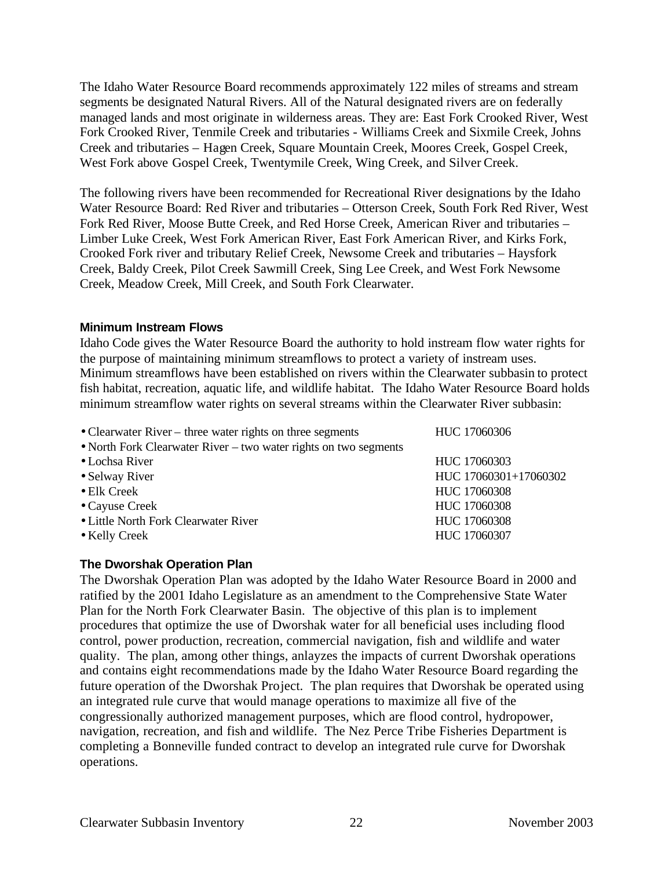The Idaho Water Resource Board recommends approximately 122 miles of streams and stream segments be designated Natural Rivers. All of the Natural designated rivers are on federally managed lands and most originate in wilderness areas. They are: East Fork Crooked River, West Fork Crooked River, Tenmile Creek and tributaries - Williams Creek and Sixmile Creek, Johns Creek and tributaries – Hagen Creek, Square Mountain Creek, Moores Creek, Gospel Creek, West Fork above Gospel Creek, Twentymile Creek, Wing Creek, and Silver Creek.

The following rivers have been recommended for Recreational River designations by the Idaho Water Resource Board: Red River and tributaries – Otterson Creek, South Fork Red River, West Fork Red River, Moose Butte Creek, and Red Horse Creek, American River and tributaries – Limber Luke Creek, West Fork American River, East Fork American River, and Kirks Fork, Crooked Fork river and tributary Relief Creek, Newsome Creek and tributaries – Haysfork Creek, Baldy Creek, Pilot Creek Sawmill Creek, Sing Lee Creek, and West Fork Newsome Creek, Meadow Creek, Mill Creek, and South Fork Clearwater.

#### **Minimum Instream Flows**

Idaho Code gives the Water Resource Board the authority to hold instream flow water rights for the purpose of maintaining minimum streamflows to protect a variety of instream uses. Minimum streamflows have been established on rivers within the Clearwater subbasin to protect fish habitat, recreation, aquatic life, and wildlife habitat. The Idaho Water Resource Board holds minimum streamflow water rights on several streams within the Clearwater River subbasin:

| HUC 17060306          |
|-----------------------|
|                       |
| HUC 17060303          |
| HUC 17060301+17060302 |
| HUC 17060308          |
| HUC 17060308          |
| HUC 17060308          |
| HUC 17060307          |
|                       |

#### **The Dworshak Operation Plan**

The Dworshak Operation Plan was adopted by the Idaho Water Resource Board in 2000 and ratified by the 2001 Idaho Legislature as an amendment to the Comprehensive State Water Plan for the North Fork Clearwater Basin. The objective of this plan is to implement procedures that optimize the use of Dworshak water for all beneficial uses including flood control, power production, recreation, commercial navigation, fish and wildlife and water quality. The plan, among other things, anlayzes the impacts of current Dworshak operations and contains eight recommendations made by the Idaho Water Resource Board regarding the future operation of the Dworshak Project. The plan requires that Dworshak be operated using an integrated rule curve that would manage operations to maximize all five of the congressionally authorized management purposes, which are flood control, hydropower, navigation, recreation, and fish and wildlife. The Nez Perce Tribe Fisheries Department is completing a Bonneville funded contract to develop an integrated rule curve for Dworshak operations.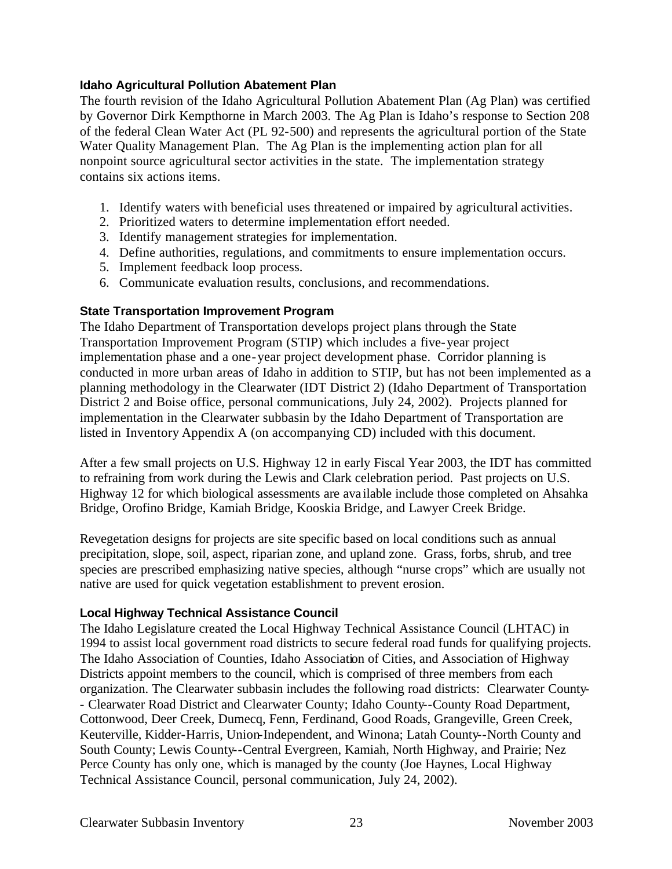#### **Idaho Agricultural Pollution Abatement Plan**

The fourth revision of the Idaho Agricultural Pollution Abatement Plan (Ag Plan) was certified by Governor Dirk Kempthorne in March 2003. The Ag Plan is Idaho's response to Section 208 of the federal Clean Water Act (PL 92-500) and represents the agricultural portion of the State Water Quality Management Plan. The Ag Plan is the implementing action plan for all nonpoint source agricultural sector activities in the state. The implementation strategy contains six actions items.

- 1. Identify waters with beneficial uses threatened or impaired by agricultural activities.
- 2. Prioritized waters to determine implementation effort needed.
- 3. Identify management strategies for implementation.
- 4. Define authorities, regulations, and commitments to ensure implementation occurs.
- 5. Implement feedback loop process.
- 6. Communicate evaluation results, conclusions, and recommendations.

#### **State Transportation Improvement Program**

The Idaho Department of Transportation develops project plans through the State Transportation Improvement Program (STIP) which includes a five-year project implementation phase and a one-year project development phase. Corridor planning is conducted in more urban areas of Idaho in addition to STIP, but has not been implemented as a planning methodology in the Clearwater (IDT District 2) (Idaho Department of Transportation District 2 and Boise office, personal communications, July 24, 2002). Projects planned for implementation in the Clearwater subbasin by the Idaho Department of Transportation are listed in Inventory Appendix A (on accompanying CD) included with this document.

After a few small projects on U.S. Highway 12 in early Fiscal Year 2003, the IDT has committed to refraining from work during the Lewis and Clark celebration period. Past projects on U.S. Highway 12 for which biological assessments are ava ilable include those completed on Ahsahka Bridge, Orofino Bridge, Kamiah Bridge, Kooskia Bridge, and Lawyer Creek Bridge.

Revegetation designs for projects are site specific based on local conditions such as annual precipitation, slope, soil, aspect, riparian zone, and upland zone. Grass, forbs, shrub, and tree species are prescribed emphasizing native species, although "nurse crops" which are usually not native are used for quick vegetation establishment to prevent erosion.

#### **Local Highway Technical Assistance Council**

The Idaho Legislature created the Local Highway Technical Assistance Council (LHTAC) in 1994 to assist local government road districts to secure federal road funds for qualifying projects. The Idaho Association of Counties, Idaho Association of Cities, and Association of Highway Districts appoint members to the council, which is comprised of three members from each organization. The Clearwater subbasin includes the following road districts: Clearwater County- - Clearwater Road District and Clearwater County; Idaho County--County Road Department, Cottonwood, Deer Creek, Dumecq, Fenn, Ferdinand, Good Roads, Grangeville, Green Creek, Keuterville, Kidder-Harris, Union-Independent, and Winona; Latah County--North County and South County; Lewis County--Central Evergreen, Kamiah, North Highway, and Prairie; Nez Perce County has only one, which is managed by the county (Joe Haynes, Local Highway Technical Assistance Council, personal communication, July 24, 2002).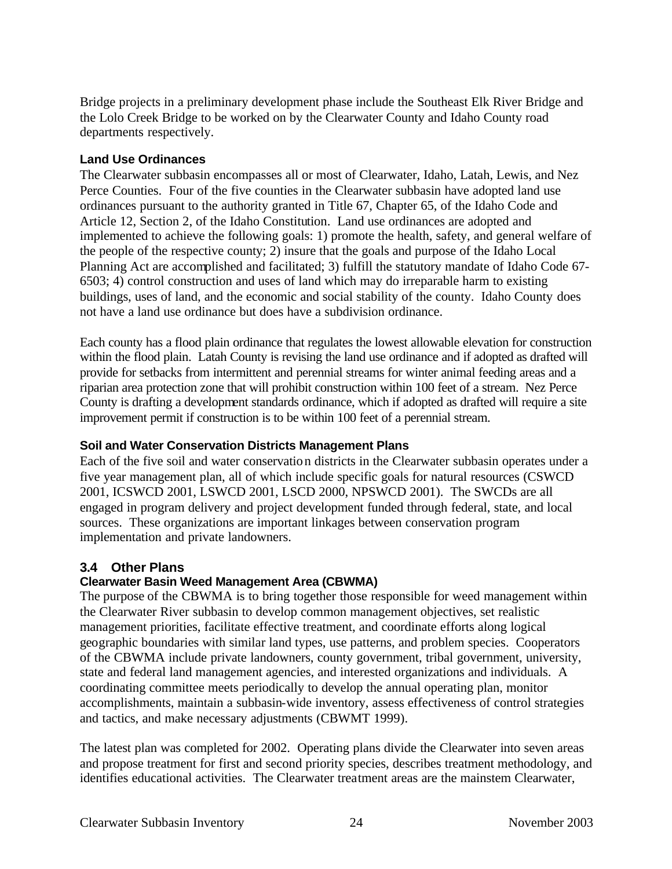Bridge projects in a preliminary development phase include the Southeast Elk River Bridge and the Lolo Creek Bridge to be worked on by the Clearwater County and Idaho County road departments respectively.

#### **Land Use Ordinances**

The Clearwater subbasin encompasses all or most of Clearwater, Idaho, Latah, Lewis, and Nez Perce Counties. Four of the five counties in the Clearwater subbasin have adopted land use ordinances pursuant to the authority granted in Title 67, Chapter 65, of the Idaho Code and Article 12, Section 2, of the Idaho Constitution. Land use ordinances are adopted and implemented to achieve the following goals: 1) promote the health, safety, and general welfare of the people of the respective county; 2) insure that the goals and purpose of the Idaho Local Planning Act are accomplished and facilitated; 3) fulfill the statutory mandate of Idaho Code 67- 6503; 4) control construction and uses of land which may do irreparable harm to existing buildings, uses of land, and the economic and social stability of the county. Idaho County does not have a land use ordinance but does have a subdivision ordinance.

Each county has a flood plain ordinance that regulates the lowest allowable elevation for construction within the flood plain. Latah County is revising the land use ordinance and if adopted as drafted will provide for setbacks from intermittent and perennial streams for winter animal feeding areas and a riparian area protection zone that will prohibit construction within 100 feet of a stream. Nez Perce County is drafting a development standards ordinance, which if adopted as drafted will require a site improvement permit if construction is to be within 100 feet of a perennial stream.

# **Soil and Water Conservation Districts Management Plans**

Each of the five soil and water conservation districts in the Clearwater subbasin operates under a five year management plan, all of which include specific goals for natural resources (CSWCD 2001, ICSWCD 2001, LSWCD 2001, LSCD 2000, NPSWCD 2001). The SWCDs are all engaged in program delivery and project development funded through federal, state, and local sources. These organizations are important linkages between conservation program implementation and private landowners.

# **3.4 Other Plans**

# **Clearwater Basin Weed Management Area (CBWMA)**

The purpose of the CBWMA is to bring together those responsible for weed management within the Clearwater River subbasin to develop common management objectives, set realistic management priorities, facilitate effective treatment, and coordinate efforts along logical geographic boundaries with similar land types, use patterns, and problem species. Cooperators of the CBWMA include private landowners, county government, tribal government, university, state and federal land management agencies, and interested organizations and individuals. A coordinating committee meets periodically to develop the annual operating plan, monitor accomplishments, maintain a subbasin-wide inventory, assess effectiveness of control strategies and tactics, and make necessary adjustments (CBWMT 1999).

The latest plan was completed for 2002. Operating plans divide the Clearwater into seven areas and propose treatment for first and second priority species, describes treatment methodology, and identifies educational activities. The Clearwater treatment areas are the mainstem Clearwater,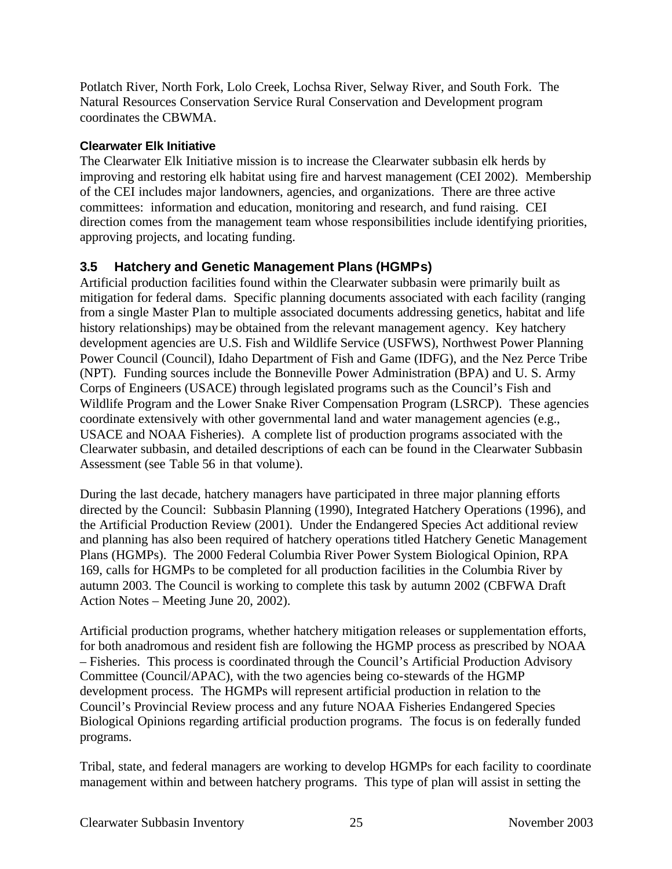Potlatch River, North Fork, Lolo Creek, Lochsa River, Selway River, and South Fork. The Natural Resources Conservation Service Rural Conservation and Development program coordinates the CBWMA.

#### **Clearwater Elk Initiative**

The Clearwater Elk Initiative mission is to increase the Clearwater subbasin elk herds by improving and restoring elk habitat using fire and harvest management (CEI 2002). Membership of the CEI includes major landowners, agencies, and organizations. There are three active committees: information and education, monitoring and research, and fund raising. CEI direction comes from the management team whose responsibilities include identifying priorities, approving projects, and locating funding.

# **3.5 Hatchery and Genetic Management Plans (HGMPs)**

Artificial production facilities found within the Clearwater subbasin were primarily built as mitigation for federal dams. Specific planning documents associated with each facility (ranging from a single Master Plan to multiple associated documents addressing genetics, habitat and life history relationships) may be obtained from the relevant management agency. Key hatchery development agencies are U.S. Fish and Wildlife Service (USFWS), Northwest Power Planning Power Council (Council), Idaho Department of Fish and Game (IDFG), and the Nez Perce Tribe (NPT). Funding sources include the Bonneville Power Administration (BPA) and U. S. Army Corps of Engineers (USACE) through legislated programs such as the Council's Fish and Wildlife Program and the Lower Snake River Compensation Program (LSRCP). These agencies coordinate extensively with other governmental land and water management agencies (e.g., USACE and NOAA Fisheries). A complete list of production programs associated with the Clearwater subbasin, and detailed descriptions of each can be found in the Clearwater Subbasin Assessment (see Table 56 in that volume).

During the last decade, hatchery managers have participated in three major planning efforts directed by the Council: Subbasin Planning (1990), Integrated Hatchery Operations (1996), and the Artificial Production Review (2001). Under the Endangered Species Act additional review and planning has also been required of hatchery operations titled Hatchery Genetic Management Plans (HGMPs). The 2000 Federal Columbia River Power System Biological Opinion, RPA 169, calls for HGMPs to be completed for all production facilities in the Columbia River by autumn 2003. The Council is working to complete this task by autumn 2002 (CBFWA Draft Action Notes – Meeting June 20, 2002).

Artificial production programs, whether hatchery mitigation releases or supplementation efforts, for both anadromous and resident fish are following the HGMP process as prescribed by NOAA – Fisheries. This process is coordinated through the Council's Artificial Production Advisory Committee (Council/APAC), with the two agencies being co-stewards of the HGMP development process. The HGMPs will represent artificial production in relation to the Council's Provincial Review process and any future NOAA Fisheries Endangered Species Biological Opinions regarding artificial production programs. The focus is on federally funded programs.

Tribal, state, and federal managers are working to develop HGMPs for each facility to coordinate management within and between hatchery programs. This type of plan will assist in setting the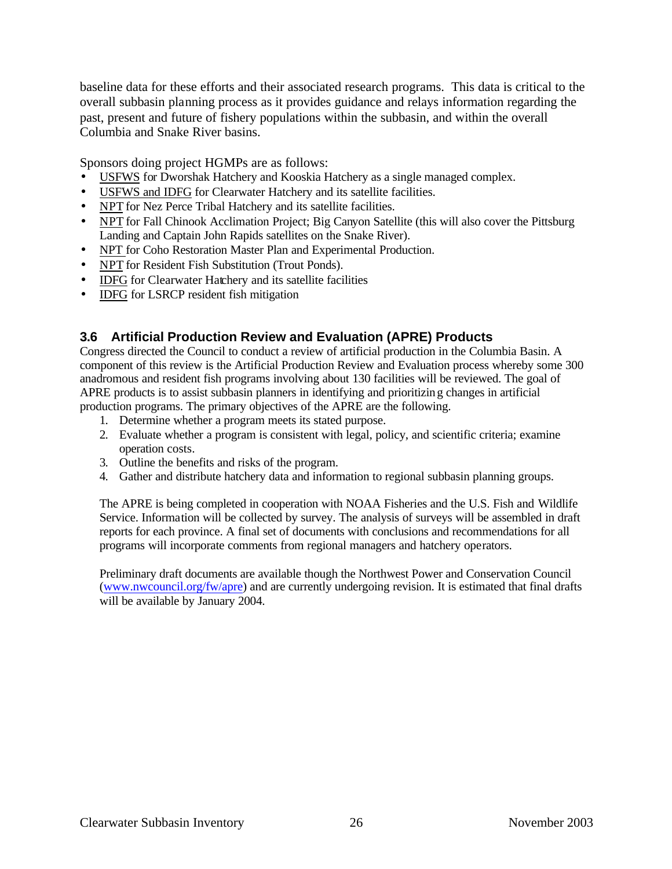baseline data for these efforts and their associated research programs. This data is critical to the overall subbasin planning process as it provides guidance and relays information regarding the past, present and future of fishery populations within the subbasin, and within the overall Columbia and Snake River basins.

Sponsors doing project HGMPs are as follows:

- USFWS for Dworshak Hatchery and Kooskia Hatchery as a single managed complex.
- USFWS and IDFG for Clearwater Hatchery and its satellite facilities.
- NPT for Nez Perce Tribal Hatchery and its satellite facilities.
- NPT for Fall Chinook Acclimation Project; Big Canyon Satellite (this will also cover the Pittsburg Landing and Captain John Rapids satellites on the Snake River).
- NPT for Coho Restoration Master Plan and Experimental Production.
- NPT for Resident Fish Substitution (Trout Ponds).
- IDFG for Clearwater Hatchery and its satellite facilities
- **IDFG** for LSRCP resident fish mitigation

# **3.6 Artificial Production Review and Evaluation (APRE) Products**

Congress directed the Council to conduct a review of artificial production in the Columbia Basin. A component of this review is the Artificial Production Review and Evaluation process whereby some 300 anadromous and resident fish programs involving about 130 facilities will be reviewed. The goal of APRE products is to assist subbasin planners in identifying and prioritizing changes in artificial production programs. The primary objectives of the APRE are the following.

- 1. Determine whether a program meets its stated purpose.
- 2. Evaluate whether a program is consistent with legal, policy, and scientific criteria; examine operation costs.
- 3. Outline the benefits and risks of the program.
- 4. Gather and distribute hatchery data and information to regional subbasin planning groups.

The APRE is being completed in cooperation with NOAA Fisheries and the U.S. Fish and Wildlife Service. Information will be collected by survey. The analysis of surveys will be assembled in draft reports for each province. A final set of documents with conclusions and recommendations for all programs will incorporate comments from regional managers and hatchery operators.

Preliminary draft documents are available though the Northwest Power and Conservation Council (www.nwcouncil.org/fw/apre) and are currently undergoing revision. It is estimated that final drafts will be available by January 2004.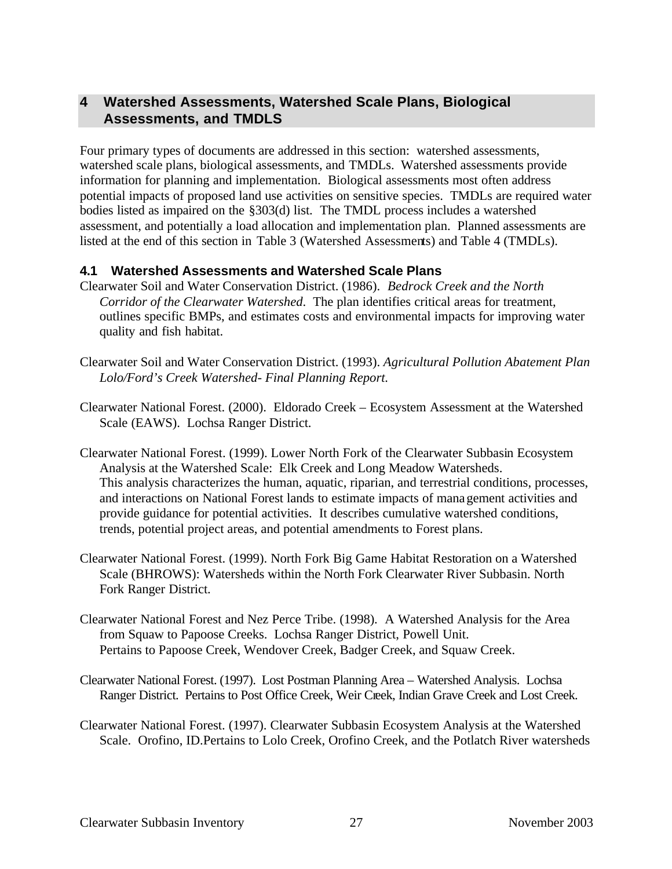# **4 Watershed Assessments, Watershed Scale Plans, Biological Assessments, and TMDLS**

Four primary types of documents are addressed in this section: watershed assessments, watershed scale plans, biological assessments, and TMDLs. Watershed assessments provide information for planning and implementation. Biological assessments most often address potential impacts of proposed land use activities on sensitive species. TMDLs are required water bodies listed as impaired on the §303(d) list. The TMDL process includes a watershed assessment, and potentially a load allocation and implementation plan. Planned assessments are listed at the end of this section in Table 3 (Watershed Assessments) and Table 4 (TMDLs).

#### **4.1 Watershed Assessments and Watershed Scale Plans**

- Clearwater Soil and Water Conservation District. (1986). *Bedrock Creek and the North Corridor of the Clearwater Watershed*. The plan identifies critical areas for treatment, outlines specific BMPs, and estimates costs and environmental impacts for improving water quality and fish habitat.
- Clearwater Soil and Water Conservation District. (1993). *Agricultural Pollution Abatement Plan Lolo/Ford's Creek Watershed- Final Planning Report.*
- Clearwater National Forest. (2000). Eldorado Creek Ecosystem Assessment at the Watershed Scale (EAWS). Lochsa Ranger District.
- Clearwater National Forest. (1999). Lower North Fork of the Clearwater Subbasin Ecosystem Analysis at the Watershed Scale: Elk Creek and Long Meadow Watersheds. This analysis characterizes the human, aquatic, riparian, and terrestrial conditions, processes, and interactions on National Forest lands to estimate impacts of management activities and provide guidance for potential activities. It describes cumulative watershed conditions, trends, potential project areas, and potential amendments to Forest plans.
- Clearwater National Forest. (1999). North Fork Big Game Habitat Restoration on a Watershed Scale (BHROWS): Watersheds within the North Fork Clearwater River Subbasin. North Fork Ranger District.
- Clearwater National Forest and Nez Perce Tribe. (1998). A Watershed Analysis for the Area from Squaw to Papoose Creeks. Lochsa Ranger District, Powell Unit. Pertains to Papoose Creek, Wendover Creek, Badger Creek, and Squaw Creek.
- Clearwater National Forest. (1997). Lost Postman Planning Area Watershed Analysis. Lochsa Ranger District. Pertains to Post Office Creek, Weir Creek, Indian Grave Creek and Lost Creek.
- Clearwater National Forest. (1997). Clearwater Subbasin Ecosystem Analysis at the Watershed Scale. Orofino, ID.Pertains to Lolo Creek, Orofino Creek, and the Potlatch River watersheds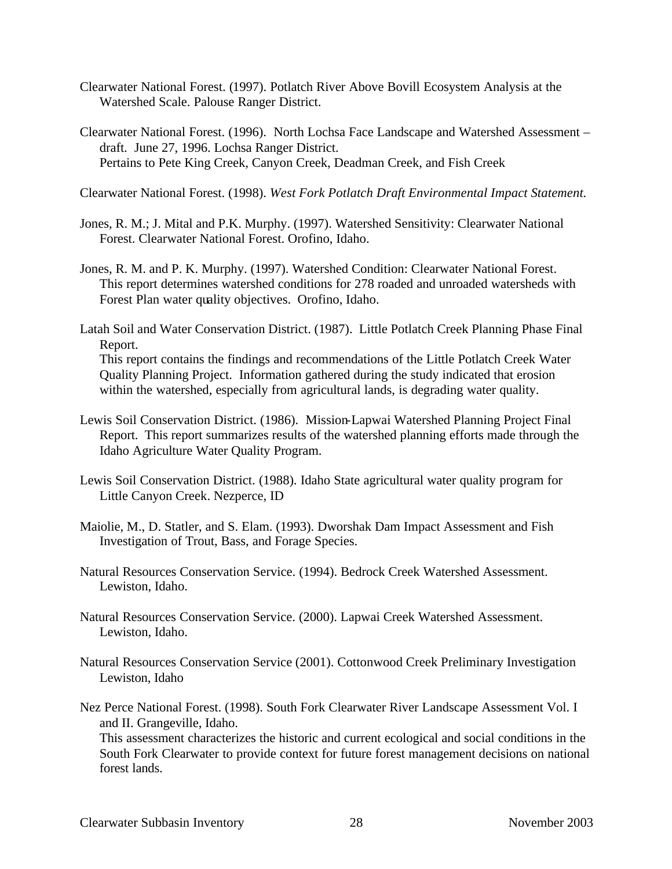- Clearwater National Forest. (1997). Potlatch River Above Bovill Ecosystem Analysis at the Watershed Scale. Palouse Ranger District.
- Clearwater National Forest. (1996). North Lochsa Face Landscape and Watershed Assessment draft. June 27, 1996. Lochsa Ranger District. Pertains to Pete King Creek, Canyon Creek, Deadman Creek, and Fish Creek

Clearwater National Forest. (1998). *West Fork Potlatch Draft Environmental Impact Statement.*

- Jones, R. M.; J. Mital and P.K. Murphy. (1997). Watershed Sensitivity: Clearwater National Forest. Clearwater National Forest. Orofino, Idaho.
- Jones, R. M. and P. K. Murphy. (1997). Watershed Condition: Clearwater National Forest. This report determines watershed conditions for 278 roaded and unroaded watersheds with Forest Plan water quality objectives. Orofino, Idaho.
- Latah Soil and Water Conservation District. (1987). Little Potlatch Creek Planning Phase Final Report.

This report contains the findings and recommendations of the Little Potlatch Creek Water Quality Planning Project. Information gathered during the study indicated that erosion within the watershed, especially from agricultural lands, is degrading water quality.

- Lewis Soil Conservation District. (1986). Mission-Lapwai Watershed Planning Project Final Report. This report summarizes results of the watershed planning efforts made through the Idaho Agriculture Water Quality Program.
- Lewis Soil Conservation District. (1988). Idaho State agricultural water quality program for Little Canyon Creek. Nezperce, ID
- Maiolie, M., D. Statler, and S. Elam. (1993). Dworshak Dam Impact Assessment and Fish Investigation of Trout, Bass, and Forage Species.
- Natural Resources Conservation Service. (1994). Bedrock Creek Watershed Assessment. Lewiston, Idaho.
- Natural Resources Conservation Service. (2000). Lapwai Creek Watershed Assessment. Lewiston, Idaho.
- Natural Resources Conservation Service (2001). Cottonwood Creek Preliminary Investigation Lewiston, Idaho
- Nez Perce National Forest. (1998). South Fork Clearwater River Landscape Assessment Vol. I and II. Grangeville, Idaho.

This assessment characterizes the historic and current ecological and social conditions in the South Fork Clearwater to provide context for future forest management decisions on national forest lands.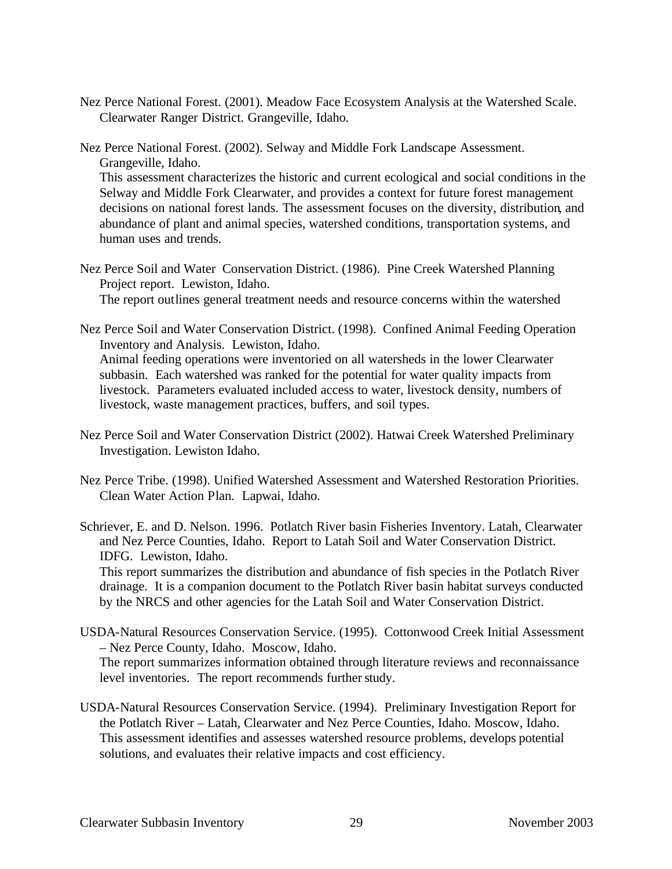- Nez Perce National Forest. (2001). Meadow Face Ecosystem Analysis at the Watershed Scale. Clearwater Ranger District. Grangeville, Idaho.
- Nez Perce National Forest. (2002). Selway and Middle Fork Landscape Assessment. Grangeville, Idaho.

This assessment characterizes the historic and current ecological and social conditions in the Selway and Middle Fork Clearwater, and provides a context for future forest management decisions on national forest lands. The assessment focuses on the diversity, distribution, and abundance of plant and animal species, watershed conditions, transportation systems, and human uses and trends.

Nez Perce Soil and Water Conservation District. (1986). Pine Creek Watershed Planning Project report. Lewiston, Idaho. The report outlines general treatment needs and resource concerns within the watershed

Nez Perce Soil and Water Conservation District. (1998). Confined Animal Feeding Operation Inventory and Analysis. Lewiston, Idaho. Animal feeding operations were inventoried on all watersheds in the lower Clearwater subbasin. Each watershed was ranked for the potential for water quality impacts from livestock. Parameters evaluated included access to water, livestock density, numbers of livestock, waste management practices, buffers, and soil types.

- Nez Perce Soil and Water Conservation District (2002). Hatwai Creek Watershed Preliminary Investigation. Lewiston Idaho.
- Nez Perce Tribe. (1998). Unified Watershed Assessment and Watershed Restoration Priorities. Clean Water Action Plan. Lapwai, Idaho.

Schriever, E. and D. Nelson. 1996. Potlatch River basin Fisheries Inventory. Latah, Clearwater and Nez Perce Counties, Idaho. Report to Latah Soil and Water Conservation District. IDFG. Lewiston, Idaho.

This report summarizes the distribution and abundance of fish species in the Potlatch River drainage. It is a companion document to the Potlatch River basin habitat surveys conducted by the NRCS and other agencies for the Latah Soil and Water Conservation District.

USDA-Natural Resources Conservation Service. (1995). Cottonwood Creek Initial Assessment – Nez Perce County, Idaho. Moscow, Idaho.

The report summarizes information obtained through literature reviews and reconnaissance level inventories. The report recommends further study.

USDA-Natural Resources Conservation Service. (1994). Preliminary Investigation Report for the Potlatch River – Latah, Clearwater and Nez Perce Counties, Idaho. Moscow, Idaho. This assessment identifies and assesses watershed resource problems, develops potential solutions, and evaluates their relative impacts and cost efficiency.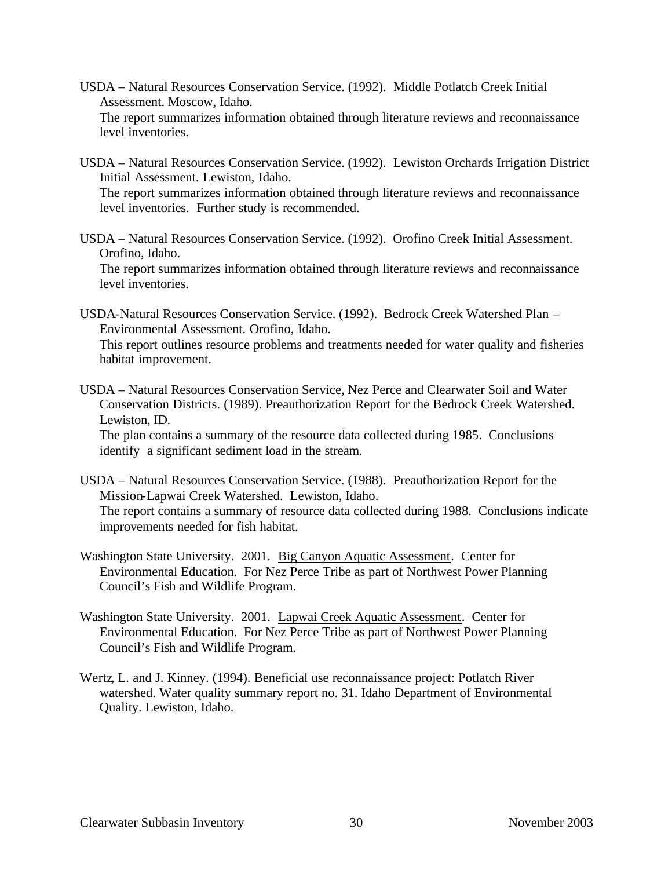- USDA Natural Resources Conservation Service. (1992). Middle Potlatch Creek Initial Assessment. Moscow, Idaho. The report summarizes information obtained through literature reviews and reconnaissance level inventories.
- USDA Natural Resources Conservation Service. (1992). Lewiston Orchards Irrigation District Initial Assessment. Lewiston, Idaho.

The report summarizes information obtained through literature reviews and reconnaissance level inventories. Further study is recommended.

USDA – Natural Resources Conservation Service. (1992). Orofino Creek Initial Assessment. Orofino, Idaho.

The report summarizes information obtained through literature reviews and reconnaissance level inventories.

USDA-Natural Resources Conservation Service. (1992). Bedrock Creek Watershed Plan – Environmental Assessment. Orofino, Idaho.

This report outlines resource problems and treatments needed for water quality and fisheries habitat improvement.

USDA – Natural Resources Conservation Service, Nez Perce and Clearwater Soil and Water Conservation Districts. (1989). Preauthorization Report for the Bedrock Creek Watershed. Lewiston, ID.

The plan contains a summary of the resource data collected during 1985. Conclusions identify a significant sediment load in the stream.

- USDA Natural Resources Conservation Service. (1988). Preauthorization Report for the Mission-Lapwai Creek Watershed. Lewiston, Idaho. The report contains a summary of resource data collected during 1988. Conclusions indicate improvements needed for fish habitat.
- Washington State University. 2001. Big Canyon Aquatic Assessment. Center for Environmental Education. For Nez Perce Tribe as part of Northwest Power Planning Council's Fish and Wildlife Program.
- Washington State University. 2001. Lapwai Creek Aquatic Assessment. Center for Environmental Education. For Nez Perce Tribe as part of Northwest Power Planning Council's Fish and Wildlife Program.
- Wertz, L. and J. Kinney. (1994). Beneficial use reconnaissance project: Potlatch River watershed. Water quality summary report no. 31. Idaho Department of Environmental Quality. Lewiston, Idaho.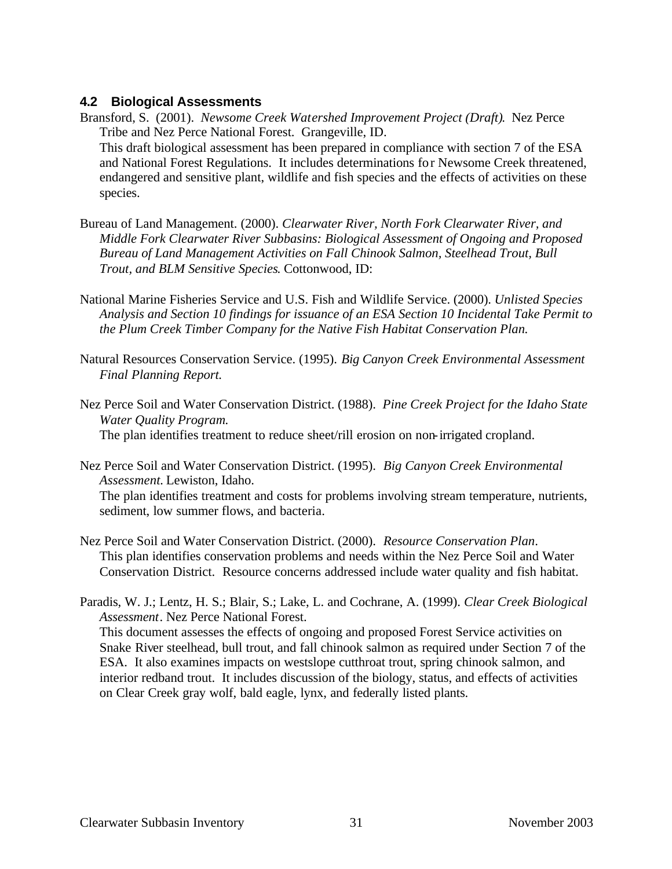#### **4.2 Biological Assessments**

- Bransford, S. (2001). *Newsome Creek Watershed Improvement Project (Draft)*. Nez Perce Tribe and Nez Perce National Forest. Grangeville, ID. This draft biological assessment has been prepared in compliance with section 7 of the ESA and National Forest Regulations. It includes determinations for Newsome Creek threatened, endangered and sensitive plant, wildlife and fish species and the effects of activities on these species.
- Bureau of Land Management. (2000). *Clearwater River, North Fork Clearwater River, and Middle Fork Clearwater River Subbasins: Biological Assessment of Ongoing and Proposed Bureau of Land Management Activities on Fall Chinook Salmon, Steelhead Trout, Bull Trout, and BLM Sensitive Species*. Cottonwood, ID:
- National Marine Fisheries Service and U.S. Fish and Wildlife Service. (2000). *Unlisted Species Analysis and Section 10 findings for issuance of an ESA Section 10 Incidental Take Permit to the Plum Creek Timber Company for the Native Fish Habitat Conservation Plan.*
- Natural Resources Conservation Service. (1995). *Big Canyon Creek Environmental Assessment Final Planning Report.*
- Nez Perce Soil and Water Conservation District. (1988). *Pine Creek Project for the Idaho State Water Quality Program.* The plan identifies treatment to reduce sheet/rill erosion on non-irrigated cropland.
- Nez Perce Soil and Water Conservation District. (1995). *Big Canyon Creek Environmental Assessment.* Lewiston, Idaho.

The plan identifies treatment and costs for problems involving stream temperature, nutrients, sediment, low summer flows, and bacteria.

- Nez Perce Soil and Water Conservation District. (2000). *Resource Conservation Plan*. This plan identifies conservation problems and needs within the Nez Perce Soil and Water Conservation District. Resource concerns addressed include water quality and fish habitat.
- Paradis, W. J.; Lentz, H. S.; Blair, S.; Lake, L. and Cochrane, A. (1999). *Clear Creek Biological Assessment*. Nez Perce National Forest.

This document assesses the effects of ongoing and proposed Forest Service activities on Snake River steelhead, bull trout, and fall chinook salmon as required under Section 7 of the ESA. It also examines impacts on westslope cutthroat trout, spring chinook salmon, and interior redband trout. It includes discussion of the biology, status, and effects of activities on Clear Creek gray wolf, bald eagle, lynx, and federally listed plants.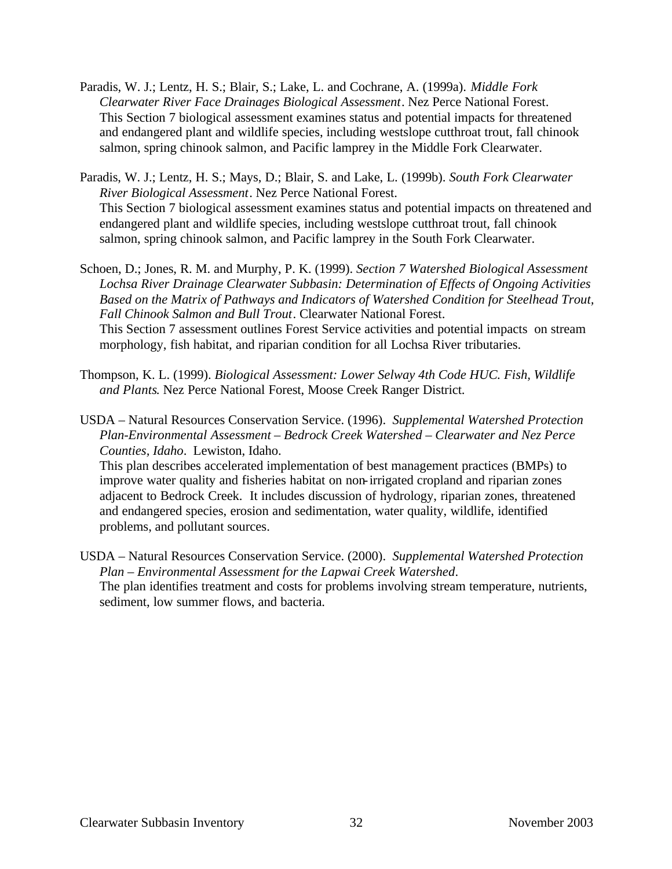- Paradis, W. J.; Lentz, H. S.; Blair, S.; Lake, L. and Cochrane, A. (1999a). *Middle Fork Clearwater River Face Drainages Biological Assessment*. Nez Perce National Forest. This Section 7 biological assessment examines status and potential impacts for threatened and endangered plant and wildlife species, including westslope cutthroat trout, fall chinook salmon, spring chinook salmon, and Pacific lamprey in the Middle Fork Clearwater.
- Paradis, W. J.; Lentz, H. S.; Mays, D.; Blair, S. and Lake, L. (1999b). *South Fork Clearwater River Biological Assessment*. Nez Perce National Forest. This Section 7 biological assessment examines status and potential impacts on threatened and endangered plant and wildlife species, including westslope cutthroat trout, fall chinook salmon, spring chinook salmon, and Pacific lamprey in the South Fork Clearwater.
- Schoen, D.; Jones, R. M. and Murphy, P. K. (1999). *Section 7 Watershed Biological Assessment Lochsa River Drainage Clearwater Subbasin: Determination of Effects of Ongoing Activities Based on the Matrix of Pathways and Indicators of Watershed Condition for Steelhead Trout, Fall Chinook Salmon and Bull Trout*. Clearwater National Forest. This Section 7 assessment outlines Forest Service activities and potential impacts on stream morphology, fish habitat, and riparian condition for all Lochsa River tributaries.
- Thompson, K. L. (1999). *Biological Assessment: Lower Selway 4th Code HUC. Fish, Wildlife and Plants*. Nez Perce National Forest, Moose Creek Ranger District.
- USDA Natural Resources Conservation Service. (1996). *Supplemental Watershed Protection Plan-Environmental Assessment – Bedrock Creek Watershed – Clearwater and Nez Perce Counties, Idaho*. Lewiston, Idaho.

This plan describes accelerated implementation of best management practices (BMPs) to improve water quality and fisheries habitat on non-irrigated cropland and riparian zones adjacent to Bedrock Creek. It includes discussion of hydrology, riparian zones, threatened and endangered species, erosion and sedimentation, water quality, wildlife, identified problems, and pollutant sources.

USDA – Natural Resources Conservation Service. (2000). *Supplemental Watershed Protection Plan – Environmental Assessment for the Lapwai Creek Watershed*. The plan identifies treatment and costs for problems involving stream temperature, nutrients, sediment, low summer flows, and bacteria.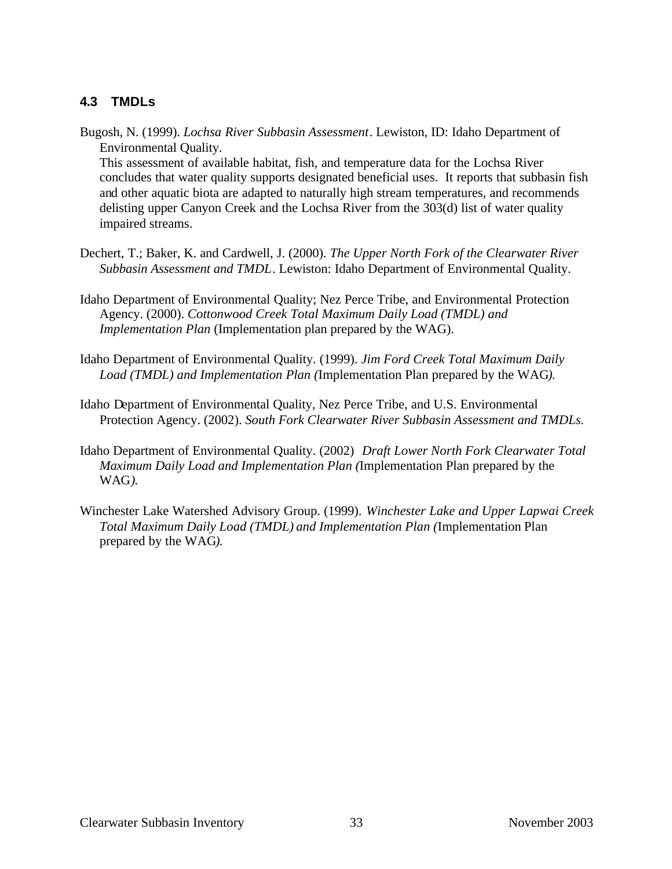# **4.3 TMDLs**

Bugosh, N. (1999). *Lochsa River Subbasin Assessment*. Lewiston, ID: Idaho Department of Environmental Quality.

This assessment of available habitat, fish, and temperature data for the Lochsa River concludes that water quality supports designated beneficial uses. It reports that subbasin fish and other aquatic biota are adapted to naturally high stream temperatures, and recommends delisting upper Canyon Creek and the Lochsa River from the 303(d) list of water quality impaired streams.

- Dechert, T.; Baker, K. and Cardwell, J. (2000). *The Upper North Fork of the Clearwater River Subbasin Assessment and TMDL*. Lewiston: Idaho Department of Environmental Quality.
- Idaho Department of Environmental Quality; Nez Perce Tribe, and Environmental Protection Agency. (2000). *Cottonwood Creek Total Maximum Daily Load (TMDL) and Implementation Plan* (Implementation plan prepared by the WAG).
- Idaho Department of Environmental Quality. (1999). *Jim Ford Creek Total Maximum Daily Load (TMDL) and Implementation Plan (*Implementation Plan prepared by the WAG*).*
- Idaho Department of Environmental Quality, Nez Perce Tribe, and U.S. Environmental Protection Agency. (2002). *South Fork Clearwater River Subbasin Assessment and TMDLs.*
- Idaho Department of Environmental Quality. (2002) *Draft Lower North Fork Clearwater Total Maximum Daily Load and Implementation Plan (*Implementation Plan prepared by the WAG*).*
- Winchester Lake Watershed Advisory Group. (1999). *Winchester Lake and Upper Lapwai Creek Total Maximum Daily Load (TMDL) and Implementation Plan (*Implementation Plan prepared by the WAG*).*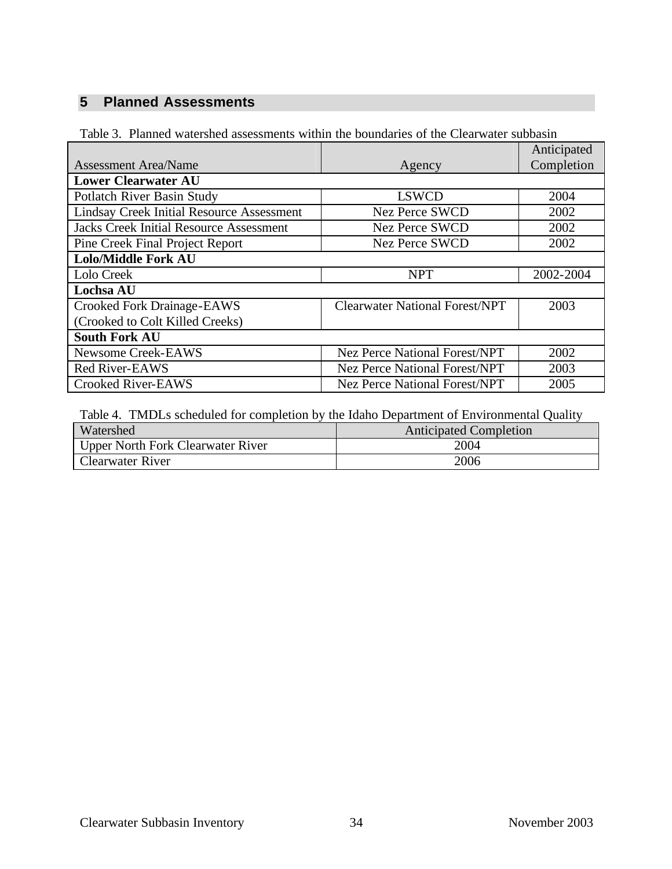# **5 Planned Assessments**

|                                                  |                                       | Anticipated |  |
|--------------------------------------------------|---------------------------------------|-------------|--|
| <b>Assessment Area/Name</b>                      | Agency                                | Completion  |  |
| <b>Lower Clearwater AU</b>                       |                                       |             |  |
| Potlatch River Basin Study                       | <b>LSWCD</b>                          | 2004        |  |
| <b>Lindsay Creek Initial Resource Assessment</b> | <b>Nez Perce SWCD</b>                 | 2002        |  |
| <b>Jacks Creek Initial Resource Assessment</b>   | <b>Nez Perce SWCD</b>                 | 2002        |  |
| Pine Creek Final Project Report                  | <b>Nez Perce SWCD</b>                 | 2002        |  |
| <b>Lolo/Middle Fork AU</b>                       |                                       |             |  |
| Lolo Creek                                       | <b>NPT</b>                            | 2002-2004   |  |
| <b>Lochsa AU</b>                                 |                                       |             |  |
| <b>Crooked Fork Drainage-EAWS</b>                | <b>Clearwater National Forest/NPT</b> | 2003        |  |
| (Crooked to Colt Killed Creeks)                  |                                       |             |  |
| <b>South Fork AU</b>                             |                                       |             |  |
| <b>Newsome Creek-EAWS</b>                        | <b>Nez Perce National Forest/NPT</b>  | 2002        |  |
| Red River-EAWS                                   | <b>Nez Perce National Forest/NPT</b>  | 2003        |  |
| <b>Crooked River-EAWS</b>                        | <b>Nez Perce National Forest/NPT</b>  | 2005        |  |

Table 3. Planned watershed assessments within the boundaries of the Clearwater subbasin

Table 4. TMDLs scheduled for completion by the Idaho Department of Environmental Quality

| Watershed                         | <b>Anticipated Completion</b> |
|-----------------------------------|-------------------------------|
| Upper North Fork Clearwater River | 2004                          |
| <b>Clearwater River</b>           | 2006                          |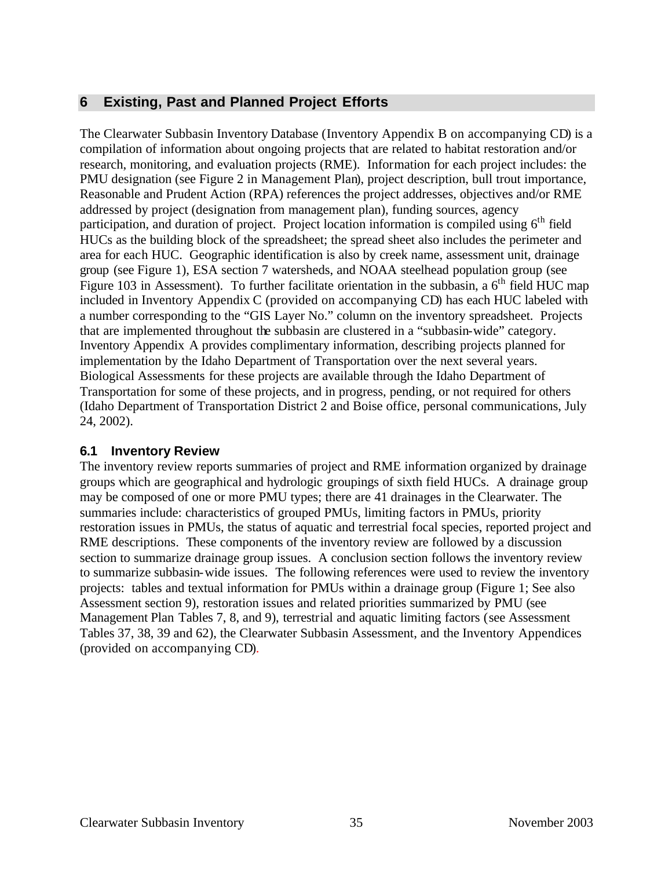# **6 Existing, Past and Planned Project Efforts**

The Clearwater Subbasin Inventory Database (Inventory Appendix B on accompanying CD) is a compilation of information about ongoing projects that are related to habitat restoration and/or research, monitoring, and evaluation projects (RME). Information for each project includes: the PMU designation (see Figure 2 in Management Plan), project description, bull trout importance, Reasonable and Prudent Action (RPA) references the project addresses, objectives and/or RME addressed by project (designation from management plan), funding sources, agency participation, and duration of project. Project location information is compiled using  $6<sup>th</sup>$  field HUCs as the building block of the spreadsheet; the spread sheet also includes the perimeter and area for each HUC. Geographic identification is also by creek name, assessment unit, drainage group (see Figure 1), ESA section 7 watersheds, and NOAA steelhead population group (see Figure 103 in Assessment). To further facilitate orientation in the subbasin, a  $6<sup>th</sup>$  field HUC map included in Inventory Appendix C (provided on accompanying CD) has each HUC labeled with a number corresponding to the "GIS Layer No." column on the inventory spreadsheet. Projects that are implemented throughout the subbasin are clustered in a "subbasin-wide" category. Inventory Appendix A provides complimentary information, describing projects planned for implementation by the Idaho Department of Transportation over the next several years. Biological Assessments for these projects are available through the Idaho Department of Transportation for some of these projects, and in progress, pending, or not required for others (Idaho Department of Transportation District 2 and Boise office, personal communications, July 24, 2002).

# **6.1 Inventory Review**

The inventory review reports summaries of project and RME information organized by drainage groups which are geographical and hydrologic groupings of sixth field HUCs. A drainage group may be composed of one or more PMU types; there are 41 drainages in the Clearwater. The summaries include: characteristics of grouped PMUs, limiting factors in PMUs, priority restoration issues in PMUs, the status of aquatic and terrestrial focal species, reported project and RME descriptions. These components of the inventory review are followed by a discussion section to summarize drainage group issues. A conclusion section follows the inventory review to summarize subbasin-wide issues. The following references were used to review the inventory projects: tables and textual information for PMUs within a drainage group (Figure 1; See also Assessment section 9), restoration issues and related priorities summarized by PMU (see Management Plan Tables 7, 8, and 9), terrestrial and aquatic limiting factors (see Assessment Tables 37, 38, 39 and 62), the Clearwater Subbasin Assessment, and the Inventory Appendices (provided on accompanying CD).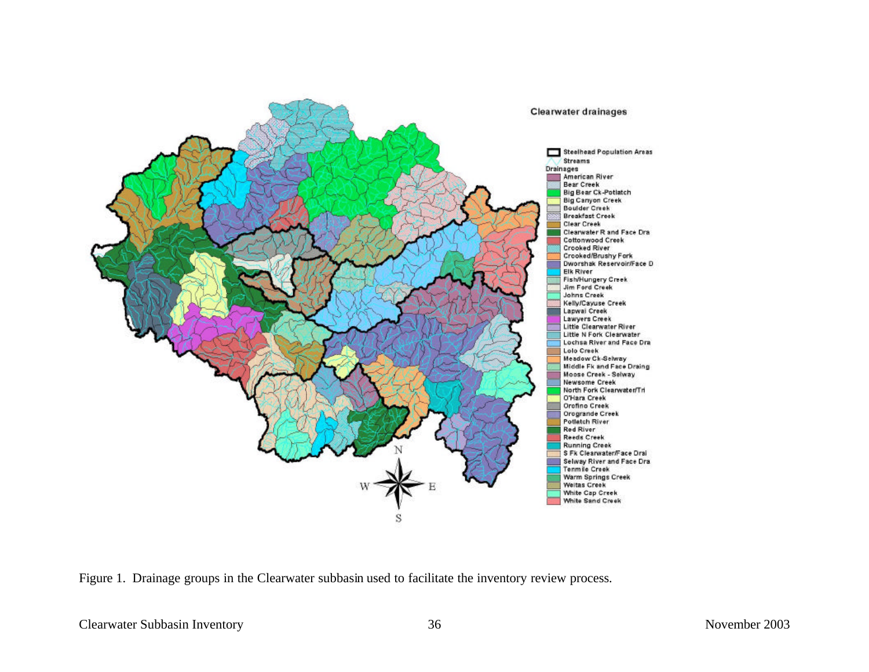

Figure 1. Drainage groups in the Clearwater subbasin used to facilitate the inventory review process.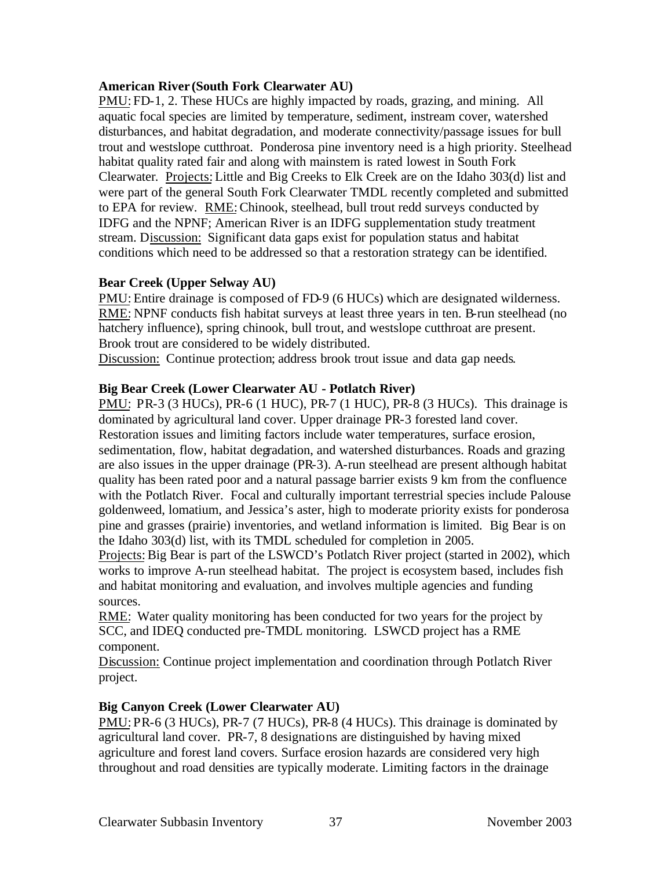## **American River (South Fork Clearwater AU)**

PMU:FD-1, 2. These HUCs are highly impacted by roads, grazing, and mining. All aquatic focal species are limited by temperature, sediment, instream cover, watershed disturbances, and habitat degradation, and moderate connectivity/passage issues for bull trout and westslope cutthroat. Ponderosa pine inventory need is a high priority. Steelhead habitat quality rated fair and along with mainstem is rated lowest in South Fork Clearwater*.* Projects: Little and Big Creeks to Elk Creek are on the Idaho 303(d) list and were part of the general South Fork Clearwater TMDL recently completed and submitted to EPA for review. RME: Chinook, steelhead, bull trout redd surveys conducted by IDFG and the NPNF; American River is an IDFG supplementation study treatment stream. Discussion: Significant data gaps exist for population status and habitat conditions which need to be addressed so that a restoration strategy can be identified.

## **Bear Creek (Upper Selway AU)**

PMU: Entire drainage is composed of FD-9 (6 HUCs) which are designated wilderness. RME: NPNF conducts fish habitat surveys at least three years in ten. B-run steelhead (no hatchery influence), spring chinook, bull trout, and westslope cutthroat are present. Brook trout are considered to be widely distributed.

Discussion: Continue protection; address brook trout issue and data gap needs.

## **Big Bear Creek (Lower Clearwater AU - Potlatch River)**

PMU: PR-3 (3 HUCs), PR-6 (1 HUC), PR-7 (1 HUC), PR-8 (3 HUCs). This drainage is dominated by agricultural land cover. Upper drainage PR-3 forested land cover. Restoration issues and limiting factors include water temperatures, surface erosion, sedimentation, flow, habitat degradation, and watershed disturbances. Roads and grazing are also issues in the upper drainage (PR-3). A-run steelhead are present although habitat quality has been rated poor and a natural passage barrier exists 9 km from the confluence with the Potlatch River. Focal and culturally important terrestrial species include Palouse goldenweed, lomatium, and Jessica's aster, high to moderate priority exists for ponderosa pine and grasses (prairie) inventories, and wetland information is limited. Big Bear is on the Idaho 303(d) list, with its TMDL scheduled for completion in 2005.

Projects: Big Bear is part of the LSWCD's Potlatch River project (started in 2002), which works to improve A-run steelhead habitat. The project is ecosystem based, includes fish and habitat monitoring and evaluation, and involves multiple agencies and funding sources.

RME: Water quality monitoring has been conducted for two years for the project by SCC, and IDEQ conducted pre-TMDL monitoring. LSWCD project has a RME component.

Discussion: Continue project implementation and coordination through Potlatch River project.

## **Big Canyon Creek (Lower Clearwater AU)**

PMU: PR-6 (3 HUCs), PR-7 (7 HUCs), PR-8 (4 HUCs). This drainage is dominated by agricultural land cover. PR-7, 8 designations are distinguished by having mixed agriculture and forest land covers. Surface erosion hazards are considered very high throughout and road densities are typically moderate. Limiting factors in the drainage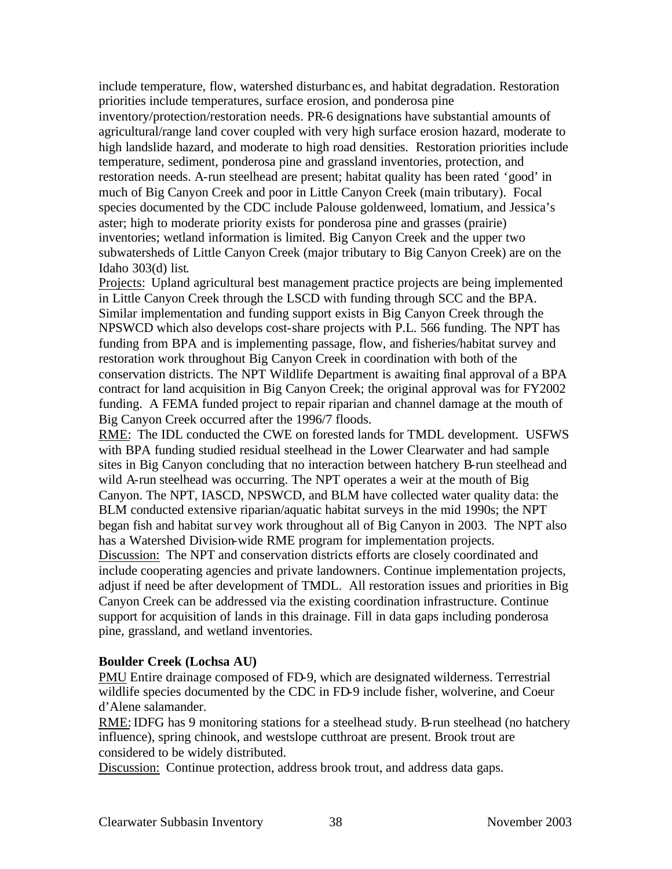include temperature, flow, watershed disturbanc es, and habitat degradation. Restoration priorities include temperatures, surface erosion, and ponderosa pine

inventory/protection/restoration needs. PR-6 designations have substantial amounts of agricultural/range land cover coupled with very high surface erosion hazard, moderate to high landslide hazard, and moderate to high road densities. Restoration priorities include temperature, sediment, ponderosa pine and grassland inventories, protection, and restoration needs. A-run steelhead are present; habitat quality has been rated 'good' in much of Big Canyon Creek and poor in Little Canyon Creek (main tributary). Focal species documented by the CDC include Palouse goldenweed, lomatium, and Jessica's aster; high to moderate priority exists for ponderosa pine and grasses (prairie) inventories; wetland information is limited. Big Canyon Creek and the upper two subwatersheds of Little Canyon Creek (major tributary to Big Canyon Creek) are on the Idaho 303(d) list.

Projects: Upland agricultural best management practice projects are being implemented in Little Canyon Creek through the LSCD with funding through SCC and the BPA. Similar implementation and funding support exists in Big Canyon Creek through the NPSWCD which also develops cost-share projects with P.L. 566 funding. The NPT has funding from BPA and is implementing passage, flow, and fisheries/habitat survey and restoration work throughout Big Canyon Creek in coordination with both of the conservation districts. The NPT Wildlife Department is awaiting final approval of a BPA contract for land acquisition in Big Canyon Creek; the original approval was for FY2002 funding. A FEMA funded project to repair riparian and channel damage at the mouth of Big Canyon Creek occurred after the 1996/7 floods.

RME: The IDL conducted the CWE on forested lands for TMDL development. USFWS with BPA funding studied residual steelhead in the Lower Clearwater and had sample sites in Big Canyon concluding that no interaction between hatchery B-run steelhead and wild A-run steelhead was occurring. The NPT operates a weir at the mouth of Big Canyon. The NPT, IASCD, NPSWCD, and BLM have collected water quality data: the BLM conducted extensive riparian/aquatic habitat surveys in the mid 1990s; the NPT began fish and habitat survey work throughout all of Big Canyon in 2003. The NPT also has a Watershed Division-wide RME program for implementation projects. Discussion: The NPT and conservation districts efforts are closely coordinated and include cooperating agencies and private landowners. Continue implementation projects, adjust if need be after development of TMDL. All restoration issues and priorities in Big Canyon Creek can be addressed via the existing coordination infrastructure. Continue support for acquisition of lands in this drainage. Fill in data gaps including ponderosa pine, grassland, and wetland inventories.

#### **Boulder Creek (Lochsa AU)**

PMU Entire drainage composed of FD-9, which are designated wilderness. Terrestrial wildlife species documented by the CDC in FD-9 include fisher, wolverine, and Coeur d'Alene salamander.

RME: IDFG has 9 monitoring stations for a steelhead study. B-run steelhead (no hatchery influence), spring chinook, and westslope cutthroat are present. Brook trout are considered to be widely distributed.

Discussion: Continue protection, address brook trout, and address data gaps.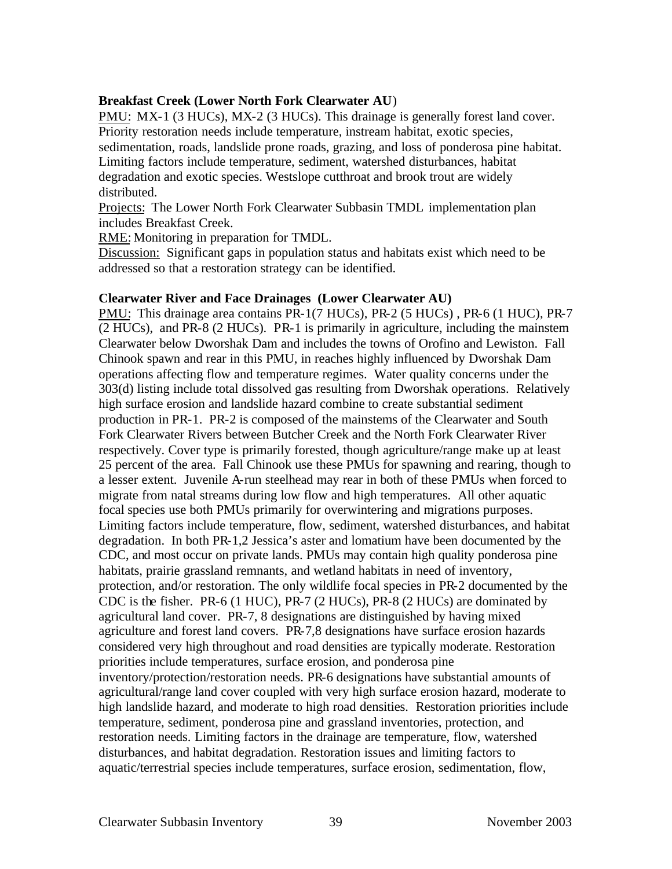#### **Breakfast Creek (Lower North Fork Clearwater AU**)

PMU: MX-1 (3 HUCs), MX-2 (3 HUCs). This drainage is generally forest land cover. Priority restoration needs include temperature, instream habitat, exotic species, sedimentation, roads, landslide prone roads, grazing, and loss of ponderosa pine habitat. Limiting factors include temperature, sediment, watershed disturbances, habitat degradation and exotic species. Westslope cutthroat and brook trout are widely distributed.

Projects: The Lower North Fork Clearwater Subbasin TMDL implementation plan includes Breakfast Creek.

RME: Monitoring in preparation for TMDL.

Discussion: Significant gaps in population status and habitats exist which need to be addressed so that a restoration strategy can be identified.

#### **Clearwater River and Face Drainages (Lower Clearwater AU)**

PMU: This drainage area contains PR-1(7 HUCs), PR-2 (5 HUCs), PR-6 (1 HUC), PR-7 (2 HUCs), and PR-8 (2 HUCs). PR-1 is primarily in agriculture, including the mainstem Clearwater below Dworshak Dam and includes the towns of Orofino and Lewiston. Fall Chinook spawn and rear in this PMU, in reaches highly influenced by Dworshak Dam operations affecting flow and temperature regimes. Water quality concerns under the 303(d) listing include total dissolved gas resulting from Dworshak operations. Relatively high surface erosion and landslide hazard combine to create substantial sediment production in PR-1. PR-2 is composed of the mainstems of the Clearwater and South Fork Clearwater Rivers between Butcher Creek and the North Fork Clearwater River respectively. Cover type is primarily forested, though agriculture/range make up at least 25 percent of the area. Fall Chinook use these PMUs for spawning and rearing, though to a lesser extent. Juvenile A-run steelhead may rear in both of these PMUs when forced to migrate from natal streams during low flow and high temperatures. All other aquatic focal species use both PMUs primarily for overwintering and migrations purposes. Limiting factors include temperature, flow, sediment, watershed disturbances, and habitat degradation. In both PR-1,2 Jessica's aster and lomatium have been documented by the CDC, and most occur on private lands. PMUs may contain high quality ponderosa pine habitats, prairie grassland remnants, and wetland habitats in need of inventory, protection, and/or restoration. The only wildlife focal species in PR-2 documented by the CDC is the fisher. PR-6 (1 HUC), PR-7 (2 HUCs), PR-8 (2 HUCs) are dominated by agricultural land cover. PR-7, 8 designations are distinguished by having mixed agriculture and forest land covers. PR-7,8 designations have surface erosion hazards considered very high throughout and road densities are typically moderate. Restoration priorities include temperatures, surface erosion, and ponderosa pine inventory/protection/restoration needs. PR-6 designations have substantial amounts of agricultural/range land cover coupled with very high surface erosion hazard, moderate to high landslide hazard, and moderate to high road densities. Restoration priorities include temperature, sediment, ponderosa pine and grassland inventories, protection, and restoration needs. Limiting factors in the drainage are temperature, flow, watershed disturbances, and habitat degradation. Restoration issues and limiting factors to aquatic/terrestrial species include temperatures, surface erosion, sedimentation, flow,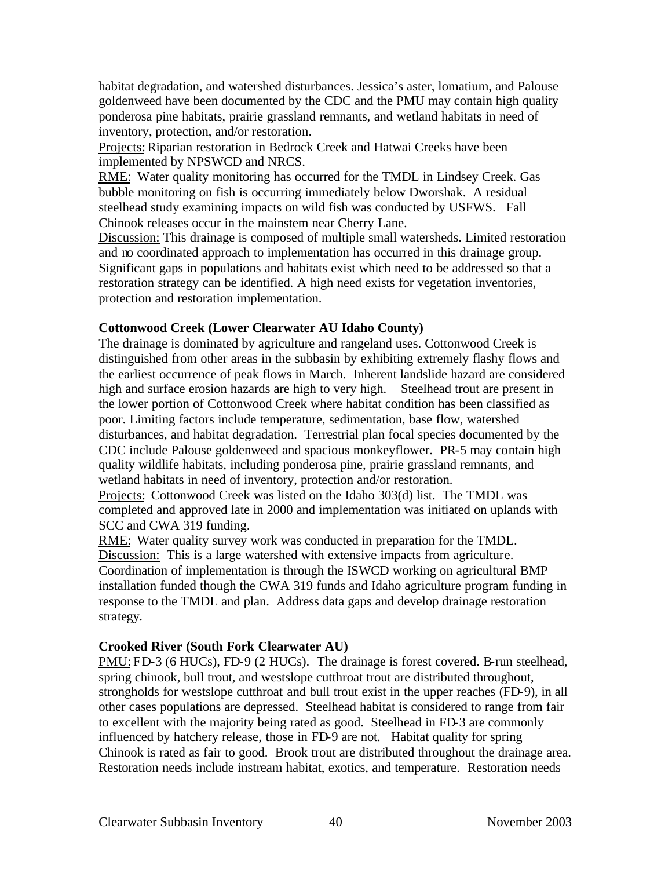habitat degradation, and watershed disturbances. Jessica's aster, lomatium, and Palouse goldenweed have been documented by the CDC and the PMU may contain high quality ponderosa pine habitats, prairie grassland remnants, and wetland habitats in need of inventory, protection, and/or restoration.

Projects: Riparian restoration in Bedrock Creek and Hatwai Creeks have been implemented by NPSWCD and NRCS.

RME: Water quality monitoring has occurred for the TMDL in Lindsey Creek. Gas bubble monitoring on fish is occurring immediately below Dworshak. A residual steelhead study examining impacts on wild fish was conducted by USFWS. Fall Chinook releases occur in the mainstem near Cherry Lane.

Discussion: This drainage is composed of multiple small watersheds. Limited restoration and no coordinated approach to implementation has occurred in this drainage group. Significant gaps in populations and habitats exist which need to be addressed so that a restoration strategy can be identified. A high need exists for vegetation inventories, protection and restoration implementation.

## **Cottonwood Creek (Lower Clearwater AU Idaho County)**

The drainage is dominated by agriculture and rangeland uses. Cottonwood Creek is distinguished from other areas in the subbasin by exhibiting extremely flashy flows and the earliest occurrence of peak flows in March. Inherent landslide hazard are considered high and surface erosion hazards are high to very high. Steelhead trout are present in the lower portion of Cottonwood Creek where habitat condition has been classified as poor. Limiting factors include temperature, sedimentation, base flow, watershed disturbances, and habitat degradation. Terrestrial plan focal species documented by the CDC include Palouse goldenweed and spacious monkeyflower. PR-5 may contain high quality wildlife habitats, including ponderosa pine, prairie grassland remnants, and wetland habitats in need of inventory, protection and/or restoration.

Projects: Cottonwood Creek was listed on the Idaho 303(d) list. The TMDL was completed and approved late in 2000 and implementation was initiated on uplands with SCC and CWA 319 funding.

RME: Water quality survey work was conducted in preparation for the TMDL. Discussion: This is a large watershed with extensive impacts from agriculture. Coordination of implementation is through the ISWCD working on agricultural BMP installation funded though the CWA 319 funds and Idaho agriculture program funding in response to the TMDL and plan. Address data gaps and develop drainage restoration strategy.

## **Crooked River (South Fork Clearwater AU)**

PMU: FD-3 (6 HUCs), FD-9 (2 HUCs). The drainage is forest covered. B-run steelhead, spring chinook, bull trout, and westslope cutthroat trout are distributed throughout, strongholds for westslope cutthroat and bull trout exist in the upper reaches (FD-9), in all other cases populations are depressed. Steelhead habitat is considered to range from fair to excellent with the majority being rated as good. Steelhead in FD-3 are commonly influenced by hatchery release, those in FD-9 are not. Habitat quality for spring Chinook is rated as fair to good. Brook trout are distributed throughout the drainage area. Restoration needs include instream habitat, exotics, and temperature. Restoration needs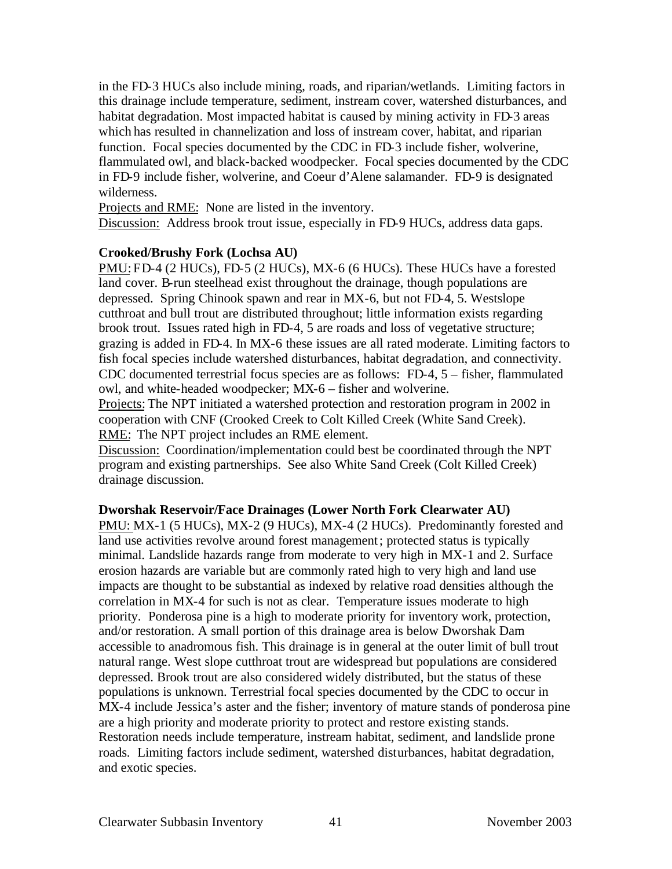in the FD-3 HUCs also include mining, roads, and riparian/wetlands. Limiting factors in this drainage include temperature, sediment, instream cover, watershed disturbances, and habitat degradation. Most impacted habitat is caused by mining activity in FD-3 areas which has resulted in channelization and loss of instream cover, habitat, and riparian function. Focal species documented by the CDC in FD-3 include fisher, wolverine, flammulated owl, and black-backed woodpecker. Focal species documented by the CDC in FD-9 include fisher, wolverine, and Coeur d'Alene salamander. FD-9 is designated wilderness.

Projects and RME: None are listed in the inventory.

Discussion: Address brook trout issue, especially in FD-9 HUCs, address data gaps.

#### **Crooked/Brushy Fork (Lochsa AU)**

PMU: FD-4 (2 HUCs), FD-5 (2 HUCs), MX-6 (6 HUCs). These HUCs have a forested land cover. B-run steelhead exist throughout the drainage, though populations are depressed. Spring Chinook spawn and rear in MX-6, but not FD-4, 5. Westslope cutthroat and bull trout are distributed throughout; little information exists regarding brook trout. Issues rated high in FD-4, 5 are roads and loss of vegetative structure; grazing is added in FD-4. In MX-6 these issues are all rated moderate. Limiting factors to fish focal species include watershed disturbances, habitat degradation, and connectivity. CDC documented terrestrial focus species are as follows: FD-4, 5 – fisher, flammulated owl, and white-headed woodpecker; MX-6 – fisher and wolverine.

Projects: The NPT initiated a watershed protection and restoration program in 2002 in cooperation with CNF (Crooked Creek to Colt Killed Creek (White Sand Creek). RME: The NPT project includes an RME element.

Discussion: Coordination/implementation could best be coordinated through the NPT program and existing partnerships. See also White Sand Creek (Colt Killed Creek) drainage discussion.

#### **Dworshak Reservoir/Face Drainages (Lower North Fork Clearwater AU)**

PMU: MX-1 (5 HUCs), MX-2 (9 HUCs), MX-4 (2 HUCs). Predominantly forested and land use activities revolve around forest management; protected status is typically minimal. Landslide hazards range from moderate to very high in MX-1 and 2. Surface erosion hazards are variable but are commonly rated high to very high and land use impacts are thought to be substantial as indexed by relative road densities although the correlation in MX-4 for such is not as clear. Temperature issues moderate to high priority. Ponderosa pine is a high to moderate priority for inventory work, protection, and/or restoration. A small portion of this drainage area is below Dworshak Dam accessible to anadromous fish. This drainage is in general at the outer limit of bull trout natural range. West slope cutthroat trout are widespread but populations are considered depressed. Brook trout are also considered widely distributed, but the status of these populations is unknown. Terrestrial focal species documented by the CDC to occur in MX-4 include Jessica's aster and the fisher; inventory of mature stands of ponderosa pine are a high priority and moderate priority to protect and restore existing stands. Restoration needs include temperature, instream habitat, sediment, and landslide prone roads. Limiting factors include sediment, watershed disturbances, habitat degradation, and exotic species.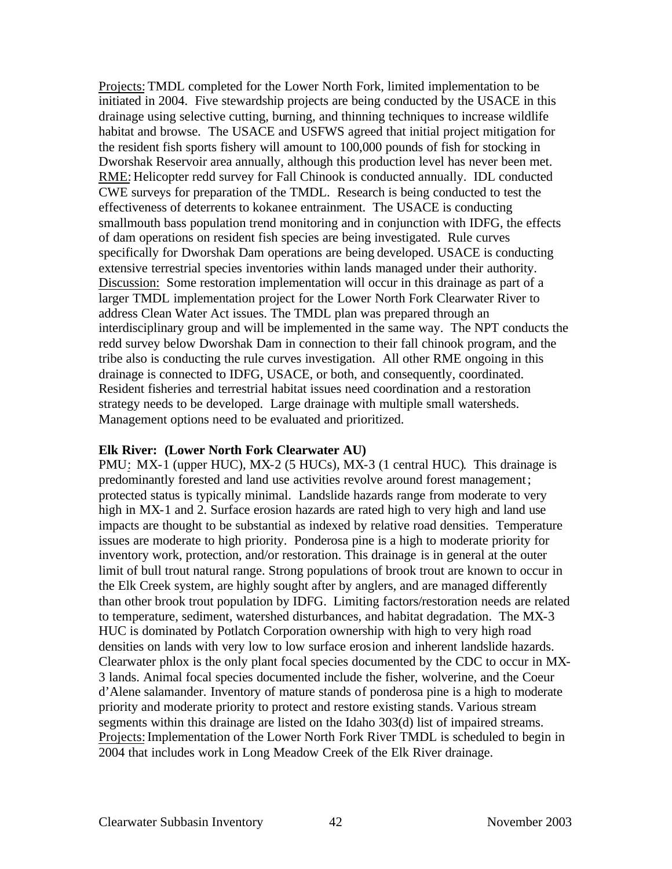Projects: TMDL completed for the Lower North Fork, limited implementation to be initiated in 2004. Five stewardship projects are being conducted by the USACE in this drainage using selective cutting, burning, and thinning techniques to increase wildlife habitat and browse. The USACE and USFWS agreed that initial project mitigation for the resident fish sports fishery will amount to 100,000 pounds of fish for stocking in Dworshak Reservoir area annually, although this production level has never been met. RME: Helicopter redd survey for Fall Chinook is conducted annually. IDL conducted CWE surveys for preparation of the TMDL. Research is being conducted to test the effectiveness of deterrents to kokanee entrainment. The USACE is conducting smallmouth bass population trend monitoring and in conjunction with IDFG, the effects of dam operations on resident fish species are being investigated. Rule curves specifically for Dworshak Dam operations are being developed. USACE is conducting extensive terrestrial species inventories within lands managed under their authority. Discussion: Some restoration implementation will occur in this drainage as part of a larger TMDL implementation project for the Lower North Fork Clearwater River to address Clean Water Act issues. The TMDL plan was prepared through an interdisciplinary group and will be implemented in the same way. The NPT conducts the redd survey below Dworshak Dam in connection to their fall chinook program, and the tribe also is conducting the rule curves investigation. All other RME ongoing in this drainage is connected to IDFG, USACE, or both, and consequently, coordinated. Resident fisheries and terrestrial habitat issues need coordination and a restoration strategy needs to be developed. Large drainage with multiple small watersheds. Management options need to be evaluated and prioritized.

#### **Elk River: (Lower North Fork Clearwater AU)**

PMU: MX-1 (upper HUC), MX-2 (5 HUCs), MX-3 (1 central HUC). This drainage is predominantly forested and land use activities revolve around forest management; protected status is typically minimal. Landslide hazards range from moderate to very high in MX-1 and 2. Surface erosion hazards are rated high to very high and land use impacts are thought to be substantial as indexed by relative road densities. Temperature issues are moderate to high priority. Ponderosa pine is a high to moderate priority for inventory work, protection, and/or restoration. This drainage is in general at the outer limit of bull trout natural range. Strong populations of brook trout are known to occur in the Elk Creek system, are highly sought after by anglers, and are managed differently than other brook trout population by IDFG. Limiting factors/restoration needs are related to temperature, sediment, watershed disturbances, and habitat degradation. The MX-3 HUC is dominated by Potlatch Corporation ownership with high to very high road densities on lands with very low to low surface erosion and inherent landslide hazards. Clearwater phlox is the only plant focal species documented by the CDC to occur in MX-3 lands. Animal focal species documented include the fisher, wolverine, and the Coeur d'Alene salamander. Inventory of mature stands of ponderosa pine is a high to moderate priority and moderate priority to protect and restore existing stands. Various stream segments within this drainage are listed on the Idaho 303(d) list of impaired streams. Projects: Implementation of the Lower North Fork River TMDL is scheduled to begin in 2004 that includes work in Long Meadow Creek of the Elk River drainage.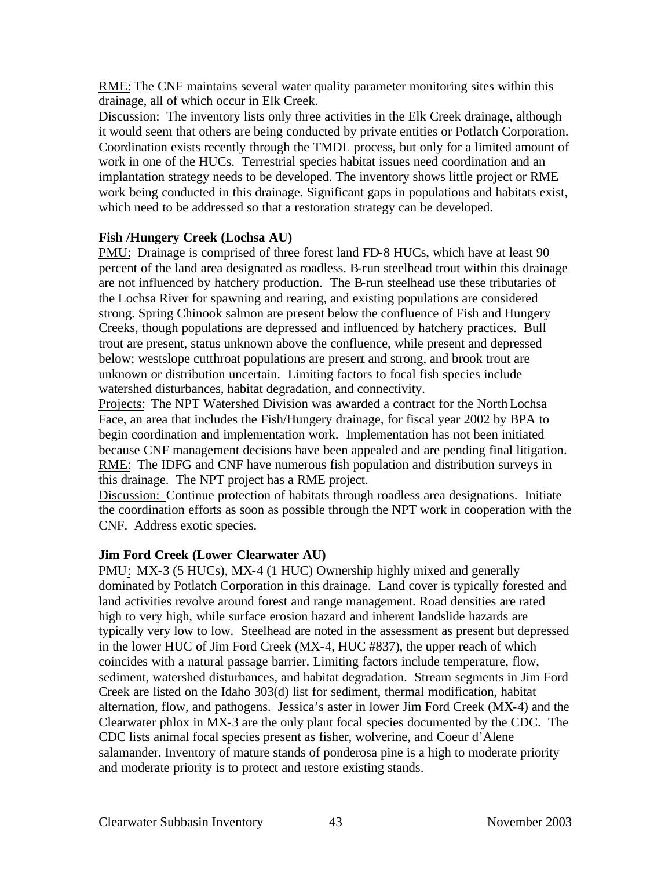RME: The CNF maintains several water quality parameter monitoring sites within this drainage, all of which occur in Elk Creek.

Discussion: The inventory lists only three activities in the Elk Creek drainage, although it would seem that others are being conducted by private entities or Potlatch Corporation. Coordination exists recently through the TMDL process, but only for a limited amount of work in one of the HUCs. Terrestrial species habitat issues need coordination and an implantation strategy needs to be developed. The inventory shows little project or RME work being conducted in this drainage. Significant gaps in populations and habitats exist, which need to be addressed so that a restoration strategy can be developed.

## **Fish /Hungery Creek (Lochsa AU)**

PMU: Drainage is comprised of three forest land FD-8 HUCs, which have at least 90 percent of the land area designated as roadless. B-run steelhead trout within this drainage are not influenced by hatchery production. The B-run steelhead use these tributaries of the Lochsa River for spawning and rearing, and existing populations are considered strong. Spring Chinook salmon are present below the confluence of Fish and Hungery Creeks, though populations are depressed and influenced by hatchery practices. Bull trout are present, status unknown above the confluence, while present and depressed below; westslope cutthroat populations are present and strong, and brook trout are unknown or distribution uncertain. Limiting factors to focal fish species include watershed disturbances, habitat degradation, and connectivity.

Projects: The NPT Watershed Division was awarded a contract for the North Lochsa Face, an area that includes the Fish/Hungery drainage, for fiscal year 2002 by BPA to begin coordination and implementation work. Implementation has not been initiated because CNF management decisions have been appealed and are pending final litigation. RME: The IDFG and CNF have numerous fish population and distribution surveys in this drainage. The NPT project has a RME project.

Discussion: Continue protection of habitats through roadless area designations. Initiate the coordination efforts as soon as possible through the NPT work in cooperation with the CNF. Address exotic species.

# **Jim Ford Creek (Lower Clearwater AU)**

PMU: MX-3 (5 HUCs), MX-4 (1 HUC) Ownership highly mixed and generally dominated by Potlatch Corporation in this drainage. Land cover is typically forested and land activities revolve around forest and range management. Road densities are rated high to very high, while surface erosion hazard and inherent landslide hazards are typically very low to low. Steelhead are noted in the assessment as present but depressed in the lower HUC of Jim Ford Creek (MX-4, HUC #837), the upper reach of which coincides with a natural passage barrier. Limiting factors include temperature, flow, sediment, watershed disturbances, and habitat degradation. Stream segments in Jim Ford Creek are listed on the Idaho 303(d) list for sediment, thermal modification, habitat alternation, flow, and pathogens. Jessica's aster in lower Jim Ford Creek (MX-4) and the Clearwater phlox in MX-3 are the only plant focal species documented by the CDC. The CDC lists animal focal species present as fisher, wolverine, and Coeur d'Alene salamander. Inventory of mature stands of ponderosa pine is a high to moderate priority and moderate priority is to protect and restore existing stands.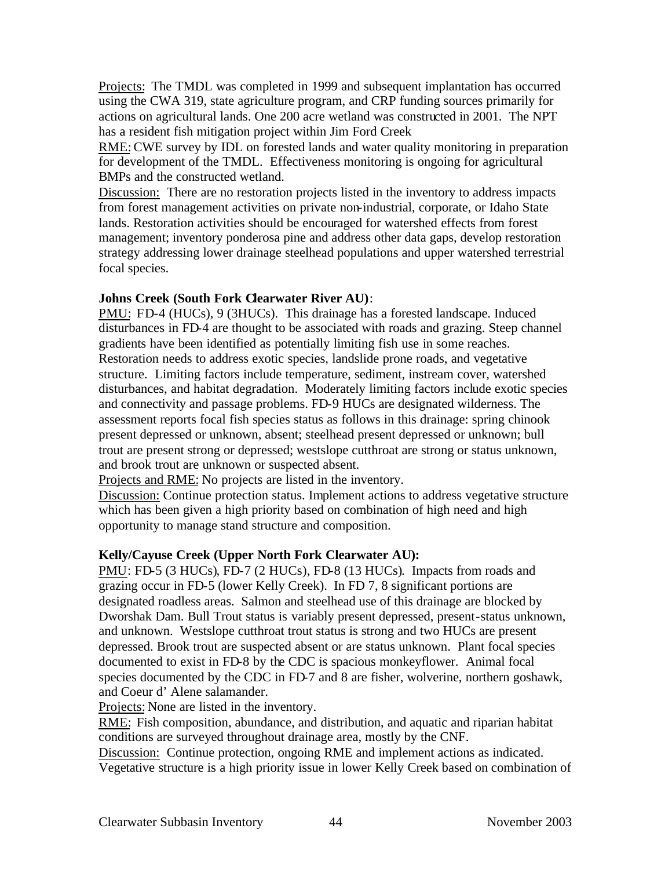Projects: The TMDL was completed in 1999 and subsequent implantation has occurred using the CWA 319, state agriculture program, and CRP funding sources primarily for actions on agricultural lands. One 200 acre wetland was constructed in 2001. The NPT has a resident fish mitigation project within Jim Ford Creek

RME: CWE survey by IDL on forested lands and water quality monitoring in preparation for development of the TMDL. Effectiveness monitoring is ongoing for agricultural BMPs and the constructed wetland.

Discussion: There are no restoration projects listed in the inventory to address impacts from forest management activities on private non-industrial, corporate, or Idaho State lands. Restoration activities should be encouraged for watershed effects from forest management; inventory ponderosa pine and address other data gaps, develop restoration strategy addressing lower drainage steelhead populations and upper watershed terrestrial focal species.

#### **Johns Creek (South Fork Clearwater River AU)**:

PMU: FD-4 (HUCs), 9 (3HUCs). This drainage has a forested landscape. Induced disturbances in FD-4 are thought to be associated with roads and grazing. Steep channel gradients have been identified as potentially limiting fish use in some reaches. Restoration needs to address exotic species, landslide prone roads, and vegetative structure. Limiting factors include temperature, sediment, instream cover, watershed disturbances, and habitat degradation. Moderately limiting factors include exotic species and connectivity and passage problems. FD-9 HUCs are designated wilderness. The assessment reports focal fish species status as follows in this drainage: spring chinook present depressed or unknown, absent; steelhead present depressed or unknown; bull trout are present strong or depressed; westslope cutthroat are strong or status unknown, and brook trout are unknown or suspected absent.

Projects and RME: No projects are listed in the inventory.

Discussion: Continue protection status. Implement actions to address vegetative structure which has been given a high priority based on combination of high need and high opportunity to manage stand structure and composition.

## **Kelly/Cayuse Creek (Upper North Fork Clearwater AU):**

PMU: FD-5 (3 HUCs), FD-7 (2 HUCs), FD-8 (13 HUCs). Impacts from roads and grazing occur in FD-5 (lower Kelly Creek). In FD 7, 8 significant portions are designated roadless areas. Salmon and steelhead use of this drainage are blocked by Dworshak Dam. Bull Trout status is variably present depressed, present-status unknown, and unknown. Westslope cutthroat trout status is strong and two HUCs are present depressed. Brook trout are suspected absent or are status unknown. Plant focal species documented to exist in FD-8 by the CDC is spacious monkeyflower. Animal focal species documented by the CDC in FD-7 and 8 are fisher, wolverine, northern goshawk, and Coeur d' Alene salamander.

Projects: None are listed in the inventory.

RME: Fish composition, abundance, and distribution, and aquatic and riparian habitat conditions are surveyed throughout drainage area, mostly by the CNF.

Discussion: Continue protection, ongoing RME and implement actions as indicated. Vegetative structure is a high priority issue in lower Kelly Creek based on combination of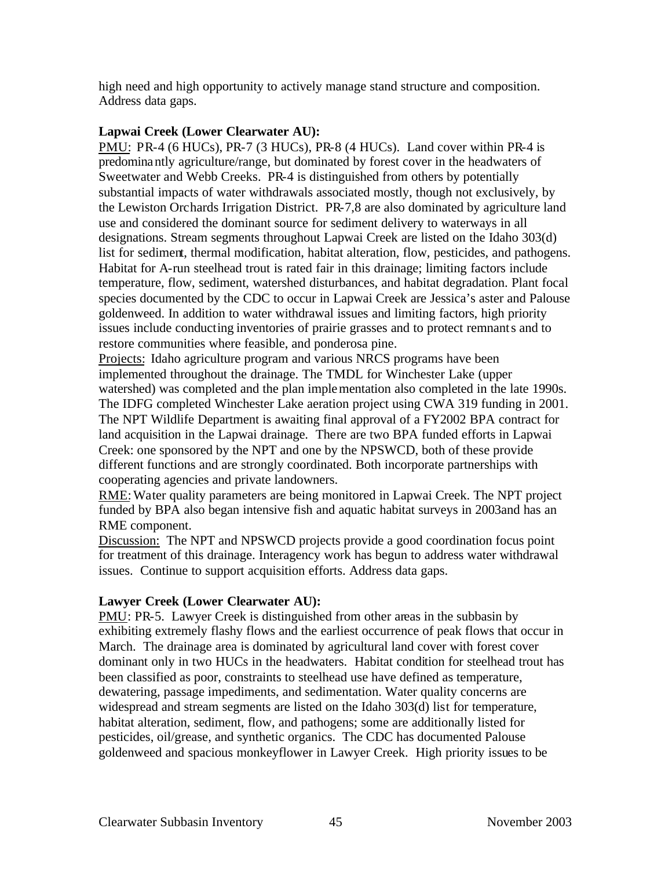high need and high opportunity to actively manage stand structure and composition. Address data gaps.

## **Lapwai Creek (Lower Clearwater AU):**

PMU: PR-4 (6 HUCs), PR-7 (3 HUCs), PR-8 (4 HUCs). Land cover within PR-4 is predominantly agriculture/range, but dominated by forest cover in the headwaters of Sweetwater and Webb Creeks. PR-4 is distinguished from others by potentially substantial impacts of water withdrawals associated mostly, though not exclusively, by the Lewiston Orchards Irrigation District. PR-7,8 are also dominated by agriculture land use and considered the dominant source for sediment delivery to waterways in all designations. Stream segments throughout Lapwai Creek are listed on the Idaho 303(d) list for sediment, thermal modification, habitat alteration, flow, pesticides, and pathogens. Habitat for A-run steelhead trout is rated fair in this drainage; limiting factors include temperature, flow, sediment, watershed disturbances, and habitat degradation. Plant focal species documented by the CDC to occur in Lapwai Creek are Jessica's aster and Palouse goldenweed. In addition to water withdrawal issues and limiting factors, high priority issues include conducting inventories of prairie grasses and to protect remnants and to restore communities where feasible, and ponderosa pine.

Projects: Idaho agriculture program and various NRCS programs have been implemented throughout the drainage. The TMDL for Winchester Lake (upper watershed) was completed and the plan implementation also completed in the late 1990s. The IDFG completed Winchester Lake aeration project using CWA 319 funding in 2001. The NPT Wildlife Department is awaiting final approval of a FY2002 BPA contract for land acquisition in the Lapwai drainage. There are two BPA funded efforts in Lapwai Creek: one sponsored by the NPT and one by the NPSWCD, both of these provide different functions and are strongly coordinated. Both incorporate partnerships with cooperating agencies and private landowners.

RME: Water quality parameters are being monitored in Lapwai Creek. The NPT project funded by BPA also began intensive fish and aquatic habitat surveys in 2003and has an RME component.

Discussion: The NPT and NPSWCD projects provide a good coordination focus point for treatment of this drainage. Interagency work has begun to address water withdrawal issues. Continue to support acquisition efforts. Address data gaps.

# **Lawyer Creek (Lower Clearwater AU):**

PMU: PR-5. Lawyer Creek is distinguished from other areas in the subbasin by exhibiting extremely flashy flows and the earliest occurrence of peak flows that occur in March. The drainage area is dominated by agricultural land cover with forest cover dominant only in two HUCs in the headwaters. Habitat condition for steelhead trout has been classified as poor, constraints to steelhead use have defined as temperature, dewatering, passage impediments, and sedimentation. Water quality concerns are widespread and stream segments are listed on the Idaho 303(d) list for temperature, habitat alteration, sediment, flow, and pathogens; some are additionally listed for pesticides, oil/grease, and synthetic organics. The CDC has documented Palouse goldenweed and spacious monkeyflower in Lawyer Creek. High priority issues to be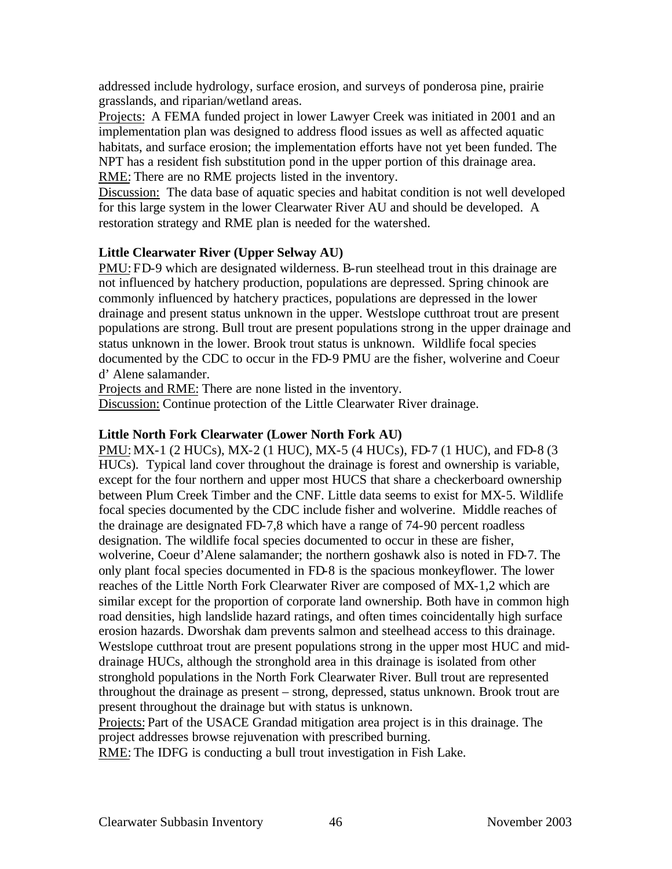addressed include hydrology, surface erosion, and surveys of ponderosa pine, prairie grasslands, and riparian/wetland areas.

Projects: A FEMA funded project in lower Lawyer Creek was initiated in 2001 and an implementation plan was designed to address flood issues as well as affected aquatic habitats, and surface erosion; the implementation efforts have not yet been funded. The NPT has a resident fish substitution pond in the upper portion of this drainage area. RME: There are no RME projects listed in the inventory.

Discussion: The data base of aquatic species and habitat condition is not well developed for this large system in the lower Clearwater River AU and should be developed. A restoration strategy and RME plan is needed for the watershed.

## **Little Clearwater River (Upper Selway AU)**

PMU: FD-9 which are designated wilderness. B-run steelhead trout in this drainage are not influenced by hatchery production, populations are depressed. Spring chinook are commonly influenced by hatchery practices, populations are depressed in the lower drainage and present status unknown in the upper. Westslope cutthroat trout are present populations are strong. Bull trout are present populations strong in the upper drainage and status unknown in the lower. Brook trout status is unknown. Wildlife focal species documented by the CDC to occur in the FD-9 PMU are the fisher, wolverine and Coeur d' Alene salamander.

Projects and RME: There are none listed in the inventory.

Discussion: Continue protection of the Little Clearwater River drainage.

#### **Little North Fork Clearwater (Lower North Fork AU)**

PMU: MX-1 (2 HUCs), MX-2 (1 HUC), MX-5 (4 HUCs), FD-7 (1 HUC), and FD-8 (3 HUCs). Typical land cover throughout the drainage is forest and ownership is variable, except for the four northern and upper most HUCS that share a checkerboard ownership between Plum Creek Timber and the CNF. Little data seems to exist for MX-5. Wildlife focal species documented by the CDC include fisher and wolverine. Middle reaches of the drainage are designated FD-7,8 which have a range of 74-90 percent roadless designation. The wildlife focal species documented to occur in these are fisher, wolverine, Coeur d'Alene salamander; the northern goshawk also is noted in FD-7. The only plant focal species documented in FD-8 is the spacious monkeyflower. The lower reaches of the Little North Fork Clearwater River are composed of MX-1,2 which are similar except for the proportion of corporate land ownership. Both have in common high road densities, high landslide hazard ratings, and often times coincidentally high surface erosion hazards. Dworshak dam prevents salmon and steelhead access to this drainage. Westslope cutthroat trout are present populations strong in the upper most HUC and middrainage HUCs, although the stronghold area in this drainage is isolated from other stronghold populations in the North Fork Clearwater River. Bull trout are represented throughout the drainage as present – strong, depressed, status unknown. Brook trout are present throughout the drainage but with status is unknown.

Projects: Part of the USACE Grandad mitigation area project is in this drainage. The project addresses browse rejuvenation with prescribed burning.

RME: The IDFG is conducting a bull trout investigation in Fish Lake.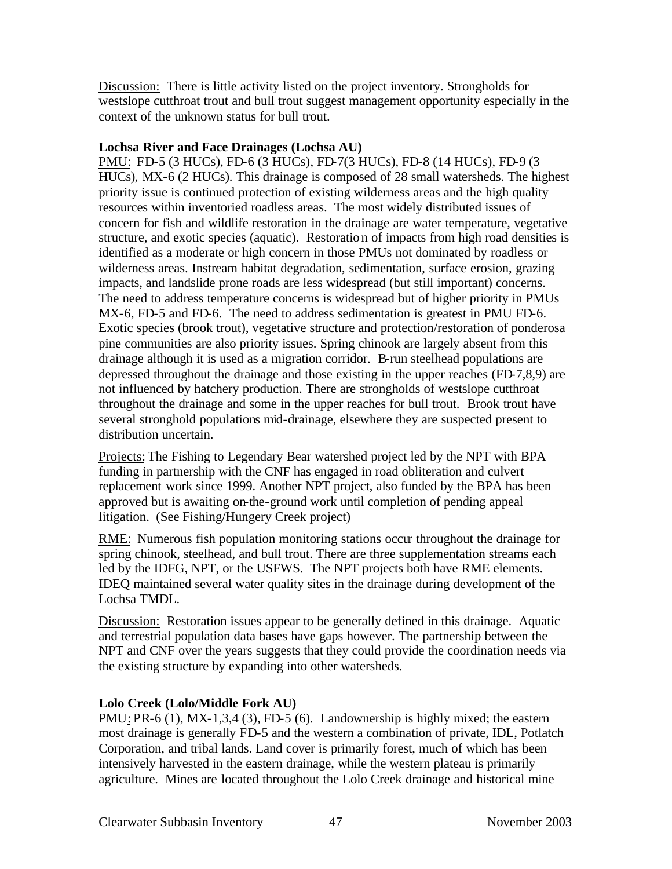Discussion: There is little activity listed on the project inventory. Strongholds for westslope cutthroat trout and bull trout suggest management opportunity especially in the context of the unknown status for bull trout.

#### **Lochsa River and Face Drainages (Lochsa AU)**

PMU: FD-5 (3 HUCs), FD-6 (3 HUCs), FD-7(3 HUCs), FD-8 (14 HUCs), FD-9 (3 HUCs), MX-6 (2 HUCs). This drainage is composed of 28 small watersheds. The highest priority issue is continued protection of existing wilderness areas and the high quality resources within inventoried roadless areas. The most widely distributed issues of concern for fish and wildlife restoration in the drainage are water temperature, vegetative structure, and exotic species (aquatic). Restoration of impacts from high road densities is identified as a moderate or high concern in those PMUs not dominated by roadless or wilderness areas. Instream habitat degradation, sedimentation, surface erosion, grazing impacts, and landslide prone roads are less widespread (but still important) concerns. The need to address temperature concerns is widespread but of higher priority in PMUs MX-6, FD-5 and FD-6. The need to address sedimentation is greatest in PMU FD-6. Exotic species (brook trout), vegetative structure and protection/restoration of ponderosa pine communities are also priority issues. Spring chinook are largely absent from this drainage although it is used as a migration corridor. B-run steelhead populations are depressed throughout the drainage and those existing in the upper reaches (FD-7,8,9) are not influenced by hatchery production. There are strongholds of westslope cutthroat throughout the drainage and some in the upper reaches for bull trout. Brook trout have several stronghold populations mid-drainage, elsewhere they are suspected present to distribution uncertain.

Projects: The Fishing to Legendary Bear watershed project led by the NPT with BPA funding in partnership with the CNF has engaged in road obliteration and culvert replacement work since 1999. Another NPT project, also funded by the BPA has been approved but is awaiting on-the-ground work until completion of pending appeal litigation. (See Fishing/Hungery Creek project)

RME: Numerous fish population monitoring stations occur throughout the drainage for spring chinook, steelhead, and bull trout. There are three supplementation streams each led by the IDFG, NPT, or the USFWS. The NPT projects both have RME elements. IDEQ maintained several water quality sites in the drainage during development of the Lochsa TMDL.

Discussion: Restoration issues appear to be generally defined in this drainage. Aquatic and terrestrial population data bases have gaps however. The partnership between the NPT and CNF over the years suggests that they could provide the coordination needs via the existing structure by expanding into other watersheds.

# **Lolo Creek (Lolo/Middle Fork AU)**

PMU: PR-6 (1), MX-1,3,4 (3), FD-5 (6). Landownership is highly mixed; the eastern most drainage is generally FD-5 and the western a combination of private, IDL, Potlatch Corporation, and tribal lands. Land cover is primarily forest, much of which has been intensively harvested in the eastern drainage, while the western plateau is primarily agriculture. Mines are located throughout the Lolo Creek drainage and historical mine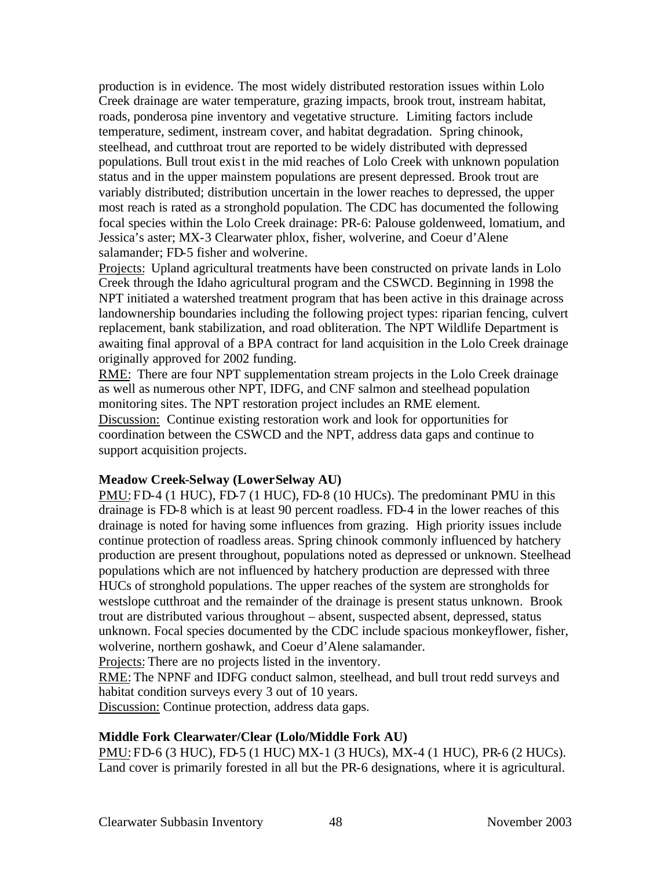production is in evidence. The most widely distributed restoration issues within Lolo Creek drainage are water temperature, grazing impacts, brook trout, instream habitat, roads, ponderosa pine inventory and vegetative structure. Limiting factors include temperature, sediment, instream cover, and habitat degradation. Spring chinook, steelhead, and cutthroat trout are reported to be widely distributed with depressed populations. Bull trout exist in the mid reaches of Lolo Creek with unknown population status and in the upper mainstem populations are present depressed. Brook trout are variably distributed; distribution uncertain in the lower reaches to depressed, the upper most reach is rated as a stronghold population. The CDC has documented the following focal species within the Lolo Creek drainage: PR-6: Palouse goldenweed, lomatium, and Jessica's aster; MX-3 Clearwater phlox, fisher, wolverine, and Coeur d'Alene salamander; FD-5 fisher and wolverine.

Projects: Upland agricultural treatments have been constructed on private lands in Lolo Creek through the Idaho agricultural program and the CSWCD. Beginning in 1998 the NPT initiated a watershed treatment program that has been active in this drainage across landownership boundaries including the following project types: riparian fencing, culvert replacement, bank stabilization, and road obliteration. The NPT Wildlife Department is awaiting final approval of a BPA contract for land acquisition in the Lolo Creek drainage originally approved for 2002 funding.

RME: There are four NPT supplementation stream projects in the Lolo Creek drainage as well as numerous other NPT, IDFG, and CNF salmon and steelhead population monitoring sites. The NPT restoration project includes an RME element. Discussion: Continue existing restoration work and look for opportunities for coordination between the CSWCD and the NPT, address data gaps and continue to support acquisition projects.

## **Meadow Creek-Selway (Lower Selway AU)**

PMU: FD-4 (1 HUC), FD-7 (1 HUC), FD-8 (10 HUCs). The predominant PMU in this drainage is FD-8 which is at least 90 percent roadless. FD-4 in the lower reaches of this drainage is noted for having some influences from grazing. High priority issues include continue protection of roadless areas. Spring chinook commonly influenced by hatchery production are present throughout, populations noted as depressed or unknown. Steelhead populations which are not influenced by hatchery production are depressed with three HUCs of stronghold populations. The upper reaches of the system are strongholds for westslope cutthroat and the remainder of the drainage is present status unknown. Brook trout are distributed various throughout – absent, suspected absent, depressed, status unknown. Focal species documented by the CDC include spacious monkeyflower, fisher, wolverine, northern goshawk, and Coeur d'Alene salamander.

Projects: There are no projects listed in the inventory.

RME: The NPNF and IDFG conduct salmon, steelhead, and bull trout redd surveys and habitat condition surveys every 3 out of 10 years.

Discussion: Continue protection, address data gaps.

# **Middle Fork Clearwater/Clear (Lolo/Middle Fork AU)**

PMU: FD-6 (3 HUC), FD-5 (1 HUC) MX-1 (3 HUCs), MX-4 (1 HUC), PR-6 (2 HUCs). Land cover is primarily forested in all but the PR-6 designations, where it is agricultural.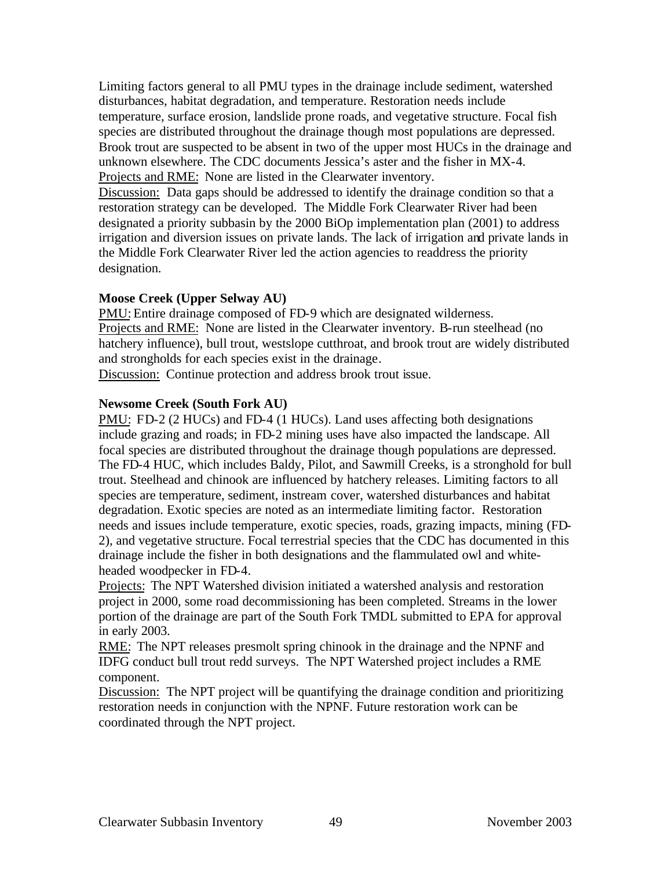Limiting factors general to all PMU types in the drainage include sediment, watershed disturbances, habitat degradation, and temperature. Restoration needs include temperature, surface erosion, landslide prone roads, and vegetative structure. Focal fish species are distributed throughout the drainage though most populations are depressed. Brook trout are suspected to be absent in two of the upper most HUCs in the drainage and unknown elsewhere. The CDC documents Jessica's aster and the fisher in MX-4. Projects and RME: None are listed in the Clearwater inventory.

Discussion: Data gaps should be addressed to identify the drainage condition so that a restoration strategy can be developed. The Middle Fork Clearwater River had been designated a priority subbasin by the 2000 BiOp implementation plan (2001) to address irrigation and diversion issues on private lands. The lack of irrigation and private lands in the Middle Fork Clearwater River led the action agencies to readdress the priority designation.

## **Moose Creek (Upper Selway AU)**

PMU: Entire drainage composed of FD-9 which are designated wilderness. Projects and RME: None are listed in the Clearwater inventory. B-run steelhead (no hatchery influence), bull trout, westslope cutthroat, and brook trout are widely distributed and strongholds for each species exist in the drainage.

Discussion: Continue protection and address brook trout issue.

## **Newsome Creek (South Fork AU)**

PMU: FD-2 (2 HUCs) and FD-4 (1 HUCs). Land uses affecting both designations include grazing and roads; in FD-2 mining uses have also impacted the landscape. All focal species are distributed throughout the drainage though populations are depressed. The FD-4 HUC, which includes Baldy, Pilot, and Sawmill Creeks, is a stronghold for bull trout. Steelhead and chinook are influenced by hatchery releases. Limiting factors to all species are temperature, sediment, instream cover, watershed disturbances and habitat degradation. Exotic species are noted as an intermediate limiting factor. Restoration needs and issues include temperature, exotic species, roads, grazing impacts, mining (FD-2), and vegetative structure. Focal terrestrial species that the CDC has documented in this drainage include the fisher in both designations and the flammulated owl and whiteheaded woodpecker in FD-4.

Projects: The NPT Watershed division initiated a watershed analysis and restoration project in 2000, some road decommissioning has been completed. Streams in the lower portion of the drainage are part of the South Fork TMDL submitted to EPA for approval in early 2003.

RME: The NPT releases presmolt spring chinook in the drainage and the NPNF and IDFG conduct bull trout redd surveys. The NPT Watershed project includes a RME component.

Discussion: The NPT project will be quantifying the drainage condition and prioritizing restoration needs in conjunction with the NPNF. Future restoration work can be coordinated through the NPT project.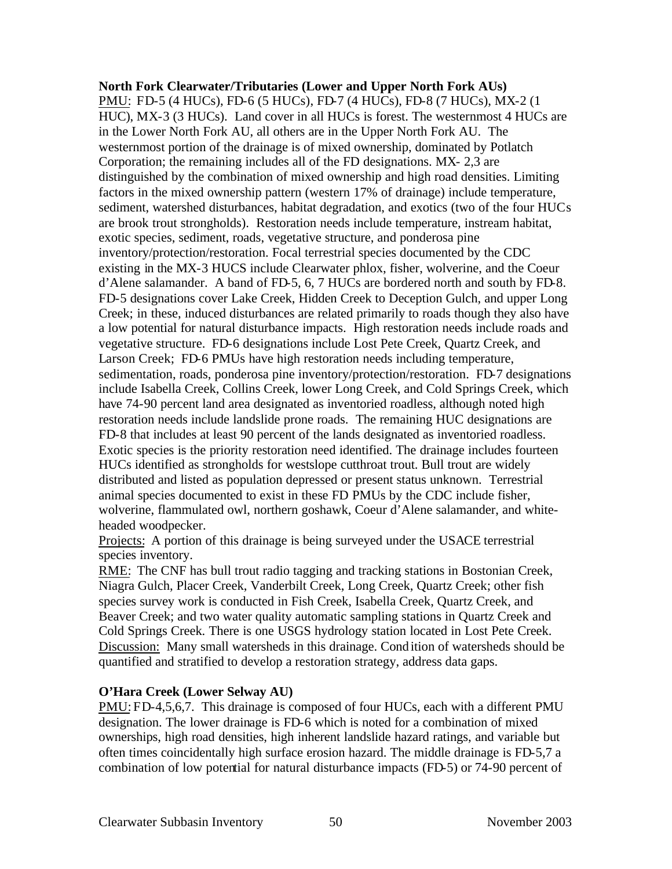**North Fork Clearwater/Tributaries (Lower and Upper North Fork AUs)** PMU: FD-5 (4 HUCs), FD-6 (5 HUCs), FD-7 (4 HUCs), FD-8 (7 HUCs), MX-2 (1 HUC), MX-3 (3 HUCs). Land cover in all HUCs is forest. The westernmost 4 HUCs are in the Lower North Fork AU, all others are in the Upper North Fork AU. The westernmost portion of the drainage is of mixed ownership, dominated by Potlatch Corporation; the remaining includes all of the FD designations. MX- 2,3 are distinguished by the combination of mixed ownership and high road densities. Limiting factors in the mixed ownership pattern (western 17% of drainage) include temperature, sediment, watershed disturbances, habitat degradation, and exotics (two of the four HUCs are brook trout strongholds). Restoration needs include temperature, instream habitat, exotic species, sediment, roads, vegetative structure, and ponderosa pine inventory/protection/restoration. Focal terrestrial species documented by the CDC existing in the MX-3 HUCS include Clearwater phlox, fisher, wolverine, and the Coeur d'Alene salamander. A band of FD-5, 6, 7 HUCs are bordered north and south by FD-8. FD-5 designations cover Lake Creek, Hidden Creek to Deception Gulch, and upper Long Creek; in these, induced disturbances are related primarily to roads though they also have a low potential for natural disturbance impacts. High restoration needs include roads and vegetative structure. FD-6 designations include Lost Pete Creek, Quartz Creek, and Larson Creek; FD-6 PMUs have high restoration needs including temperature, sedimentation, roads, ponderosa pine inventory/protection/restoration. FD-7 designations include Isabella Creek, Collins Creek, lower Long Creek, and Cold Springs Creek, which have 74-90 percent land area designated as inventoried roadless, although noted high restoration needs include landslide prone roads. The remaining HUC designations are FD-8 that includes at least 90 percent of the lands designated as inventoried roadless. Exotic species is the priority restoration need identified. The drainage includes fourteen HUCs identified as strongholds for westslope cutthroat trout. Bull trout are widely distributed and listed as population depressed or present status unknown. Terrestrial animal species documented to exist in these FD PMUs by the CDC include fisher, wolverine, flammulated owl, northern goshawk, Coeur d'Alene salamander, and whiteheaded woodpecker.

Projects: A portion of this drainage is being surveyed under the USACE terrestrial species inventory.

RME: The CNF has bull trout radio tagging and tracking stations in Bostonian Creek, Niagra Gulch, Placer Creek, Vanderbilt Creek, Long Creek, Quartz Creek; other fish species survey work is conducted in Fish Creek, Isabella Creek, Quartz Creek, and Beaver Creek; and two water quality automatic sampling stations in Quartz Creek and Cold Springs Creek. There is one USGS hydrology station located in Lost Pete Creek. Discussion: Many small watersheds in this drainage. Condition of watersheds should be quantified and stratified to develop a restoration strategy, address data gaps.

## **O'Hara Creek (Lower Selway AU)**

PMU: FD-4,5,6,7. This drainage is composed of four HUCs, each with a different PMU designation. The lower drainage is FD-6 which is noted for a combination of mixed ownerships, high road densities, high inherent landslide hazard ratings, and variable but often times coincidentally high surface erosion hazard. The middle drainage is FD-5,7 a combination of low potential for natural disturbance impacts (FD-5) or 74-90 percent of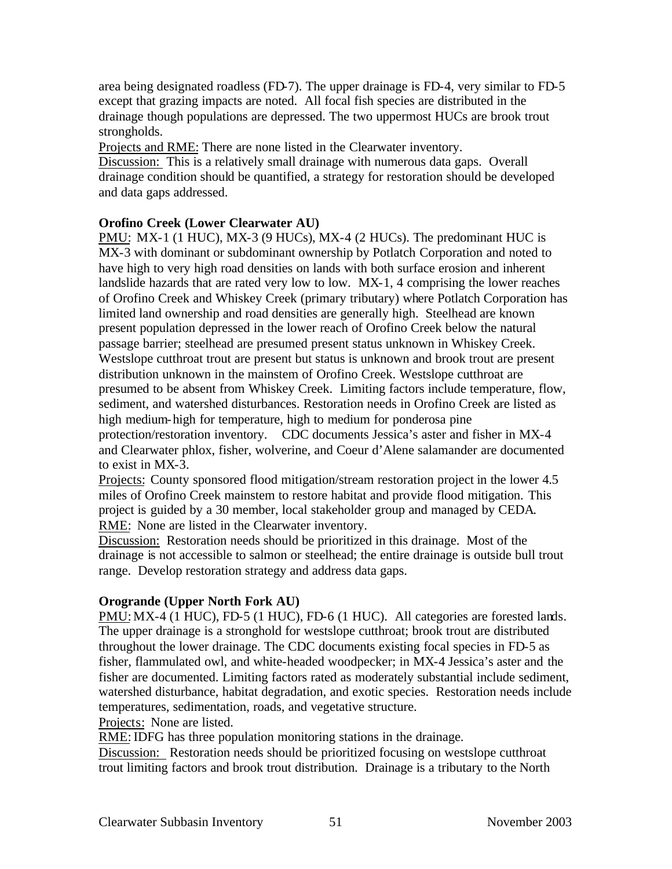area being designated roadless (FD-7). The upper drainage is FD-4, very similar to FD-5 except that grazing impacts are noted. All focal fish species are distributed in the drainage though populations are depressed. The two uppermost HUCs are brook trout strongholds.

Projects and RME: There are none listed in the Clearwater inventory.

Discussion: This is a relatively small drainage with numerous data gaps. Overall drainage condition should be quantified, a strategy for restoration should be developed and data gaps addressed.

## **Orofino Creek (Lower Clearwater AU)**

PMU: MX-1 (1 HUC), MX-3 (9 HUCs), MX-4 (2 HUCs). The predominant HUC is MX-3 with dominant or subdominant ownership by Potlatch Corporation and noted to have high to very high road densities on lands with both surface erosion and inherent landslide hazards that are rated very low to low. MX-1, 4 comprising the lower reaches of Orofino Creek and Whiskey Creek (primary tributary) where Potlatch Corporation has limited land ownership and road densities are generally high. Steelhead are known present population depressed in the lower reach of Orofino Creek below the natural passage barrier; steelhead are presumed present status unknown in Whiskey Creek. Westslope cutthroat trout are present but status is unknown and brook trout are present distribution unknown in the mainstem of Orofino Creek. Westslope cutthroat are presumed to be absent from Whiskey Creek. Limiting factors include temperature, flow, sediment, and watershed disturbances. Restoration needs in Orofino Creek are listed as high medium-high for temperature, high to medium for ponderosa pine protection/restoration inventory. CDC documents Jessica's aster and fisher in MX-4 and Clearwater phlox, fisher, wolverine, and Coeur d'Alene salamander are documented to exist in MX-3.

Projects: County sponsored flood mitigation/stream restoration project in the lower 4.5 miles of Orofino Creek mainstem to restore habitat and provide flood mitigation. This project is guided by a 30 member, local stakeholder group and managed by CEDA. RME: None are listed in the Clearwater inventory.

Discussion: Restoration needs should be prioritized in this drainage. Most of the drainage is not accessible to salmon or steelhead; the entire drainage is outside bull trout range. Develop restoration strategy and address data gaps.

# **Orogrande (Upper North Fork AU)**

PMU: MX-4 (1 HUC), FD-5 (1 HUC), FD-6 (1 HUC). All categories are forested lands. The upper drainage is a stronghold for westslope cutthroat; brook trout are distributed throughout the lower drainage. The CDC documents existing focal species in FD-5 as fisher, flammulated owl, and white-headed woodpecker; in MX-4 Jessica's aster and the fisher are documented. Limiting factors rated as moderately substantial include sediment, watershed disturbance, habitat degradation, and exotic species. Restoration needs include temperatures, sedimentation, roads, and vegetative structure.

Projects: None are listed.

RME: IDFG has three population monitoring stations in the drainage.

Discussion: Restoration needs should be prioritized focusing on westslope cutthroat trout limiting factors and brook trout distribution. Drainage is a tributary to the North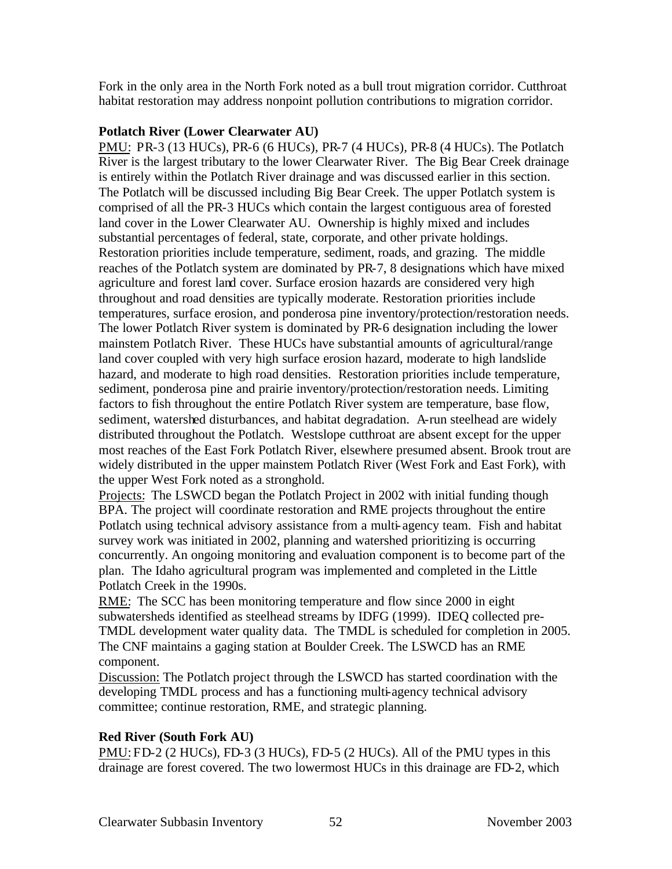Fork in the only area in the North Fork noted as a bull trout migration corridor. Cutthroat habitat restoration may address nonpoint pollution contributions to migration corridor.

#### **Potlatch River (Lower Clearwater AU)**

PMU: PR-3 (13 HUCs), PR-6 (6 HUCs), PR-7 (4 HUCs), PR-8 (4 HUCs). The Potlatch River is the largest tributary to the lower Clearwater River. The Big Bear Creek drainage is entirely within the Potlatch River drainage and was discussed earlier in this section. The Potlatch will be discussed including Big Bear Creek. The upper Potlatch system is comprised of all the PR-3 HUCs which contain the largest contiguous area of forested land cover in the Lower Clearwater AU. Ownership is highly mixed and includes substantial percentages of federal, state, corporate, and other private holdings. Restoration priorities include temperature, sediment, roads, and grazing. The middle reaches of the Potlatch system are dominated by PR-7, 8 designations which have mixed agriculture and forest land cover. Surface erosion hazards are considered very high throughout and road densities are typically moderate. Restoration priorities include temperatures, surface erosion, and ponderosa pine inventory/protection/restoration needs. The lower Potlatch River system is dominated by PR-6 designation including the lower mainstem Potlatch River. These HUCs have substantial amounts of agricultural/range land cover coupled with very high surface erosion hazard, moderate to high landslide hazard, and moderate to high road densities. Restoration priorities include temperature, sediment, ponderosa pine and prairie inventory/protection/restoration needs. Limiting factors to fish throughout the entire Potlatch River system are temperature, base flow, sediment, watershed disturbances, and habitat degradation. A-run steelhead are widely distributed throughout the Potlatch. Westslope cutthroat are absent except for the upper most reaches of the East Fork Potlatch River, elsewhere presumed absent. Brook trout are widely distributed in the upper mainstem Potlatch River (West Fork and East Fork), with the upper West Fork noted as a stronghold.

Projects: The LSWCD began the Potlatch Project in 2002 with initial funding though BPA. The project will coordinate restoration and RME projects throughout the entire Potlatch using technical advisory assistance from a multi-agency team. Fish and habitat survey work was initiated in 2002, planning and watershed prioritizing is occurring concurrently. An ongoing monitoring and evaluation component is to become part of the plan. The Idaho agricultural program was implemented and completed in the Little Potlatch Creek in the 1990s.

RME: The SCC has been monitoring temperature and flow since 2000 in eight subwatersheds identified as steelhead streams by IDFG (1999). IDEQ collected pre-TMDL development water quality data. The TMDL is scheduled for completion in 2005. The CNF maintains a gaging station at Boulder Creek. The LSWCD has an RME component.

Discussion: The Potlatch project through the LSWCD has started coordination with the developing TMDL process and has a functioning multi-agency technical advisory committee; continue restoration, RME, and strategic planning.

## **Red River (South Fork AU)**

PMU: FD-2 (2 HUCs), FD-3 (3 HUCs), FD-5 (2 HUCs). All of the PMU types in this drainage are forest covered. The two lowermost HUCs in this drainage are FD-2, which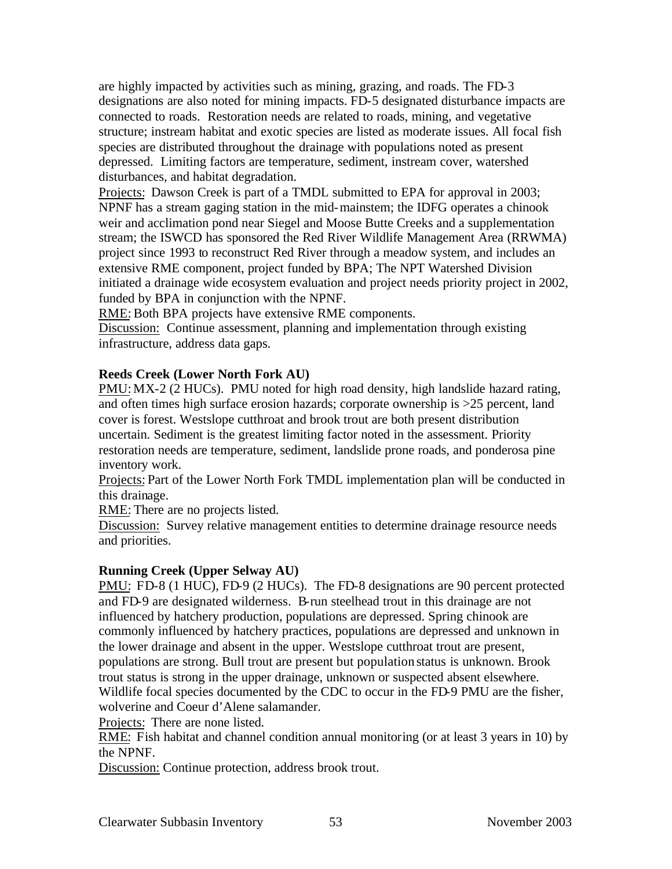are highly impacted by activities such as mining, grazing, and roads. The FD-3 designations are also noted for mining impacts. FD-5 designated disturbance impacts are connected to roads. Restoration needs are related to roads, mining, and vegetative structure; instream habitat and exotic species are listed as moderate issues. All focal fish species are distributed throughout the drainage with populations noted as present depressed. Limiting factors are temperature, sediment, instream cover, watershed disturbances, and habitat degradation.

Projects: Dawson Creek is part of a TMDL submitted to EPA for approval in 2003; NPNF has a stream gaging station in the mid-mainstem; the IDFG operates a chinook weir and acclimation pond near Siegel and Moose Butte Creeks and a supplementation stream; the ISWCD has sponsored the Red River Wildlife Management Area (RRWMA) project since 1993 to reconstruct Red River through a meadow system, and includes an extensive RME component, project funded by BPA; The NPT Watershed Division initiated a drainage wide ecosystem evaluation and project needs priority project in 2002, funded by BPA in conjunction with the NPNF.

RME: Both BPA projects have extensive RME components.

Discussion: Continue assessment, planning and implementation through existing infrastructure, address data gaps.

## **Reeds Creek (Lower North Fork AU)**

PMU: MX-2 (2 HUCs). PMU noted for high road density, high landslide hazard rating, and often times high surface erosion hazards; corporate ownership is >25 percent, land cover is forest. Westslope cutthroat and brook trout are both present distribution uncertain. Sediment is the greatest limiting factor noted in the assessment. Priority restoration needs are temperature, sediment, landslide prone roads, and ponderosa pine inventory work.

Projects: Part of the Lower North Fork TMDL implementation plan will be conducted in this drainage.

RME: There are no projects listed.

Discussion: Survey relative management entities to determine drainage resource needs and priorities.

## **Running Creek (Upper Selway AU)**

PMU: FD-8 (1 HUC), FD-9 (2 HUCs). The FD-8 designations are 90 percent protected and FD-9 are designated wilderness. B-run steelhead trout in this drainage are not influenced by hatchery production, populations are depressed. Spring chinook are commonly influenced by hatchery practices, populations are depressed and unknown in the lower drainage and absent in the upper. Westslope cutthroat trout are present, populations are strong. Bull trout are present but population status is unknown. Brook trout status is strong in the upper drainage, unknown or suspected absent elsewhere. Wildlife focal species documented by the CDC to occur in the FD-9 PMU are the fisher, wolverine and Coeur d'Alene salamander.

Projects: There are none listed.

RME: Fish habitat and channel condition annual monitoring (or at least 3 years in 10) by the NPNF.

Discussion: Continue protection, address brook trout.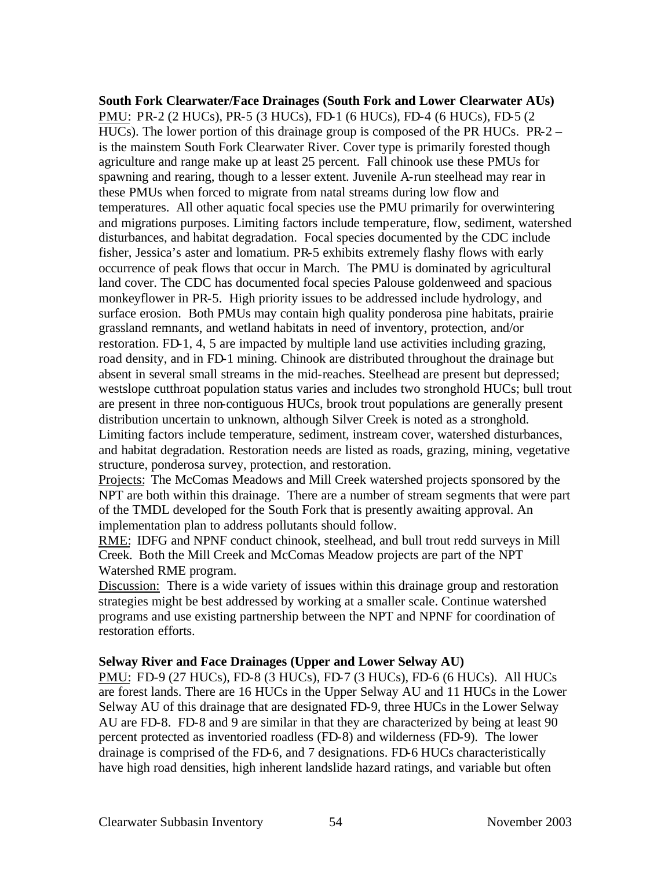**South Fork Clearwater/Face Drainages (South Fork and Lower Clearwater AUs)**  PMU: PR-2 (2 HUCs), PR-5 (3 HUCs), FD-1 (6 HUCs), FD-4 (6 HUCs), FD-5 (2 HUCs). The lower portion of this drainage group is composed of the PR HUCs. PR-2 – is the mainstem South Fork Clearwater River. Cover type is primarily forested though agriculture and range make up at least 25 percent. Fall chinook use these PMUs for spawning and rearing, though to a lesser extent. Juvenile A-run steelhead may rear in these PMUs when forced to migrate from natal streams during low flow and temperatures. All other aquatic focal species use the PMU primarily for overwintering and migrations purposes. Limiting factors include temperature, flow, sediment, watershed disturbances, and habitat degradation. Focal species documented by the CDC include fisher, Jessica's aster and lomatium. PR-5 exhibits extremely flashy flows with early occurrence of peak flows that occur in March. The PMU is dominated by agricultural land cover. The CDC has documented focal species Palouse goldenweed and spacious monkeyflower in PR-5. High priority issues to be addressed include hydrology, and surface erosion. Both PMUs may contain high quality ponderosa pine habitats, prairie grassland remnants, and wetland habitats in need of inventory, protection, and/or restoration. FD-1, 4, 5 are impacted by multiple land use activities including grazing, road density, and in FD-1 mining. Chinook are distributed throughout the drainage but absent in several small streams in the mid-reaches. Steelhead are present but depressed; westslope cutthroat population status varies and includes two stronghold HUCs; bull trout are present in three non-contiguous HUCs, brook trout populations are generally present distribution uncertain to unknown, although Silver Creek is noted as a stronghold. Limiting factors include temperature, sediment, instream cover, watershed disturbances, and habitat degradation. Restoration needs are listed as roads, grazing, mining, vegetative structure, ponderosa survey, protection, and restoration.

Projects: The McComas Meadows and Mill Creek watershed projects sponsored by the NPT are both within this drainage. There are a number of stream segments that were part of the TMDL developed for the South Fork that is presently awaiting approval. An implementation plan to address pollutants should follow.

RME: IDFG and NPNF conduct chinook, steelhead, and bull trout redd surveys in Mill Creek. Both the Mill Creek and McComas Meadow projects are part of the NPT Watershed RME program.

Discussion: There is a wide variety of issues within this drainage group and restoration strategies might be best addressed by working at a smaller scale. Continue watershed programs and use existing partnership between the NPT and NPNF for coordination of restoration efforts.

#### **Selway River and Face Drainages (Upper and Lower Selway AU)**

PMU: FD-9 (27 HUCs), FD-8 (3 HUCs), FD-7 (3 HUCs), FD-6 (6 HUCs). All HUCs are forest lands. There are 16 HUCs in the Upper Selway AU and 11 HUCs in the Lower Selway AU of this drainage that are designated FD-9, three HUCs in the Lower Selway AU are FD-8. FD-8 and 9 are similar in that they are characterized by being at least 90 percent protected as inventoried roadless (FD-8) and wilderness (FD-9). The lower drainage is comprised of the FD-6, and 7 designations. FD-6 HUCs characteristically have high road densities, high inherent landslide hazard ratings, and variable but often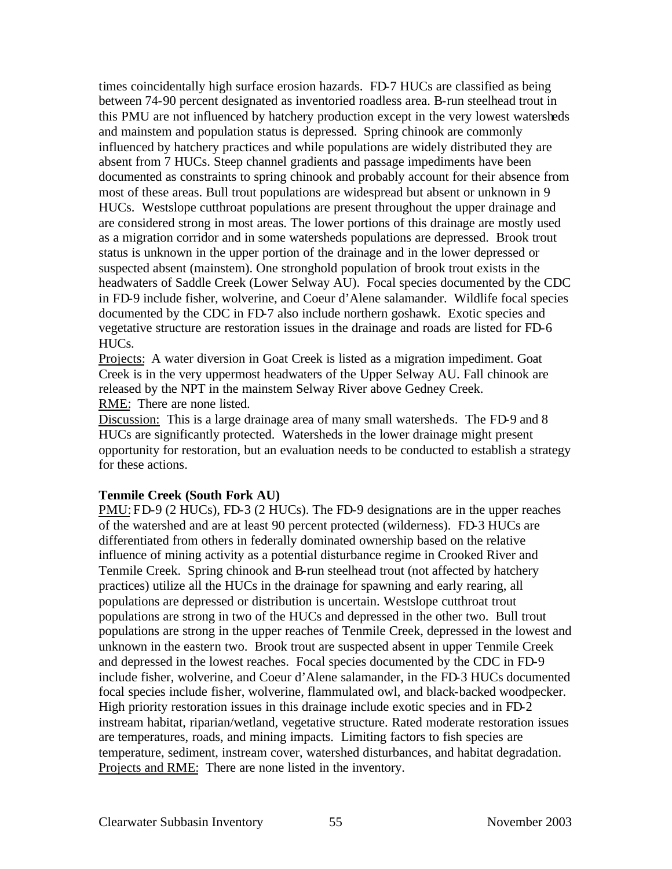times coincidentally high surface erosion hazards. FD-7 HUCs are classified as being between 74-90 percent designated as inventoried roadless area. B-run steelhead trout in this PMU are not influenced by hatchery production except in the very lowest watersheds and mainstem and population status is depressed. Spring chinook are commonly influenced by hatchery practices and while populations are widely distributed they are absent from 7 HUCs. Steep channel gradients and passage impediments have been documented as constraints to spring chinook and probably account for their absence from most of these areas. Bull trout populations are widespread but absent or unknown in 9 HUCs. Westslope cutthroat populations are present throughout the upper drainage and are considered strong in most areas. The lower portions of this drainage are mostly used as a migration corridor and in some watersheds populations are depressed. Brook trout status is unknown in the upper portion of the drainage and in the lower depressed or suspected absent (mainstem). One stronghold population of brook trout exists in the headwaters of Saddle Creek (Lower Selway AU). Focal species documented by the CDC in FD-9 include fisher, wolverine, and Coeur d'Alene salamander. Wildlife focal species documented by the CDC in FD-7 also include northern goshawk. Exotic species and vegetative structure are restoration issues in the drainage and roads are listed for FD-6 HUCs.

Projects: A water diversion in Goat Creek is listed as a migration impediment. Goat Creek is in the very uppermost headwaters of the Upper Selway AU. Fall chinook are released by the NPT in the mainstem Selway River above Gedney Creek. RME: There are none listed.

Discussion: This is a large drainage area of many small watersheds. The FD-9 and 8 HUCs are significantly protected. Watersheds in the lower drainage might present opportunity for restoration, but an evaluation needs to be conducted to establish a strategy for these actions.

#### **Tenmile Creek (South Fork AU)**

PMU: FD-9 (2 HUCs), FD-3 (2 HUCs). The FD-9 designations are in the upper reaches of the watershed and are at least 90 percent protected (wilderness). FD-3 HUCs are differentiated from others in federally dominated ownership based on the relative influence of mining activity as a potential disturbance regime in Crooked River and Tenmile Creek. Spring chinook and B-run steelhead trout (not affected by hatchery practices) utilize all the HUCs in the drainage for spawning and early rearing, all populations are depressed or distribution is uncertain. Westslope cutthroat trout populations are strong in two of the HUCs and depressed in the other two. Bull trout populations are strong in the upper reaches of Tenmile Creek, depressed in the lowest and unknown in the eastern two. Brook trout are suspected absent in upper Tenmile Creek and depressed in the lowest reaches. Focal species documented by the CDC in FD-9 include fisher, wolverine, and Coeur d'Alene salamander, in the FD-3 HUCs documented focal species include fisher, wolverine, flammulated owl, and black-backed woodpecker. High priority restoration issues in this drainage include exotic species and in FD-2 instream habitat, riparian/wetland, vegetative structure. Rated moderate restoration issues are temperatures, roads, and mining impacts. Limiting factors to fish species are temperature, sediment, instream cover, watershed disturbances, and habitat degradation. Projects and RME: There are none listed in the inventory.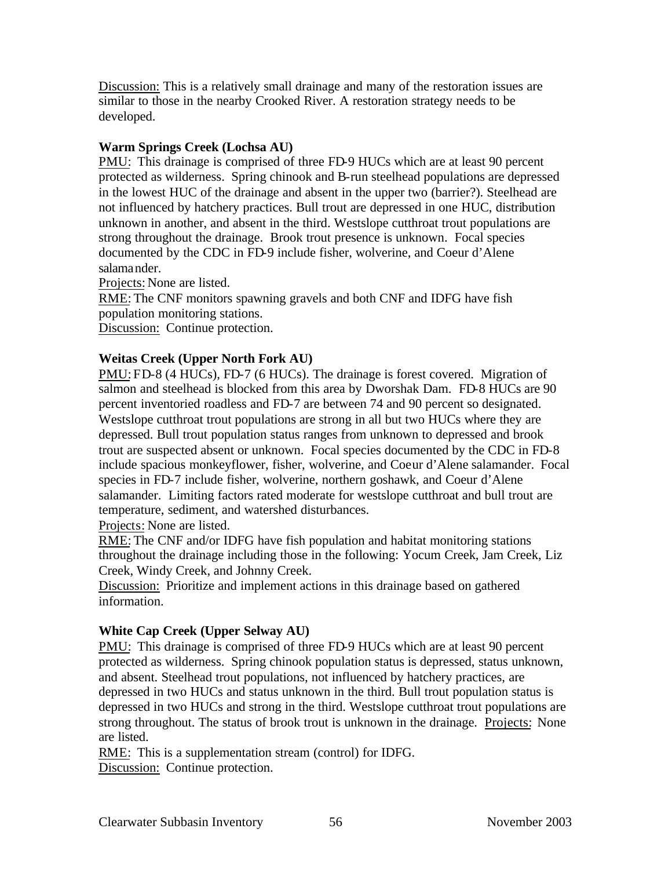Discussion: This is a relatively small drainage and many of the restoration issues are similar to those in the nearby Crooked River. A restoration strategy needs to be developed.

## **Warm Springs Creek (Lochsa AU)**

PMU: This drainage is comprised of three FD-9 HUCs which are at least 90 percent protected as wilderness. Spring chinook and B-run steelhead populations are depressed in the lowest HUC of the drainage and absent in the upper two (barrier?). Steelhead are not influenced by hatchery practices. Bull trout are depressed in one HUC, distribution unknown in another, and absent in the third. Westslope cutthroat trout populations are strong throughout the drainage. Brook trout presence is unknown. Focal species documented by the CDC in FD-9 include fisher, wolverine, and Coeur d'Alene salamander.

Projects: None are listed.

RME: The CNF monitors spawning gravels and both CNF and IDFG have fish population monitoring stations.

Discussion: Continue protection.

## **Weitas Creek (Upper North Fork AU)**

PMU: FD-8 (4 HUCs), FD-7 (6 HUCs). The drainage is forest covered. Migration of salmon and steelhead is blocked from this area by Dworshak Dam. FD-8 HUCs are 90 percent inventoried roadless and FD-7 are between 74 and 90 percent so designated. Westslope cutthroat trout populations are strong in all but two HUCs where they are depressed. Bull trout population status ranges from unknown to depressed and brook trout are suspected absent or unknown. Focal species documented by the CDC in FD-8 include spacious monkeyflower, fisher, wolverine, and Coeur d'Alene salamander. Focal species in FD-7 include fisher, wolverine, northern goshawk, and Coeur d'Alene salamander. Limiting factors rated moderate for westslope cutthroat and bull trout are temperature, sediment, and watershed disturbances.

Projects: None are listed.

RME: The CNF and/or IDFG have fish population and habitat monitoring stations throughout the drainage including those in the following: Yocum Creek, Jam Creek, Liz Creek, Windy Creek, and Johnny Creek.

Discussion: Prioritize and implement actions in this drainage based on gathered information.

# **White Cap Creek (Upper Selway AU)**

PMU: This drainage is comprised of three FD-9 HUCs which are at least 90 percent protected as wilderness. Spring chinook population status is depressed, status unknown, and absent. Steelhead trout populations, not influenced by hatchery practices, are depressed in two HUCs and status unknown in the third. Bull trout population status is depressed in two HUCs and strong in the third. Westslope cutthroat trout populations are strong throughout. The status of brook trout is unknown in the drainage. Projects: None are listed.

RME: This is a supplementation stream (control) for IDFG. Discussion: Continue protection.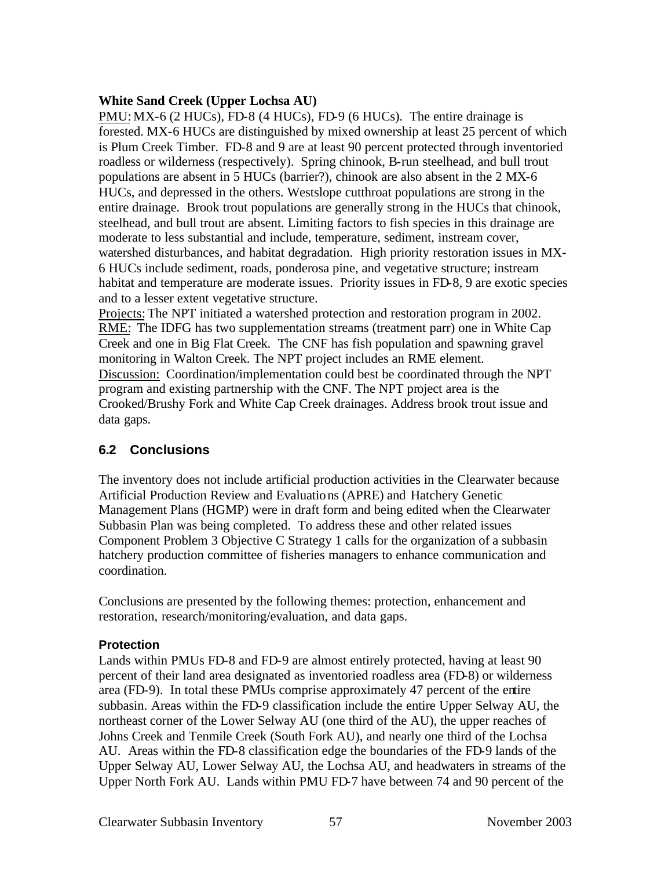#### **White Sand Creek (Upper Lochsa AU)**

PMU: MX-6 (2 HUCs), FD-8 (4 HUCs), FD-9 (6 HUCs). The entire drainage is forested. MX-6 HUCs are distinguished by mixed ownership at least 25 percent of which is Plum Creek Timber. FD-8 and 9 are at least 90 percent protected through inventoried roadless or wilderness (respectively). Spring chinook, B-run steelhead, and bull trout populations are absent in 5 HUCs (barrier?), chinook are also absent in the 2 MX-6 HUCs, and depressed in the others. Westslope cutthroat populations are strong in the entire drainage. Brook trout populations are generally strong in the HUCs that chinook, steelhead, and bull trout are absent. Limiting factors to fish species in this drainage are moderate to less substantial and include, temperature, sediment, instream cover, watershed disturbances, and habitat degradation. High priority restoration issues in MX-6 HUCs include sediment, roads, ponderosa pine, and vegetative structure; instream habitat and temperature are moderate issues. Priority issues in FD-8, 9 are exotic species and to a lesser extent vegetative structure.

Projects: The NPT initiated a watershed protection and restoration program in 2002. RME: The IDFG has two supplementation streams (treatment parr) one in White Cap Creek and one in Big Flat Creek. The CNF has fish population and spawning gravel monitoring in Walton Creek. The NPT project includes an RME element. Discussion: Coordination/implementation could best be coordinated through the NPT program and existing partnership with the CNF. The NPT project area is the Crooked/Brushy Fork and White Cap Creek drainages. Address brook trout issue and data gaps.

# **6.2 Conclusions**

The inventory does not include artificial production activities in the Clearwater because Artificial Production Review and Evaluations (APRE) and Hatchery Genetic Management Plans (HGMP) were in draft form and being edited when the Clearwater Subbasin Plan was being completed. To address these and other related issues Component Problem 3 Objective C Strategy 1 calls for the organization of a subbasin hatchery production committee of fisheries managers to enhance communication and coordination.

Conclusions are presented by the following themes: protection, enhancement and restoration, research/monitoring/evaluation, and data gaps.

## **Protection**

Lands within PMUs FD-8 and FD-9 are almost entirely protected, having at least 90 percent of their land area designated as inventoried roadless area (FD-8) or wilderness area (FD-9). In total these PMUs comprise approximately 47 percent of the entire subbasin. Areas within the FD-9 classification include the entire Upper Selway AU, the northeast corner of the Lower Selway AU (one third of the AU), the upper reaches of Johns Creek and Tenmile Creek (South Fork AU), and nearly one third of the Lochsa AU. Areas within the FD-8 classification edge the boundaries of the FD-9 lands of the Upper Selway AU, Lower Selway AU, the Lochsa AU, and headwaters in streams of the Upper North Fork AU. Lands within PMU FD-7 have between 74 and 90 percent of the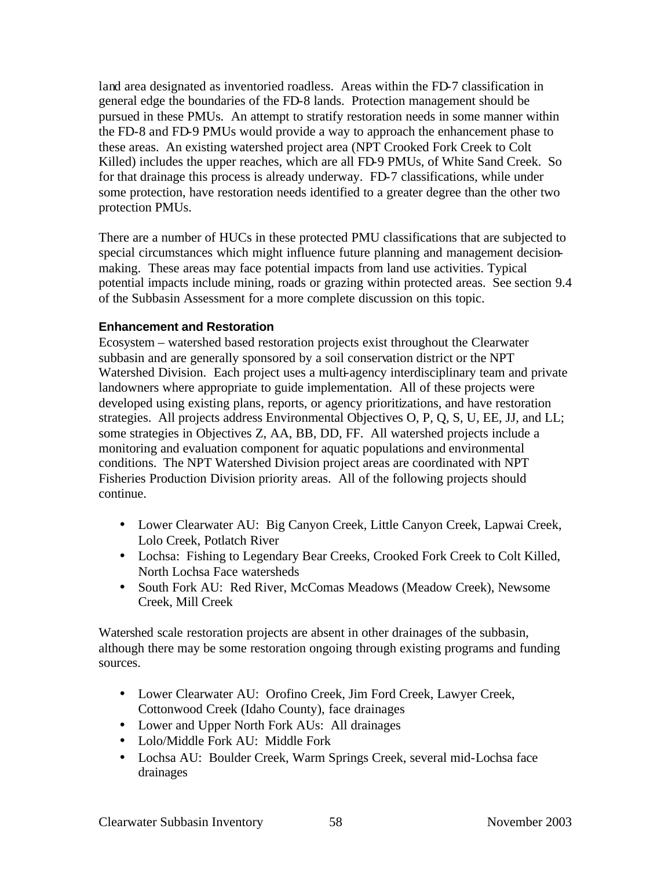land area designated as inventoried roadless. Areas within the FD-7 classification in general edge the boundaries of the FD-8 lands. Protection management should be pursued in these PMUs. An attempt to stratify restoration needs in some manner within the FD-8 and FD-9 PMUs would provide a way to approach the enhancement phase to these areas. An existing watershed project area (NPT Crooked Fork Creek to Colt Killed) includes the upper reaches, which are all FD-9 PMUs, of White Sand Creek. So for that drainage this process is already underway. FD-7 classifications, while under some protection, have restoration needs identified to a greater degree than the other two protection PMUs.

There are a number of HUCs in these protected PMU classifications that are subjected to special circumstances which might influence future planning and management decisionmaking. These areas may face potential impacts from land use activities. Typical potential impacts include mining, roads or grazing within protected areas. See section 9.4 of the Subbasin Assessment for a more complete discussion on this topic.

#### **Enhancement and Restoration**

Ecosystem – watershed based restoration projects exist throughout the Clearwater subbasin and are generally sponsored by a soil conservation district or the NPT Watershed Division. Each project uses a multi-agency interdisciplinary team and private landowners where appropriate to guide implementation. All of these projects were developed using existing plans, reports, or agency prioritizations, and have restoration strategies. All projects address Environmental Objectives O, P, Q, S, U, EE, JJ, and LL; some strategies in Objectives Z, AA, BB, DD, FF. All watershed projects include a monitoring and evaluation component for aquatic populations and environmental conditions. The NPT Watershed Division project areas are coordinated with NPT Fisheries Production Division priority areas. All of the following projects should continue.

- Lower Clearwater AU: Big Canyon Creek, Little Canyon Creek, Lapwai Creek, Lolo Creek, Potlatch River
- Lochsa: Fishing to Legendary Bear Creeks, Crooked Fork Creek to Colt Killed, North Lochsa Face watersheds
- South Fork AU: Red River, McComas Meadows (Meadow Creek), Newsome Creek, Mill Creek

Watershed scale restoration projects are absent in other drainages of the subbasin, although there may be some restoration ongoing through existing programs and funding sources.

- Lower Clearwater AU: Orofino Creek, Jim Ford Creek, Lawyer Creek, Cottonwood Creek (Idaho County), face drainages
- Lower and Upper North Fork AUs: All drainages
- Lolo/Middle Fork AU: Middle Fork
- Lochsa AU: Boulder Creek, Warm Springs Creek, several mid-Lochsa face drainages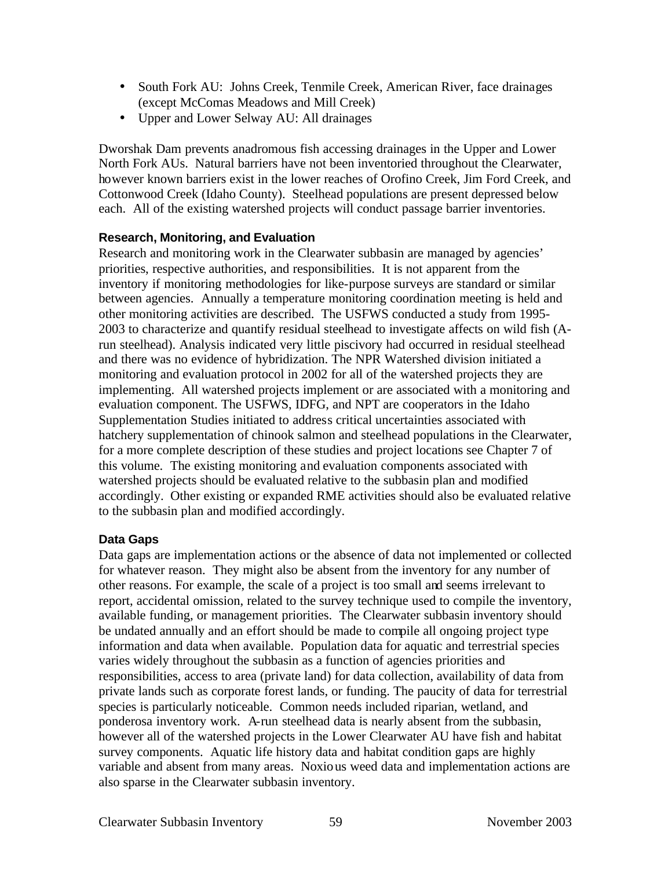- South Fork AU: Johns Creek, Tenmile Creek, American River, face drainages (except McComas Meadows and Mill Creek)
- Upper and Lower Selway AU: All drainages

Dworshak Dam prevents anadromous fish accessing drainages in the Upper and Lower North Fork AUs. Natural barriers have not been inventoried throughout the Clearwater, however known barriers exist in the lower reaches of Orofino Creek, Jim Ford Creek, and Cottonwood Creek (Idaho County). Steelhead populations are present depressed below each. All of the existing watershed projects will conduct passage barrier inventories.

## **Research, Monitoring, and Evaluation**

Research and monitoring work in the Clearwater subbasin are managed by agencies' priorities, respective authorities, and responsibilities. It is not apparent from the inventory if monitoring methodologies for like-purpose surveys are standard or similar between agencies. Annually a temperature monitoring coordination meeting is held and other monitoring activities are described. The USFWS conducted a study from 1995- 2003 to characterize and quantify residual steelhead to investigate affects on wild fish (Arun steelhead). Analysis indicated very little piscivory had occurred in residual steelhead and there was no evidence of hybridization. The NPR Watershed division initiated a monitoring and evaluation protocol in 2002 for all of the watershed projects they are implementing. All watershed projects implement or are associated with a monitoring and evaluation component. The USFWS, IDFG, and NPT are cooperators in the Idaho Supplementation Studies initiated to address critical uncertainties associated with hatchery supplementation of chinook salmon and steelhead populations in the Clearwater, for a more complete description of these studies and project locations see Chapter 7 of this volume. The existing monitoring and evaluation components associated with watershed projects should be evaluated relative to the subbasin plan and modified accordingly. Other existing or expanded RME activities should also be evaluated relative to the subbasin plan and modified accordingly.

# **Data Gaps**

Data gaps are implementation actions or the absence of data not implemented or collected for whatever reason. They might also be absent from the inventory for any number of other reasons. For example, the scale of a project is too small and seems irrelevant to report, accidental omission, related to the survey technique used to compile the inventory, available funding, or management priorities. The Clearwater subbasin inventory should be undated annually and an effort should be made to compile all ongoing project type information and data when available. Population data for aquatic and terrestrial species varies widely throughout the subbasin as a function of agencies priorities and responsibilities, access to area (private land) for data collection, availability of data from private lands such as corporate forest lands, or funding. The paucity of data for terrestrial species is particularly noticeable. Common needs included riparian, wetland, and ponderosa inventory work. A-run steelhead data is nearly absent from the subbasin, however all of the watershed projects in the Lower Clearwater AU have fish and habitat survey components. Aquatic life history data and habitat condition gaps are highly variable and absent from many areas. Noxious weed data and implementation actions are also sparse in the Clearwater subbasin inventory.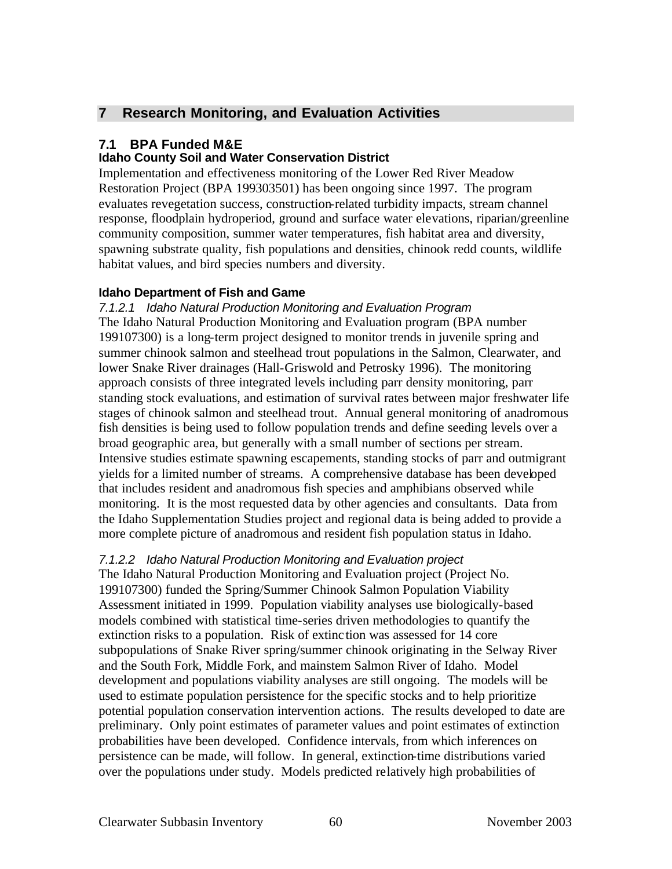# **7 Research Monitoring, and Evaluation Activities**

# **7.1 BPA Funded M&E**

## **Idaho County Soil and Water Conservation District**

Implementation and effectiveness monitoring of the Lower Red River Meadow Restoration Project (BPA 199303501) has been ongoing since 1997. The program evaluates revegetation success, construction-related turbidity impacts, stream channel response, floodplain hydroperiod, ground and surface water elevations, riparian/greenline community composition, summer water temperatures, fish habitat area and diversity, spawning substrate quality, fish populations and densities, chinook redd counts, wildlife habitat values, and bird species numbers and diversity.

## **Idaho Department of Fish and Game**

*7.1.2.1 Idaho Natural Production Monitoring and Evaluation Program* The Idaho Natural Production Monitoring and Evaluation program (BPA number 199107300) is a long-term project designed to monitor trends in juvenile spring and summer chinook salmon and steelhead trout populations in the Salmon, Clearwater, and lower Snake River drainages (Hall-Griswold and Petrosky 1996). The monitoring approach consists of three integrated levels including parr density monitoring, parr standing stock evaluations, and estimation of survival rates between major freshwater life stages of chinook salmon and steelhead trout. Annual general monitoring of anadromous fish densities is being used to follow population trends and define seeding levels over a broad geographic area, but generally with a small number of sections per stream. Intensive studies estimate spawning escapements, standing stocks of parr and outmigrant yields for a limited number of streams. A comprehensive database has been developed that includes resident and anadromous fish species and amphibians observed while monitoring. It is the most requested data by other agencies and consultants. Data from the Idaho Supplementation Studies project and regional data is being added to provide a more complete picture of anadromous and resident fish population status in Idaho.

# *7.1.2.2 Idaho Natural Production Monitoring and Evaluation project*

The Idaho Natural Production Monitoring and Evaluation project (Project No. 199107300) funded the Spring/Summer Chinook Salmon Population Viability Assessment initiated in 1999. Population viability analyses use biologically-based models combined with statistical time-series driven methodologies to quantify the extinction risks to a population. Risk of extinc tion was assessed for 14 core subpopulations of Snake River spring/summer chinook originating in the Selway River and the South Fork, Middle Fork, and mainstem Salmon River of Idaho. Model development and populations viability analyses are still ongoing. The models will be used to estimate population persistence for the specific stocks and to help prioritize potential population conservation intervention actions. The results developed to date are preliminary. Only point estimates of parameter values and point estimates of extinction probabilities have been developed. Confidence intervals, from which inferences on persistence can be made, will follow. In general, extinction-time distributions varied over the populations under study. Models predicted relatively high probabilities of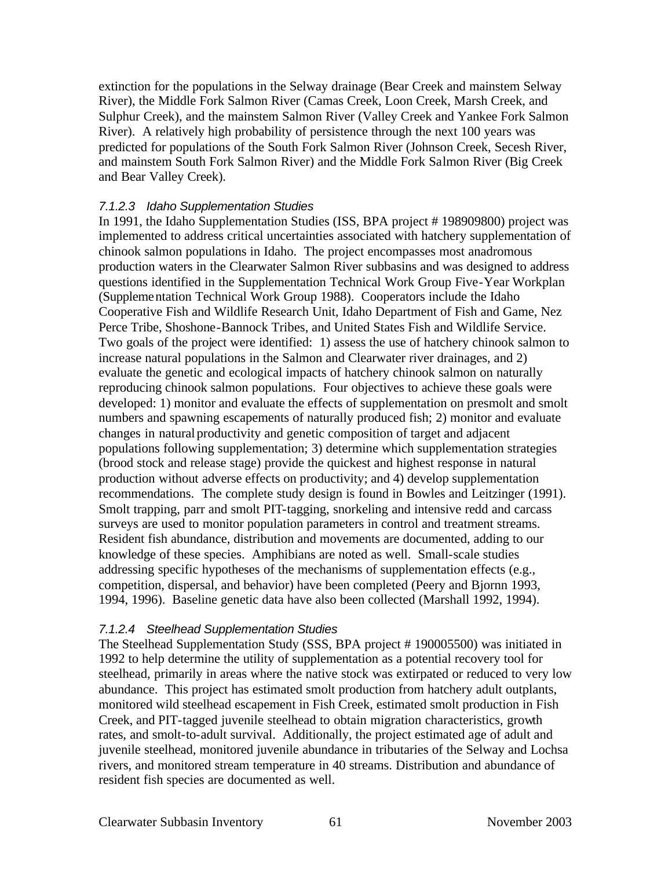extinction for the populations in the Selway drainage (Bear Creek and mainstem Selway River), the Middle Fork Salmon River (Camas Creek, Loon Creek, Marsh Creek, and Sulphur Creek), and the mainstem Salmon River (Valley Creek and Yankee Fork Salmon River). A relatively high probability of persistence through the next 100 years was predicted for populations of the South Fork Salmon River (Johnson Creek, Secesh River, and mainstem South Fork Salmon River) and the Middle Fork Salmon River (Big Creek and Bear Valley Creek).

#### *7.1.2.3 Idaho Supplementation Studies*

In 1991, the Idaho Supplementation Studies (ISS, BPA project # 198909800) project was implemented to address critical uncertainties associated with hatchery supplementation of chinook salmon populations in Idaho. The project encompasses most anadromous production waters in the Clearwater Salmon River subbasins and was designed to address questions identified in the Supplementation Technical Work Group Five-Year Workplan (Supplementation Technical Work Group 1988). Cooperators include the Idaho Cooperative Fish and Wildlife Research Unit, Idaho Department of Fish and Game, Nez Perce Tribe, Shoshone-Bannock Tribes, and United States Fish and Wildlife Service. Two goals of the project were identified: 1) assess the use of hatchery chinook salmon to increase natural populations in the Salmon and Clearwater river drainages, and 2) evaluate the genetic and ecological impacts of hatchery chinook salmon on naturally reproducing chinook salmon populations. Four objectives to achieve these goals were developed: 1) monitor and evaluate the effects of supplementation on presmolt and smolt numbers and spawning escapements of naturally produced fish; 2) monitor and evaluate changes in natural productivity and genetic composition of target and adjacent populations following supplementation; 3) determine which supplementation strategies (brood stock and release stage) provide the quickest and highest response in natural production without adverse effects on productivity; and 4) develop supplementation recommendations. The complete study design is found in Bowles and Leitzinger (1991). Smolt trapping, parr and smolt PIT-tagging, snorkeling and intensive redd and carcass surveys are used to monitor population parameters in control and treatment streams. Resident fish abundance, distribution and movements are documented, adding to our knowledge of these species. Amphibians are noted as well. Small-scale studies addressing specific hypotheses of the mechanisms of supplementation effects (e.g., competition, dispersal, and behavior) have been completed (Peery and Bjornn 1993, 1994, 1996). Baseline genetic data have also been collected (Marshall 1992, 1994).

#### *7.1.2.4 Steelhead Supplementation Studies*

The Steelhead Supplementation Study (SSS, BPA project # 190005500) was initiated in 1992 to help determine the utility of supplementation as a potential recovery tool for steelhead, primarily in areas where the native stock was extirpated or reduced to very low abundance. This project has estimated smolt production from hatchery adult outplants, monitored wild steelhead escapement in Fish Creek, estimated smolt production in Fish Creek, and PIT-tagged juvenile steelhead to obtain migration characteristics, growth rates, and smolt-to-adult survival. Additionally, the project estimated age of adult and juvenile steelhead, monitored juvenile abundance in tributaries of the Selway and Lochsa rivers, and monitored stream temperature in 40 streams. Distribution and abundance of resident fish species are documented as well.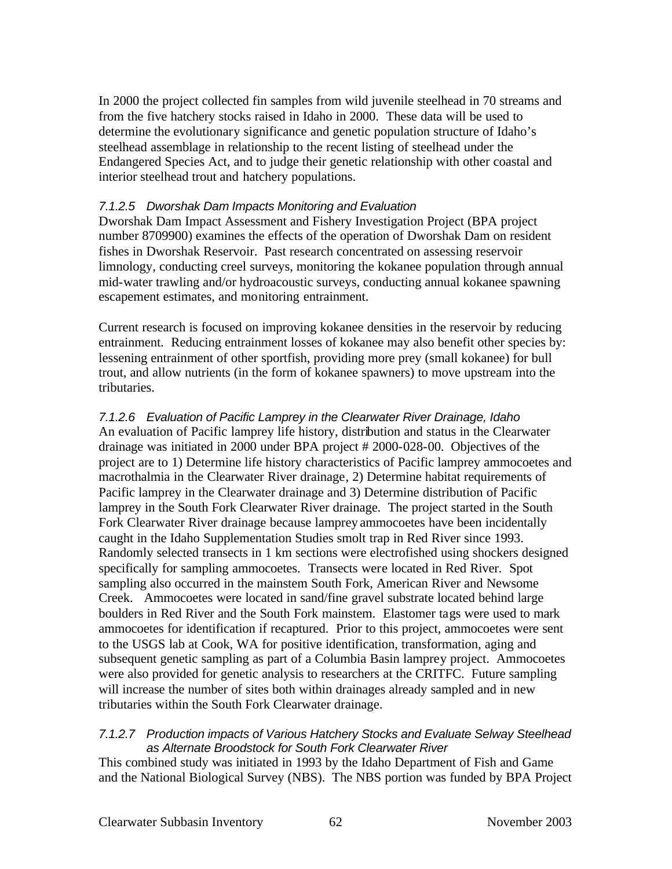In 2000 the project collected fin samples from wild juvenile steelhead in 70 streams and from the five hatchery stocks raised in Idaho in 2000. These data will be used to determine the evolutionary significance and genetic population structure of Idaho's steelhead assemblage in relationship to the recent listing of steelhead under the Endangered Species Act, and to judge their genetic relationship with other coastal and interior steelhead trout and hatchery populations.

#### *7.1.2.5 Dworshak Dam Impacts Monitoring and Evaluation*

Dworshak Dam Impact Assessment and Fishery Investigation Project (BPA project number 8709900) examines the effects of the operation of Dworshak Dam on resident fishes in Dworshak Reservoir. Past research concentrated on assessing reservoir limnology, conducting creel surveys, monitoring the kokanee population through annual mid-water trawling and/or hydroacoustic surveys, conducting annual kokanee spawning escapement estimates, and monitoring entrainment.

Current research is focused on improving kokanee densities in the reservoir by reducing entrainment. Reducing entrainment losses of kokanee may also benefit other species by: lessening entrainment of other sportfish, providing more prey (small kokanee) for bull trout, and allow nutrients (in the form of kokanee spawners) to move upstream into the tributaries.

# *7.1.2.6 Evaluation of Pacific Lamprey in the Clearwater River Drainage, Idaho*

An evaluation of Pacific lamprey life history, distribution and status in the Clearwater drainage was initiated in 2000 under BPA project # 2000-028-00. Objectives of the project are to 1) Determine life history characteristics of Pacific lamprey ammocoetes and macrothalmia in the Clearwater River drainage, 2) Determine habitat requirements of Pacific lamprey in the Clearwater drainage and 3) Determine distribution of Pacific lamprey in the South Fork Clearwater River drainage. The project started in the South Fork Clearwater River drainage because lamprey ammocoetes have been incidentally caught in the Idaho Supplementation Studies smolt trap in Red River since 1993. Randomly selected transects in 1 km sections were electrofished using shockers designed specifically for sampling ammocoetes. Transects were located in Red River. Spot sampling also occurred in the mainstem South Fork, American River and Newsome Creek. Ammocoetes were located in sand/fine gravel substrate located behind large boulders in Red River and the South Fork mainstem. Elastomer tags were used to mark ammocoetes for identification if recaptured. Prior to this project, ammocoetes were sent to the USGS lab at Cook, WA for positive identification, transformation, aging and subsequent genetic sampling as part of a Columbia Basin lamprey project. Ammocoetes were also provided for genetic analysis to researchers at the CRITFC. Future sampling will increase the number of sites both within drainages already sampled and in new tributaries within the South Fork Clearwater drainage.

#### *7.1.2.7 Production impacts of Various Hatchery Stocks and Evaluate Selway Steelhead as Alternate Broodstock for South Fork Clearwater River*

This combined study was initiated in 1993 by the Idaho Department of Fish and Game and the National Biological Survey (NBS). The NBS portion was funded by BPA Project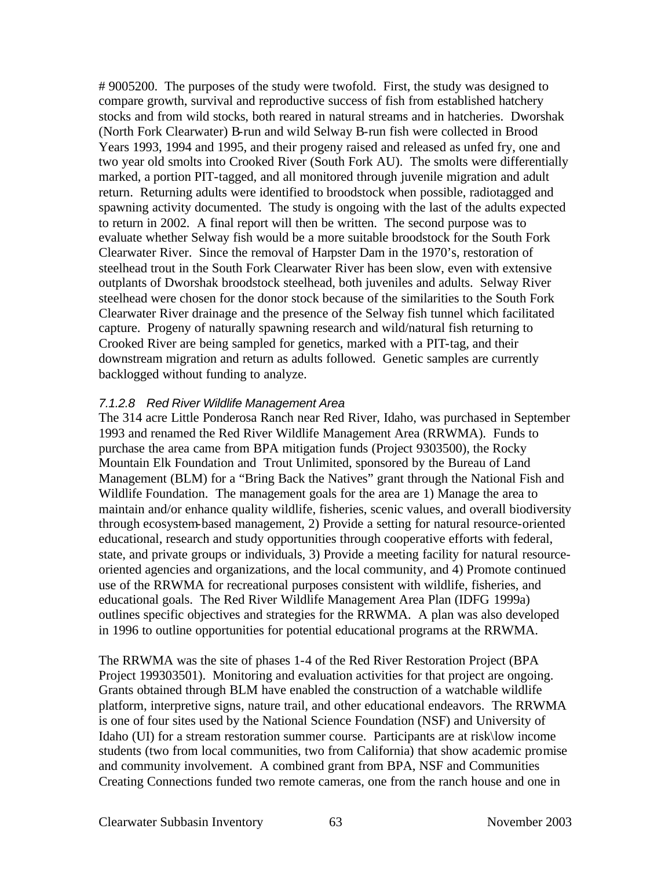# 9005200. The purposes of the study were twofold. First, the study was designed to compare growth, survival and reproductive success of fish from established hatchery stocks and from wild stocks, both reared in natural streams and in hatcheries. Dworshak (North Fork Clearwater) B-run and wild Selway B-run fish were collected in Brood Years 1993, 1994 and 1995, and their progeny raised and released as unfed fry, one and two year old smolts into Crooked River (South Fork AU). The smolts were differentially marked, a portion PIT-tagged, and all monitored through juvenile migration and adult return. Returning adults were identified to broodstock when possible, radiotagged and spawning activity documented. The study is ongoing with the last of the adults expected to return in 2002. A final report will then be written. The second purpose was to evaluate whether Selway fish would be a more suitable broodstock for the South Fork Clearwater River. Since the removal of Harpster Dam in the 1970's, restoration of steelhead trout in the South Fork Clearwater River has been slow, even with extensive outplants of Dworshak broodstock steelhead, both juveniles and adults. Selway River steelhead were chosen for the donor stock because of the similarities to the South Fork Clearwater River drainage and the presence of the Selway fish tunnel which facilitated capture. Progeny of naturally spawning research and wild/natural fish returning to Crooked River are being sampled for genetics, marked with a PIT-tag, and their downstream migration and return as adults followed. Genetic samples are currently backlogged without funding to analyze.

#### *7.1.2.8 Red River Wildlife Management Area*

The 314 acre Little Ponderosa Ranch near Red River, Idaho, was purchased in September 1993 and renamed the Red River Wildlife Management Area (RRWMA). Funds to purchase the area came from BPA mitigation funds (Project 9303500), the Rocky Mountain Elk Foundation and Trout Unlimited, sponsored by the Bureau of Land Management (BLM) for a "Bring Back the Natives" grant through the National Fish and Wildlife Foundation. The management goals for the area are 1) Manage the area to maintain and/or enhance quality wildlife, fisheries, scenic values, and overall biodiversity through ecosystem-based management, 2) Provide a setting for natural resource-oriented educational, research and study opportunities through cooperative efforts with federal, state, and private groups or individuals, 3) Provide a meeting facility for natural resourceoriented agencies and organizations, and the local community, and 4) Promote continued use of the RRWMA for recreational purposes consistent with wildlife, fisheries, and educational goals. The Red River Wildlife Management Area Plan (IDFG 1999a) outlines specific objectives and strategies for the RRWMA. A plan was also developed in 1996 to outline opportunities for potential educational programs at the RRWMA.

The RRWMA was the site of phases 1-4 of the Red River Restoration Project (BPA Project 199303501). Monitoring and evaluation activities for that project are ongoing. Grants obtained through BLM have enabled the construction of a watchable wildlife platform, interpretive signs, nature trail, and other educational endeavors. The RRWMA is one of four sites used by the National Science Foundation (NSF) and University of Idaho (UI) for a stream restoration summer course. Participants are at risk\low income students (two from local communities, two from California) that show academic promise and community involvement. A combined grant from BPA, NSF and Communities Creating Connections funded two remote cameras, one from the ranch house and one in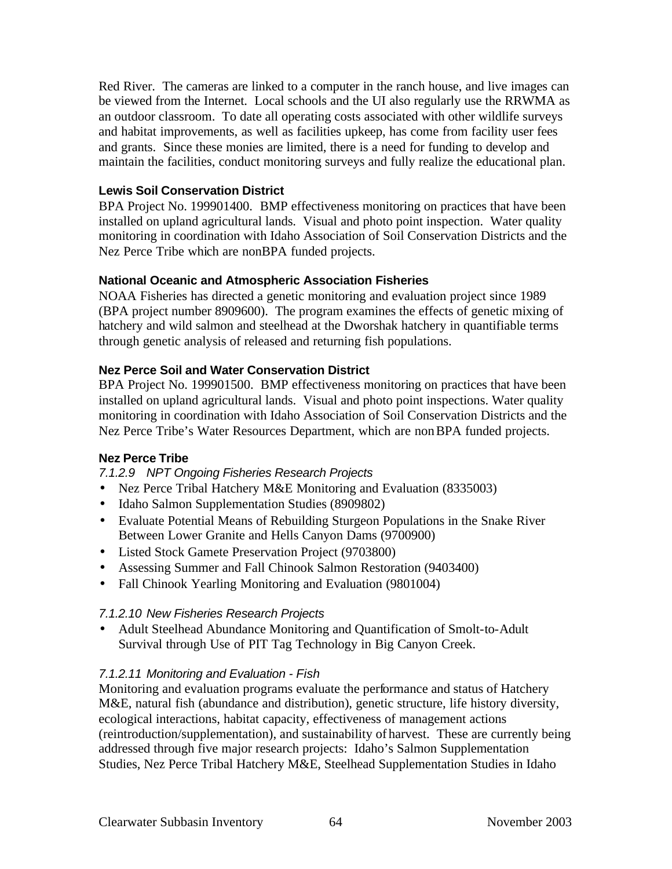Red River. The cameras are linked to a computer in the ranch house, and live images can be viewed from the Internet. Local schools and the UI also regularly use the RRWMA as an outdoor classroom. To date all operating costs associated with other wildlife surveys and habitat improvements, as well as facilities upkeep, has come from facility user fees and grants. Since these monies are limited, there is a need for funding to develop and maintain the facilities, conduct monitoring surveys and fully realize the educational plan.

## **Lewis Soil Conservation District**

BPA Project No. 199901400. BMP effectiveness monitoring on practices that have been installed on upland agricultural lands. Visual and photo point inspection. Water quality monitoring in coordination with Idaho Association of Soil Conservation Districts and the Nez Perce Tribe which are nonBPA funded projects.

#### **National Oceanic and Atmospheric Association Fisheries**

NOAA Fisheries has directed a genetic monitoring and evaluation project since 1989 (BPA project number 8909600). The program examines the effects of genetic mixing of hatchery and wild salmon and steelhead at the Dworshak hatchery in quantifiable terms through genetic analysis of released and returning fish populations.

#### **Nez Perce Soil and Water Conservation District**

BPA Project No. 199901500. BMP effectiveness monitoring on practices that have been installed on upland agricultural lands. Visual and photo point inspections. Water quality monitoring in coordination with Idaho Association of Soil Conservation Districts and the Nez Perce Tribe's Water Resources Department, which are nonBPA funded projects.

#### **Nez Perce Tribe**

*7.1.2.9 NPT Ongoing Fisheries Research Projects*

- Nez Perce Tribal Hatchery M&E Monitoring and Evaluation (8335003)
- Idaho Salmon Supplementation Studies (8909802)
- Evaluate Potential Means of Rebuilding Sturgeon Populations in the Snake River Between Lower Granite and Hells Canyon Dams (9700900)
- Listed Stock Gamete Preservation Project (9703800)
- Assessing Summer and Fall Chinook Salmon Restoration (9403400)
- Fall Chinook Yearling Monitoring and Evaluation (9801004)

#### *7.1.2.10 New Fisheries Research Projects*

• Adult Steelhead Abundance Monitoring and Quantification of Smolt-to-Adult Survival through Use of PIT Tag Technology in Big Canyon Creek.

#### *7.1.2.11 Monitoring and Evaluation - Fish*

Monitoring and evaluation programs evaluate the performance and status of Hatchery M&E, natural fish (abundance and distribution), genetic structure, life history diversity, ecological interactions, habitat capacity, effectiveness of management actions (reintroduction/supplementation), and sustainability of harvest. These are currently being addressed through five major research projects: Idaho's Salmon Supplementation Studies, Nez Perce Tribal Hatchery M&E, Steelhead Supplementation Studies in Idaho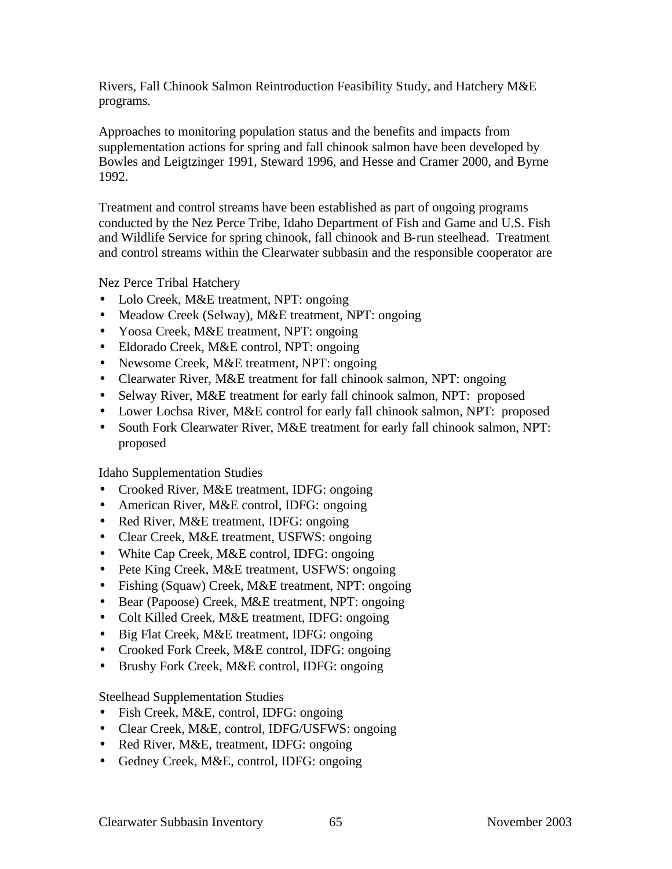Rivers, Fall Chinook Salmon Reintroduction Feasibility Study, and Hatchery M&E programs.

Approaches to monitoring population status and the benefits and impacts from supplementation actions for spring and fall chinook salmon have been developed by Bowles and Leigtzinger 1991, Steward 1996, and Hesse and Cramer 2000, and Byrne 1992.

Treatment and control streams have been established as part of ongoing programs conducted by the Nez Perce Tribe, Idaho Department of Fish and Game and U.S. Fish and Wildlife Service for spring chinook, fall chinook and B-run steelhead. Treatment and control streams within the Clearwater subbasin and the responsible cooperator are

Nez Perce Tribal Hatchery

- Lolo Creek, M&E treatment, NPT: ongoing
- Meadow Creek (Selway), M&E treatment, NPT: ongoing
- Yoosa Creek, M&E treatment, NPT: ongoing
- Eldorado Creek, M&E control, NPT: ongoing
- Newsome Creek, M&E treatment, NPT: ongoing
- Clearwater River, M&E treatment for fall chinook salmon, NPT: ongoing
- Selway River, M&E treatment for early fall chinook salmon, NPT: proposed
- Lower Lochsa River, M&E control for early fall chinook salmon, NPT: proposed
- South Fork Clearwater River, M&E treatment for early fall chinook salmon, NPT: proposed

Idaho Supplementation Studies

- Crooked River, M&E treatment, IDFG: ongoing
- American River, M&E control, IDFG: ongoing
- Red River, M&E treatment, IDFG: ongoing
- Clear Creek, M&E treatment, USFWS: ongoing
- White Cap Creek, M&E control, IDFG: ongoing
- Pete King Creek, M&E treatment, USFWS: ongoing
- Fishing (Squaw) Creek, M&E treatment, NPT: ongoing
- Bear (Papoose) Creek, M&E treatment, NPT: ongoing
- Colt Killed Creek, M&E treatment, IDFG: ongoing
- Big Flat Creek, M&E treatment, IDFG: ongoing
- Crooked Fork Creek, M&E control, IDFG: ongoing
- Brushy Fork Creek, M&E control, IDFG: ongoing

Steelhead Supplementation Studies

- Fish Creek, M&E, control, IDFG: ongoing
- Clear Creek, M&E, control, IDFG/USFWS: ongoing
- Red River, M&E, treatment, IDFG: ongoing
- Gedney Creek, M&E, control, IDFG: ongoing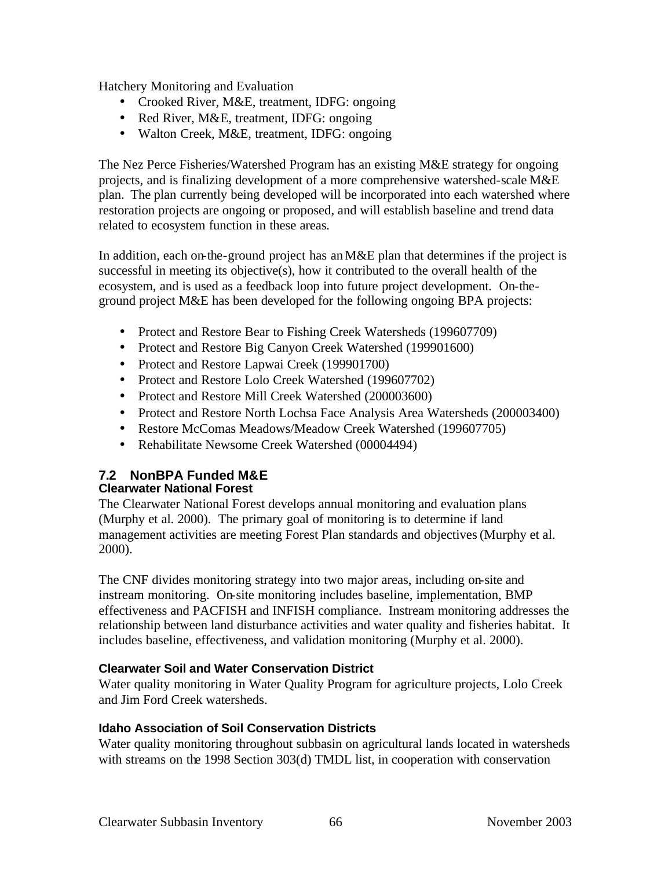Hatchery Monitoring and Evaluation

- Crooked River, M&E, treatment, IDFG: ongoing
- Red River, M&E, treatment, IDFG: ongoing
- Walton Creek, M&E, treatment, IDFG: ongoing

The Nez Perce Fisheries/Watershed Program has an existing M&E strategy for ongoing projects, and is finalizing development of a more comprehensive watershed-scale M&E plan. The plan currently being developed will be incorporated into each watershed where restoration projects are ongoing or proposed, and will establish baseline and trend data related to ecosystem function in these areas.

In addition, each on-the-ground project has an M&E plan that determines if the project is successful in meeting its objective(s), how it contributed to the overall health of the ecosystem, and is used as a feedback loop into future project development. On-theground project M&E has been developed for the following ongoing BPA projects:

- Protect and Restore Bear to Fishing Creek Watersheds (199607709)
- Protect and Restore Big Canyon Creek Watershed (199901600)
- Protect and Restore Lapwai Creek (199901700)
- Protect and Restore Lolo Creek Watershed (199607702)
- Protect and Restore Mill Creek Watershed (200003600)
- Protect and Restore North Lochsa Face Analysis Area Watersheds (200003400)
- Restore McComas Meadows/Meadow Creek Watershed (199607705)
- Rehabilitate Newsome Creek Watershed (00004494)

#### **7.2 NonBPA Funded M&E Clearwater National Forest**

The Clearwater National Forest develops annual monitoring and evaluation plans (Murphy et al. 2000). The primary goal of monitoring is to determine if land management activities are meeting Forest Plan standards and objectives (Murphy et al. 2000).

The CNF divides monitoring strategy into two major areas, including on-site and instream monitoring. On-site monitoring includes baseline, implementation, BMP effectiveness and PACFISH and INFISH compliance. Instream monitoring addresses the relationship between land disturbance activities and water quality and fisheries habitat. It includes baseline, effectiveness, and validation monitoring (Murphy et al. 2000).

# **Clearwater Soil and Water Conservation District**

Water quality monitoring in Water Quality Program for agriculture projects, Lolo Creek and Jim Ford Creek watersheds.

## **Idaho Association of Soil Conservation Districts**

Water quality monitoring throughout subbasin on agricultural lands located in watersheds with streams on the 1998 Section 303(d) TMDL list, in cooperation with conservation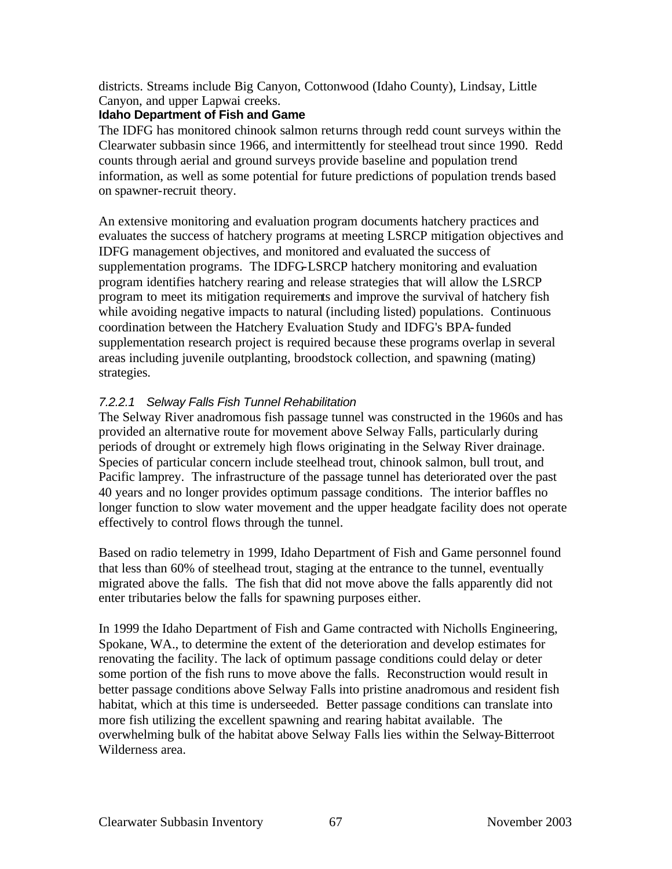districts. Streams include Big Canyon, Cottonwood (Idaho County), Lindsay, Little Canyon, and upper Lapwai creeks.

## **Idaho Department of Fish and Game**

The IDFG has monitored chinook salmon returns through redd count surveys within the Clearwater subbasin since 1966, and intermittently for steelhead trout since 1990. Redd counts through aerial and ground surveys provide baseline and population trend information, as well as some potential for future predictions of population trends based on spawner-recruit theory.

An extensive monitoring and evaluation program documents hatchery practices and evaluates the success of hatchery programs at meeting LSRCP mitigation objectives and IDFG management objectives, and monitored and evaluated the success of supplementation programs. The IDFG-LSRCP hatchery monitoring and evaluation program identifies hatchery rearing and release strategies that will allow the LSRCP program to meet its mitigation requirements and improve the survival of hatchery fish while avoiding negative impacts to natural (including listed) populations. Continuous coordination between the Hatchery Evaluation Study and IDFG's BPA-funded supplementation research project is required because these programs overlap in several areas including juvenile outplanting, broodstock collection, and spawning (mating) strategies.

# *7.2.2.1 Selway Falls Fish Tunnel Rehabilitation*

The Selway River anadromous fish passage tunnel was constructed in the 1960s and has provided an alternative route for movement above Selway Falls, particularly during periods of drought or extremely high flows originating in the Selway River drainage. Species of particular concern include steelhead trout, chinook salmon, bull trout, and Pacific lamprey. The infrastructure of the passage tunnel has deteriorated over the past 40 years and no longer provides optimum passage conditions. The interior baffles no longer function to slow water movement and the upper headgate facility does not operate effectively to control flows through the tunnel.

Based on radio telemetry in 1999, Idaho Department of Fish and Game personnel found that less than 60% of steelhead trout, staging at the entrance to the tunnel, eventually migrated above the falls. The fish that did not move above the falls apparently did not enter tributaries below the falls for spawning purposes either.

In 1999 the Idaho Department of Fish and Game contracted with Nicholls Engineering, Spokane, WA., to determine the extent of the deterioration and develop estimates for renovating the facility. The lack of optimum passage conditions could delay or deter some portion of the fish runs to move above the falls. Reconstruction would result in better passage conditions above Selway Falls into pristine anadromous and resident fish habitat, which at this time is underseeded. Better passage conditions can translate into more fish utilizing the excellent spawning and rearing habitat available. The overwhelming bulk of the habitat above Selway Falls lies within the Selway-Bitterroot Wilderness area.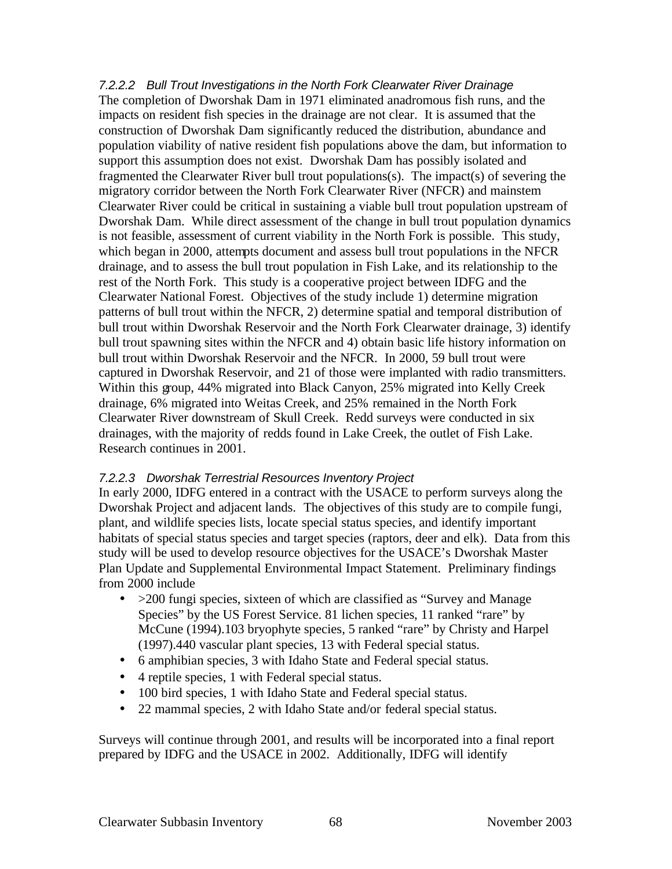*7.2.2.2 Bull Trout Investigations in the North Fork Clearwater River Drainage* The completion of Dworshak Dam in 1971 eliminated anadromous fish runs, and the impacts on resident fish species in the drainage are not clear. It is assumed that the construction of Dworshak Dam significantly reduced the distribution, abundance and population viability of native resident fish populations above the dam, but information to support this assumption does not exist. Dworshak Dam has possibly isolated and fragmented the Clearwater River bull trout populations(s). The impact(s) of severing the migratory corridor between the North Fork Clearwater River (NFCR) and mainstem Clearwater River could be critical in sustaining a viable bull trout population upstream of Dworshak Dam. While direct assessment of the change in bull trout population dynamics is not feasible, assessment of current viability in the North Fork is possible. This study, which began in 2000, attempts document and assess bull trout populations in the NFCR drainage, and to assess the bull trout population in Fish Lake, and its relationship to the rest of the North Fork. This study is a cooperative project between IDFG and the Clearwater National Forest. Objectives of the study include 1) determine migration patterns of bull trout within the NFCR, 2) determine spatial and temporal distribution of bull trout within Dworshak Reservoir and the North Fork Clearwater drainage, 3) identify bull trout spawning sites within the NFCR and 4) obtain basic life history information on bull trout within Dworshak Reservoir and the NFCR. In 2000, 59 bull trout were captured in Dworshak Reservoir, and 21 of those were implanted with radio transmitters. Within this group, 44% migrated into Black Canyon, 25% migrated into Kelly Creek drainage, 6% migrated into Weitas Creek, and 25% remained in the North Fork Clearwater River downstream of Skull Creek. Redd surveys were conducted in six drainages, with the majority of redds found in Lake Creek, the outlet of Fish Lake. Research continues in 2001.

## *7.2.2.3 Dworshak Terrestrial Resources Inventory Project*

In early 2000, IDFG entered in a contract with the USACE to perform surveys along the Dworshak Project and adjacent lands. The objectives of this study are to compile fungi, plant, and wildlife species lists, locate special status species, and identify important habitats of special status species and target species (raptors, deer and elk). Data from this study will be used to develop resource objectives for the USACE's Dworshak Master Plan Update and Supplemental Environmental Impact Statement. Preliminary findings from 2000 include

- > 200 fungi species, sixteen of which are classified as "Survey and Manage" Species" by the US Forest Service. 81 lichen species, 11 ranked "rare" by McCune (1994).103 bryophyte species, 5 ranked "rare" by Christy and Harpel (1997).440 vascular plant species, 13 with Federal special status.
- 6 amphibian species, 3 with Idaho State and Federal special status.
- 4 reptile species, 1 with Federal special status.
- 100 bird species, 1 with Idaho State and Federal special status.
- 22 mammal species, 2 with Idaho State and/or federal special status.

Surveys will continue through 2001, and results will be incorporated into a final report prepared by IDFG and the USACE in 2002. Additionally, IDFG will identify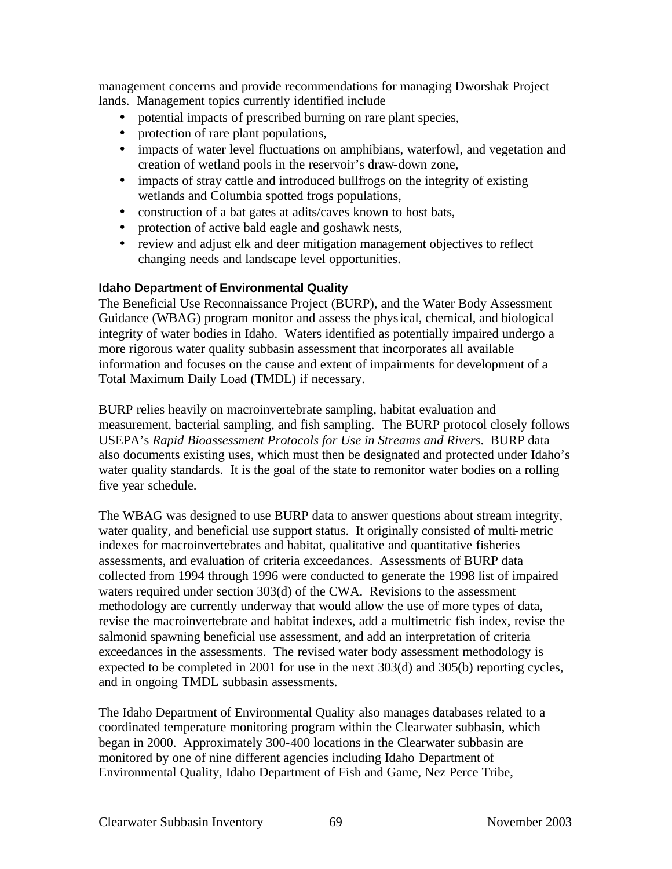management concerns and provide recommendations for managing Dworshak Project lands. Management topics currently identified include

- potential impacts of prescribed burning on rare plant species,
- protection of rare plant populations,
- impacts of water level fluctuations on amphibians, waterfowl, and vegetation and creation of wetland pools in the reservoir's draw-down zone,
- impacts of stray cattle and introduced bullfrogs on the integrity of existing wetlands and Columbia spotted frogs populations,
- construction of a bat gates at adits/caves known to host bats,
- protection of active bald eagle and goshawk nests,
- review and adjust elk and deer mitigation management objectives to reflect changing needs and landscape level opportunities.

#### **Idaho Department of Environmental Quality**

The Beneficial Use Reconnaissance Project (BURP), and the Water Body Assessment Guidance (WBAG) program monitor and assess the physical, chemical, and biological integrity of water bodies in Idaho. Waters identified as potentially impaired undergo a more rigorous water quality subbasin assessment that incorporates all available information and focuses on the cause and extent of impairments for development of a Total Maximum Daily Load (TMDL) if necessary.

BURP relies heavily on macroinvertebrate sampling, habitat evaluation and measurement, bacterial sampling, and fish sampling. The BURP protocol closely follows USEPA's *Rapid Bioassessment Protocols for Use in Streams and Rivers*. BURP data also documents existing uses, which must then be designated and protected under Idaho's water quality standards. It is the goal of the state to remonitor water bodies on a rolling five year schedule.

The WBAG was designed to use BURP data to answer questions about stream integrity, water quality, and beneficial use support status. It originally consisted of multi-metric indexes for macroinvertebrates and habitat, qualitative and quantitative fisheries assessments, and evaluation of criteria exceedances. Assessments of BURP data collected from 1994 through 1996 were conducted to generate the 1998 list of impaired waters required under section 303(d) of the CWA. Revisions to the assessment methodology are currently underway that would allow the use of more types of data, revise the macroinvertebrate and habitat indexes, add a multimetric fish index, revise the salmonid spawning beneficial use assessment, and add an interpretation of criteria exceedances in the assessments. The revised water body assessment methodology is expected to be completed in 2001 for use in the next 303(d) and 305(b) reporting cycles, and in ongoing TMDL subbasin assessments.

The Idaho Department of Environmental Quality also manages databases related to a coordinated temperature monitoring program within the Clearwater subbasin, which began in 2000. Approximately 300-400 locations in the Clearwater subbasin are monitored by one of nine different agencies including Idaho Department of Environmental Quality, Idaho Department of Fish and Game, Nez Perce Tribe,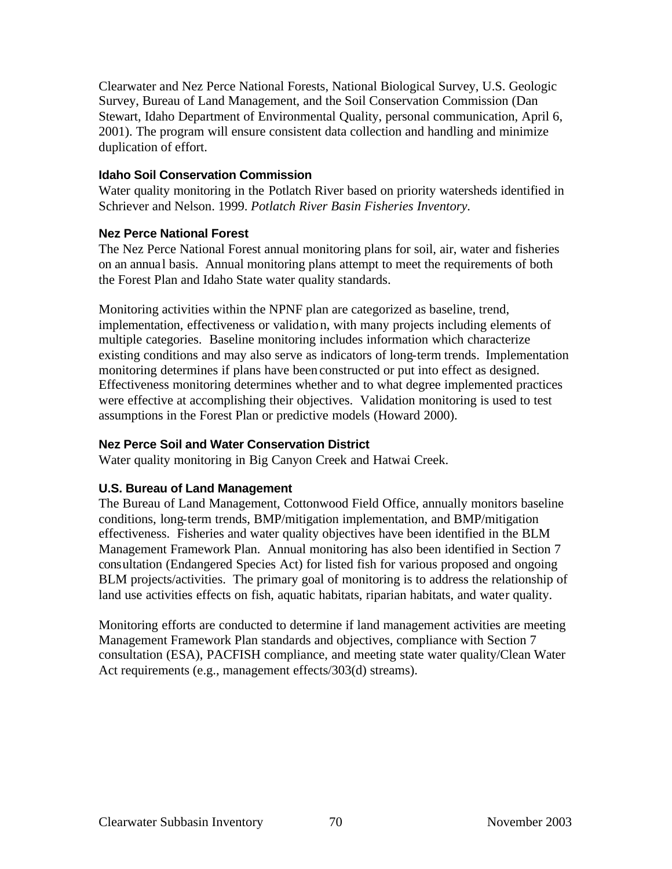Clearwater and Nez Perce National Forests, National Biological Survey, U.S. Geologic Survey, Bureau of Land Management, and the Soil Conservation Commission (Dan Stewart, Idaho Department of Environmental Quality, personal communication, April 6, 2001). The program will ensure consistent data collection and handling and minimize duplication of effort.

#### **Idaho Soil Conservation Commission**

Water quality monitoring in the Potlatch River based on priority watersheds identified in Schriever and Nelson. 1999. *Potlatch River Basin Fisheries Inventory.*

#### **Nez Perce National Forest**

The Nez Perce National Forest annual monitoring plans for soil, air, water and fisheries on an annual basis. Annual monitoring plans attempt to meet the requirements of both the Forest Plan and Idaho State water quality standards.

Monitoring activities within the NPNF plan are categorized as baseline, trend, implementation, effectiveness or validation, with many projects including elements of multiple categories. Baseline monitoring includes information which characterize existing conditions and may also serve as indicators of long-term trends. Implementation monitoring determines if plans have been constructed or put into effect as designed. Effectiveness monitoring determines whether and to what degree implemented practices were effective at accomplishing their objectives. Validation monitoring is used to test assumptions in the Forest Plan or predictive models (Howard 2000).

## **Nez Perce Soil and Water Conservation District**

Water quality monitoring in Big Canyon Creek and Hatwai Creek.

## **U.S. Bureau of Land Management**

The Bureau of Land Management, Cottonwood Field Office, annually monitors baseline conditions, long-term trends, BMP/mitigation implementation, and BMP/mitigation effectiveness. Fisheries and water quality objectives have been identified in the BLM Management Framework Plan. Annual monitoring has also been identified in Section 7 consultation (Endangered Species Act) for listed fish for various proposed and ongoing BLM projects/activities. The primary goal of monitoring is to address the relationship of land use activities effects on fish, aquatic habitats, riparian habitats, and water quality.

Monitoring efforts are conducted to determine if land management activities are meeting Management Framework Plan standards and objectives, compliance with Section 7 consultation (ESA), PACFISH compliance, and meeting state water quality/Clean Water Act requirements (e.g., management effects/303(d) streams).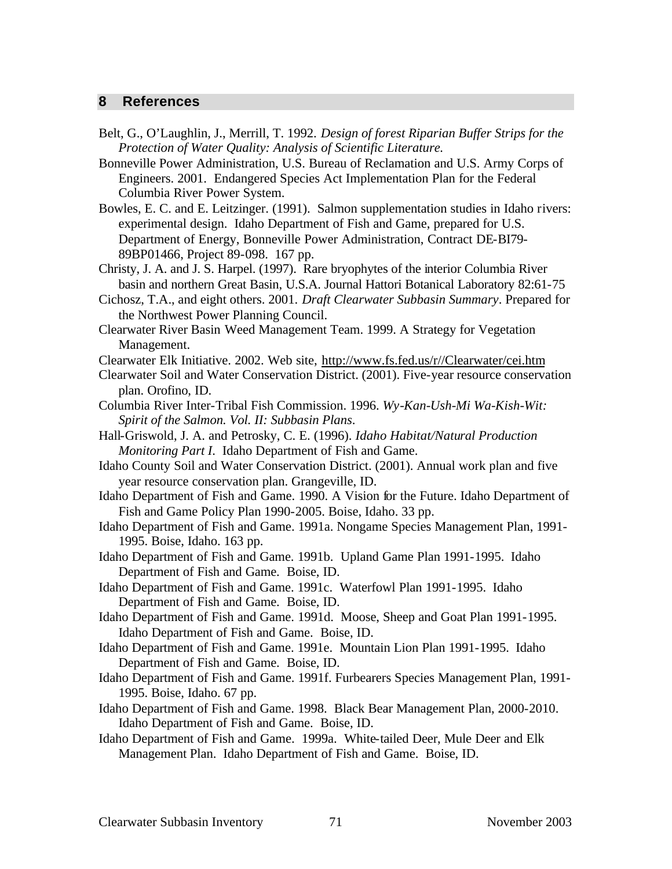#### **8 References**

- Belt, G., O'Laughlin, J., Merrill, T. 1992. *Design of forest Riparian Buffer Strips for the Protection of Water Quality: Analysis of Scientific Literature.*
- Bonneville Power Administration, U.S. Bureau of Reclamation and U.S. Army Corps of Engineers. 2001. Endangered Species Act Implementation Plan for the Federal Columbia River Power System.
- Bowles, E. C. and E. Leitzinger. (1991). Salmon supplementation studies in Idaho rivers: experimental design. Idaho Department of Fish and Game, prepared for U.S. Department of Energy, Bonneville Power Administration, Contract DE-BI79- 89BP01466, Project 89-098. 167 pp.
- Christy, J. A. and J. S. Harpel. (1997). Rare bryophytes of the interior Columbia River basin and northern Great Basin, U.S.A. Journal Hattori Botanical Laboratory 82:61-75
- Cichosz, T.A., and eight others. 2001. *Draft Clearwater Subbasin Summary*. Prepared for the Northwest Power Planning Council.
- Clearwater River Basin Weed Management Team. 1999. A Strategy for Vegetation Management.
- Clearwater Elk Initiative. 2002. Web site, http://www.fs.fed.us/r//Clearwater/cei.htm
- Clearwater Soil and Water Conservation District. (2001). Five-year resource conservation plan. Orofino, ID.
- Columbia River Inter-Tribal Fish Commission. 1996. *Wy-Kan-Ush-Mi Wa-Kish-Wit: Spirit of the Salmon. Vol. II: Subbasin Plans*.
- Hall-Griswold, J. A. and Petrosky, C. E. (1996). *Idaho Habitat/Natural Production Monitoring Part I*. Idaho Department of Fish and Game.
- Idaho County Soil and Water Conservation District. (2001). Annual work plan and five year resource conservation plan. Grangeville, ID.
- Idaho Department of Fish and Game. 1990. A Vision for the Future. Idaho Department of Fish and Game Policy Plan 1990-2005. Boise, Idaho. 33 pp.
- Idaho Department of Fish and Game. 1991a. Nongame Species Management Plan, 1991- 1995. Boise, Idaho. 163 pp.
- Idaho Department of Fish and Game. 1991b. Upland Game Plan 1991-1995. Idaho Department of Fish and Game. Boise, ID.
- Idaho Department of Fish and Game. 1991c. Waterfowl Plan 1991-1995. Idaho Department of Fish and Game. Boise, ID.
- Idaho Department of Fish and Game. 1991d. Moose, Sheep and Goat Plan 1991-1995. Idaho Department of Fish and Game. Boise, ID.
- Idaho Department of Fish and Game. 1991e. Mountain Lion Plan 1991-1995. Idaho Department of Fish and Game. Boise, ID.
- Idaho Department of Fish and Game. 1991f. Furbearers Species Management Plan, 1991- 1995. Boise, Idaho. 67 pp.
- Idaho Department of Fish and Game. 1998. Black Bear Management Plan, 2000-2010. Idaho Department of Fish and Game. Boise, ID.
- Idaho Department of Fish and Game. 1999a. White-tailed Deer, Mule Deer and Elk Management Plan. Idaho Department of Fish and Game. Boise, ID.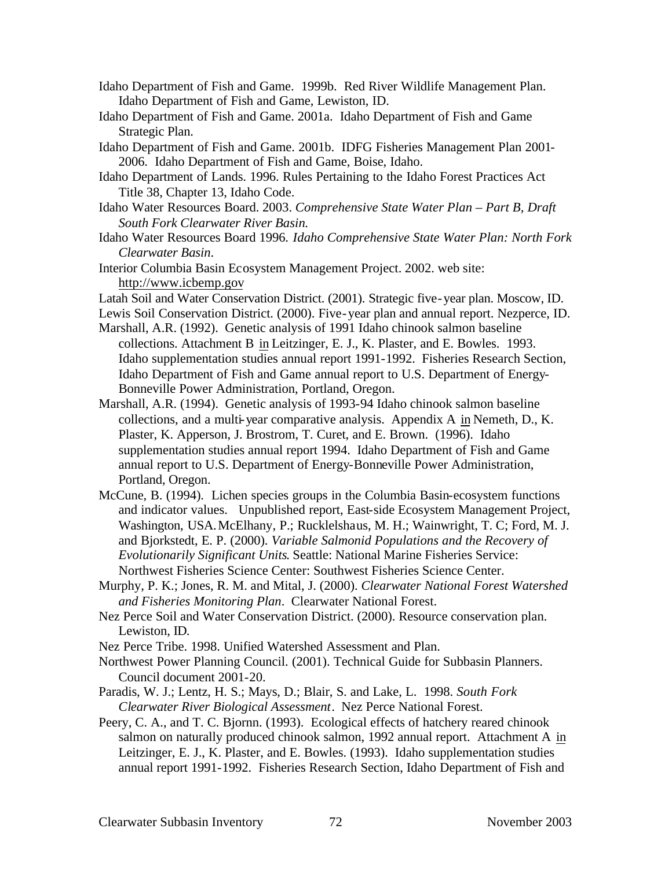- Idaho Department of Fish and Game. 1999b. Red River Wildlife Management Plan. Idaho Department of Fish and Game, Lewiston, ID.
- Idaho Department of Fish and Game. 2001a. Idaho Department of Fish and Game Strategic Plan.
- Idaho Department of Fish and Game. 2001b. IDFG Fisheries Management Plan 2001- 2006. Idaho Department of Fish and Game, Boise, Idaho.
- Idaho Department of Lands. 1996. Rules Pertaining to the Idaho Forest Practices Act Title 38, Chapter 13, Idaho Code.
- Idaho Water Resources Board. 2003. *Comprehensive State Water Plan Part B, Draft South Fork Clearwater River Basin.*
- Idaho Water Resources Board 1996. *Idaho Comprehensive State Water Plan: North Fork Clearwater Basin*.
- Interior Columbia Basin Ecosystem Management Project. 2002. web site: http://www.icbemp.gov
- Latah Soil and Water Conservation District. (2001). Strategic five-year plan. Moscow, ID.
- Lewis Soil Conservation District. (2000). Five-year plan and annual report. Nezperce, ID.
- Marshall, A.R. (1992). Genetic analysis of 1991 Idaho chinook salmon baseline collections. Attachment B in Leitzinger, E. J., K. Plaster, and E. Bowles. 1993. Idaho supplementation studies annual report 1991-1992. Fisheries Research Section, Idaho Department of Fish and Game annual report to U.S. Department of Energy-Bonneville Power Administration, Portland, Oregon.
- Marshall, A.R. (1994). Genetic analysis of 1993-94 Idaho chinook salmon baseline collections, and a multi-year comparative analysis. Appendix A in Nemeth, D., K. Plaster, K. Apperson, J. Brostrom, T. Curet, and E. Brown. (1996). Idaho supplementation studies annual report 1994. Idaho Department of Fish and Game annual report to U.S. Department of Energy-Bonneville Power Administration, Portland, Oregon.
- McCune, B. (1994). Lichen species groups in the Columbia Basin-ecosystem functions and indicator values. Unpublished report, East-side Ecosystem Management Project, Washington, USA.McElhany, P.; Rucklelshaus, M. H.; Wainwright, T. C; Ford, M. J. and Bjorkstedt, E. P. (2000). *Variable Salmonid Populations and the Recovery of Evolutionarily Significant Units*. Seattle: National Marine Fisheries Service: Northwest Fisheries Science Center: Southwest Fisheries Science Center.
- Murphy, P. K.; Jones, R. M. and Mital, J. (2000). *Clearwater National Forest Watershed and Fisheries Monitoring Plan*. Clearwater National Forest.
- Nez Perce Soil and Water Conservation District. (2000). Resource conservation plan. Lewiston, ID.
- Nez Perce Tribe. 1998. Unified Watershed Assessment and Plan.
- Northwest Power Planning Council. (2001). Technical Guide for Subbasin Planners. Council document 2001-20.
- Paradis, W. J.; Lentz, H. S.; Mays, D.; Blair, S. and Lake, L. 1998. *South Fork Clearwater River Biological Assessment*. Nez Perce National Forest.
- Peery, C. A., and T. C. Bjornn. (1993). Ecological effects of hatchery reared chinook salmon on naturally produced chinook salmon, 1992 annual report. Attachment A in Leitzinger, E. J., K. Plaster, and E. Bowles. (1993). Idaho supplementation studies annual report 1991-1992. Fisheries Research Section, Idaho Department of Fish and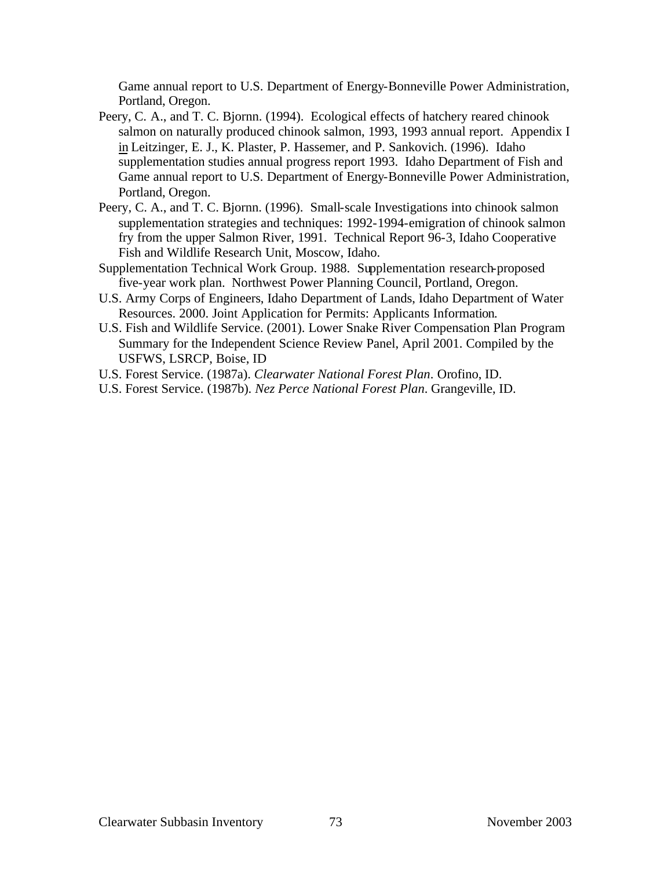Game annual report to U.S. Department of Energy-Bonneville Power Administration, Portland, Oregon.

- Peery, C. A., and T. C. Bjornn. (1994). Ecological effects of hatchery reared chinook salmon on naturally produced chinook salmon, 1993, 1993 annual report. Appendix I in Leitzinger, E. J., K. Plaster, P. Hassemer, and P. Sankovich. (1996). Idaho supplementation studies annual progress report 1993. Idaho Department of Fish and Game annual report to U.S. Department of Energy-Bonneville Power Administration, Portland, Oregon.
- Peery, C. A., and T. C. Bjornn. (1996). Small-scale Investigations into chinook salmon supplementation strategies and techniques: 1992-1994-emigration of chinook salmon fry from the upper Salmon River, 1991. Technical Report 96-3, Idaho Cooperative Fish and Wildlife Research Unit, Moscow, Idaho.
- Supplementation Technical Work Group. 1988. Supplementation research-proposed five-year work plan. Northwest Power Planning Council, Portland, Oregon.
- U.S. Army Corps of Engineers, Idaho Department of Lands, Idaho Department of Water Resources. 2000. Joint Application for Permits: Applicants Information.
- U.S. Fish and Wildlife Service. (2001). Lower Snake River Compensation Plan Program Summary for the Independent Science Review Panel, April 2001. Compiled by the USFWS, LSRCP, Boise, ID
- U.S. Forest Service. (1987a). *Clearwater National Forest Plan*. Orofino, ID.
- U.S. Forest Service. (1987b). *Nez Perce National Forest Plan*. Grangeville, ID.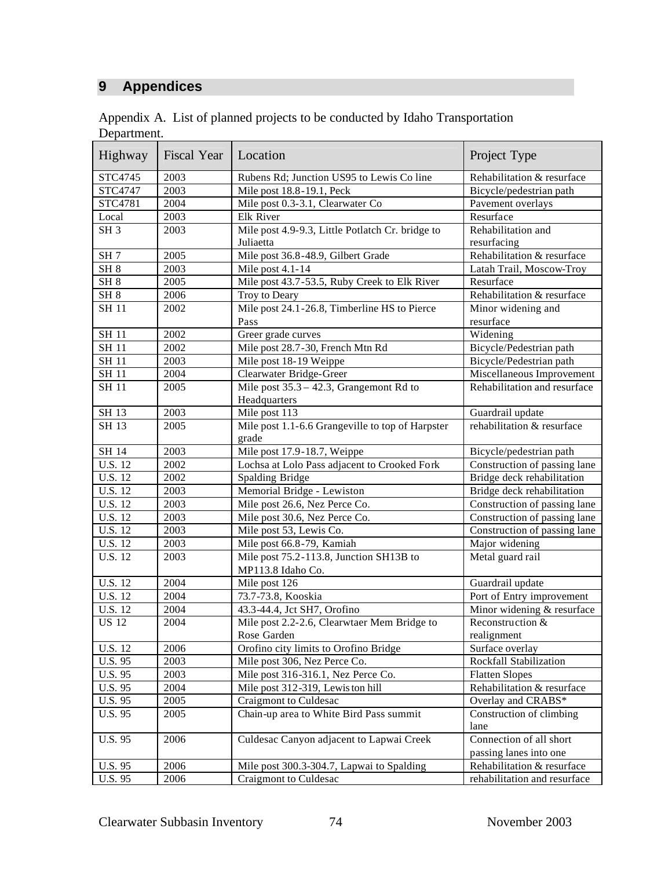## **9 Appendices**

|             | Appendix A. List of planned projects to be conducted by Idaho Transportation |  |
|-------------|------------------------------------------------------------------------------|--|
| Department. |                                                                              |  |

| Highway         | Fiscal Year | Location                                                      | Project Type                                      |
|-----------------|-------------|---------------------------------------------------------------|---------------------------------------------------|
| STC4745         | 2003        | Rubens Rd; Junction US95 to Lewis Co line                     | Rehabilitation & resurface                        |
| STC4747         | 2003        | Mile post 18.8-19.1, Peck                                     | Bicycle/pedestrian path                           |
| STC4781         | 2004        | Mile post 0.3-3.1, Clearwater Co                              | Pavement overlays                                 |
| Local           | 2003        | Elk River                                                     | Resurface                                         |
| SH <sub>3</sub> | 2003        | Mile post 4.9-9.3, Little Potlatch Cr. bridge to<br>Juliaetta | Rehabilitation and<br>resurfacing                 |
| SH <sub>7</sub> | 2005        | Mile post 36.8-48.9, Gilbert Grade                            | Rehabilitation & resurface                        |
| SH <sub>8</sub> | 2003        | Mile post 4.1-14                                              | Latah Trail, Moscow-Troy                          |
| SH <sub>8</sub> | 2005        | Mile post 43.7-53.5, Ruby Creek to Elk River                  | Resurface                                         |
| SH <sub>8</sub> | 2006        | Troy to Deary                                                 | Rehabilitation & resurface                        |
| <b>SH 11</b>    | 2002        | Mile post 24.1-26.8, Timberline HS to Pierce                  | Minor widening and                                |
|                 |             | Pass                                                          | resurface                                         |
| <b>SH 11</b>    | 2002        | Greer grade curves                                            | Widening                                          |
| <b>SH 11</b>    | 2002        | Mile post 28.7-30, French Mtn Rd                              | Bicycle/Pedestrian path                           |
| <b>SH 11</b>    | 2003        | Mile post 18-19 Weippe                                        | Bicycle/Pedestrian path                           |
| <b>SH 11</b>    | 2004        | Clearwater Bridge-Greer                                       | Miscellaneous Improvement                         |
| <b>SH 11</b>    | 2005        | Mile post $35.3 - 42.3$ , Grangemont Rd to<br>Headquarters    | Rehabilitation and resurface                      |
| SH 13           | 2003        | Mile post 113                                                 | Guardrail update                                  |
| SH 13           | 2005        | Mile post 1.1-6.6 Grangeville to top of Harpster<br>grade     | rehabilitation & resurface                        |
| SH 14           | 2003        | Mile post 17.9-18.7, Weippe                                   | Bicycle/pedestrian path                           |
| <b>U.S. 12</b>  | 2002        | Lochsa at Lolo Pass adjacent to Crooked Fork                  | Construction of passing lane                      |
| U.S. 12         | 2002        | Spalding Bridge                                               | Bridge deck rehabilitation                        |
| <b>U.S. 12</b>  | 2003        | Memorial Bridge - Lewiston                                    | Bridge deck rehabilitation                        |
| <b>U.S. 12</b>  | 2003        | Mile post 26.6, Nez Perce Co.                                 | Construction of passing lane                      |
| <b>U.S. 12</b>  | 2003        | Mile post 30.6, Nez Perce Co.                                 | Construction of passing lane                      |
| U.S. 12         | 2003        | Mile post 53, Lewis Co.                                       | Construction of passing lane                      |
| <b>U.S. 12</b>  | 2003        | Mile post 66.8-79, Kamiah                                     | Major widening                                    |
| <b>U.S. 12</b>  | 2003        | Mile post 75.2-113.8, Junction SH13B to<br>MP113.8 Idaho Co.  | Metal guard rail                                  |
| U.S. 12         | 2004        | Mile post 126                                                 | Guardrail update                                  |
| <b>U.S. 12</b>  | 2004        | 73.7-73.8, Kooskia                                            | Port of Entry improvement                         |
| <b>U.S. 12</b>  | 2004        | 43.3-44.4, Jct SH7, Orofino                                   | Minor widening & resurface                        |
| <b>US 12</b>    | 2004        | Mile post 2.2-2.6, Clearwtaer Mem Bridge to<br>Rose Garden    | Reconstruction &<br>realignment                   |
| U.S. 12         | 2006        | Orofino city limits to Orofino Bridge                         | Surface overlay                                   |
| U.S. 95         | 2003        | Mile post 306, Nez Perce Co.                                  | Rockfall Stabilization                            |
| U.S. 95         | 2003        | Mile post 316-316.1, Nez Perce Co.                            | <b>Flatten Slopes</b>                             |
| U.S. 95         | 2004        | Mile post 312-319, Lewis ton hill                             | Rehabilitation & resurface                        |
| U.S. 95         | 2005        | Craigmont to Culdesac                                         | Overlay and CRABS*                                |
| U.S. 95         | 2005        | Chain-up area to White Bird Pass summit                       | Construction of climbing                          |
|                 |             |                                                               | lane                                              |
| U.S. 95         | 2006        | Culdesac Canyon adjacent to Lapwai Creek                      | Connection of all short<br>passing lanes into one |
| U.S. 95         | 2006        | Mile post 300.3-304.7, Lapwai to Spalding                     | Rehabilitation & resurface                        |
| U.S. 95         | 2006        | Craigmont to Culdesac                                         | rehabilitation and resurface                      |